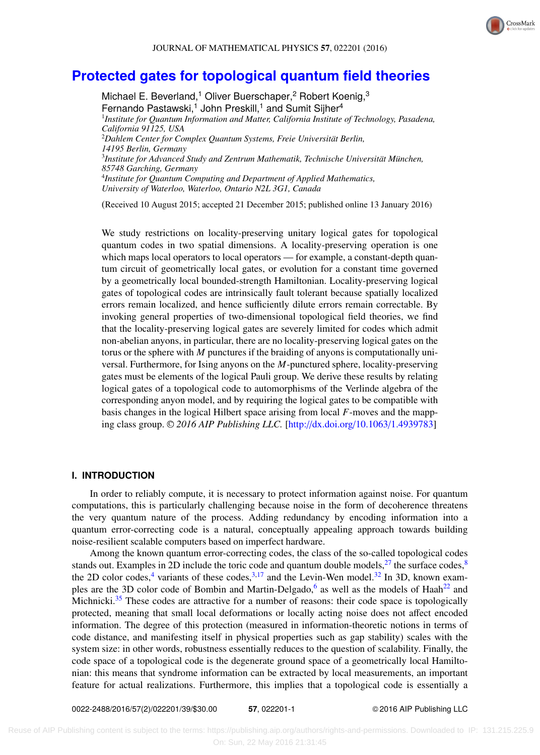

# **[Protected gates for topological quantum field theories](http://dx.doi.org/10.1063/1.4939783)**

Michael E. Beverland,<sup>1</sup> Oliver Buerschaper,<sup>2</sup> Robert Koenig,<sup>3</sup> Fernando Pastawski,<sup>1</sup> John Preskill,<sup>1</sup> and Sumit Sijher<sup>4</sup> 1 *Institute for Quantum Information and Matter, California Institute of Technology, Pasadena, California 91125, USA* <sup>2</sup>*Dahlem Center for Complex Quantum Systems, Freie Universität Berlin, 14195 Berlin, Germany* 3 *Institute for Advanced Study and Zentrum Mathematik, Technische Universität München, 85748 Garching, Germany* 4 *Institute for Quantum Computing and Department of Applied Mathematics, University of Waterloo, Waterloo, Ontario N2L 3G1, Canada*

(Received 10 August 2015; accepted 21 December 2015; published online 13 January 2016)

We study restrictions on locality-preserving unitary logical gates for topological quantum codes in two spatial dimensions. A locality-preserving operation is one which maps local operators to local operators — for example, a constant-depth quantum circuit of geometrically local gates, or evolution for a constant time governed by a geometrically local bounded-strength Hamiltonian. Locality-preserving logical gates of topological codes are intrinsically fault tolerant because spatially localized errors remain localized, and hence sufficiently dilute errors remain correctable. By invoking general properties of two-dimensional topological field theories, we find that the locality-preserving logical gates are severely limited for codes which admit non-abelian anyons, in particular, there are no locality-preserving logical gates on the torus or the sphere with *M* punctures if the braiding of anyons is computationally universal. Furthermore, for Ising anyons on the *M*-punctured sphere, locality-preserving gates must be elements of the logical Pauli group. We derive these results by relating logical gates of a topological code to automorphisms of the Verlinde algebra of the corresponding anyon model, and by requiring the logical gates to be compatible with basis changes in the logical Hilbert space arising from local *F*-moves and the mapping class group. <sup>C</sup> *2016 AIP Publishing LLC.* [\[http:](http://dx.doi.org/10.1063/1.4939783)//[dx.doi.org](http://dx.doi.org/10.1063/1.4939783)/[10.1063](http://dx.doi.org/10.1063/1.4939783)/[1.4939783\]](http://dx.doi.org/10.1063/1.4939783)

# **I. INTRODUCTION**

In order to reliably compute, it is necessary to protect information against noise. For quantum computations, this is particularly challenging because noise in the form of decoherence threatens the very quantum nature of the process. Adding redundancy by encoding information into a quantum error-correcting code is a natural, conceptually appealing approach towards building noise-resilient scalable computers based on imperfect hardware.

Among the known quantum error-correcting codes, the class of the so-called topological codes stands out. Examples in 2D include the toric code and quantum double models,  $27$  the surface codes,  $8$ the 2D color codes,<sup>[4](#page-37-2)</sup> variants of these codes,<sup>[3](#page-37-3)[,17](#page-37-4)</sup> and the Levin-Wen model.<sup>[32](#page-37-5)</sup> In 3D, known exam-ples are the 3D color code of Bombin and Martin-Delgado,<sup>[6](#page-37-6)</sup> as well as the models of Haah<sup>[22](#page-37-7)</sup> and Michnicki.<sup>[35](#page-37-8)</sup> These codes are attractive for a number of reasons: their code space is topologically protected, meaning that small local deformations or locally acting noise does not affect encoded information. The degree of this protection (measured in information-theoretic notions in terms of code distance, and manifesting itself in physical properties such as gap stability) scales with the system size: in other words, robustness essentially reduces to the question of scalability. Finally, the code space of a topological code is the degenerate ground space of a geometrically local Hamiltonian: this means that syndrome information can be extracted by local measurements, an important feature for actual realizations. Furthermore, this implies that a topological code is essentially a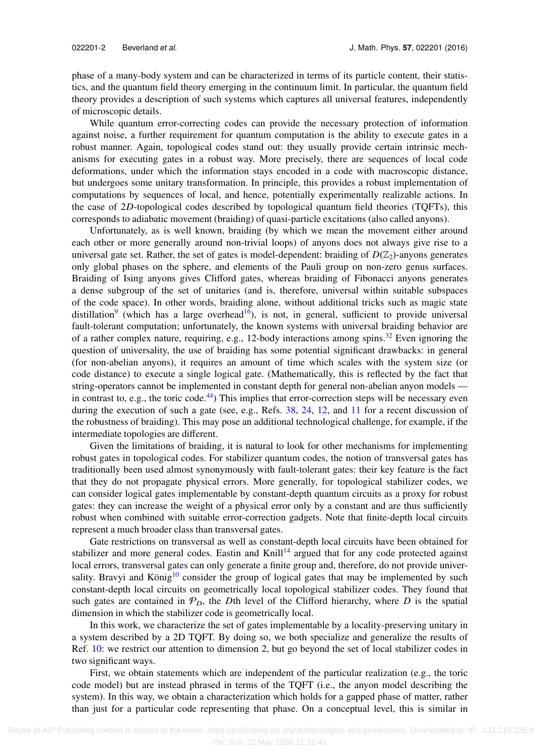phase of a many-body system and can be characterized in terms of its particle content, their statistics, and the quantum field theory emerging in the continuum limit. In particular, the quantum field theory provides a description of such systems which captures all universal features, independently of microscopic details.

While quantum error-correcting codes can provide the necessary protection of information against noise, a further requirement for quantum computation is the ability to execute gates in a robust manner. Again, topological codes stand out: they usually provide certain intrinsic mechanisms for executing gates in a robust way. More precisely, there are sequences of local code deformations, under which the information stays encoded in a code with macroscopic distance, but undergoes some unitary transformation. In principle, this provides a robust implementation of computations by sequences of local, and hence, potentially experimentally realizable actions. In the case of 2*D*-topological codes described by topological quantum field theories (TQFTs), this corresponds to adiabatic movement (braiding) of quasi-particle excitations (also called anyons).

Unfortunately, as is well known, braiding (by which we mean the movement either around each other or more generally around non-trivial loops) of anyons does not always give rise to a universal gate set. Rather, the set of gates is model-dependent: braiding of  $D(\mathbb{Z}_2)$ -anyons generates only global phases on the sphere, and elements of the Pauli group on non-zero genus surfaces. Braiding of Ising anyons gives Clifford gates, whereas braiding of Fibonacci anyons generates a dense subgroup of the set of unitaries (and is, therefore, universal within suitable subspaces of the code space). In other words, braiding alone, without additional tricks such as magic state distillation<sup>[9](#page-37-9)</sup> (which has a large overhead<sup>[16](#page-37-10)</sup>), is not, in general, sufficient to provide universal fault-tolerant computation; unfortunately, the known systems with universal braiding behavior are of a rather complex nature, requiring, e.g., 12-body interactions among spins.<sup>[32](#page-37-5)</sup> Even ignoring the question of universality, the use of braiding has some potential significant drawbacks: in general (for non-abelian anyons), it requires an amount of time which scales with the system size (or code distance) to execute a single logical gate. (Mathematically, this is reflected by the fact that string-operators cannot be implemented in constant depth for general non-abelian anyon models — in contrast to, e.g., the toric code.<sup>[44](#page-38-0)</sup>) This implies that error-correction steps will be necessary even during the execution of such a gate (see, e.g., Refs.  $38$ ,  $24$ ,  $12$ , and  $11$  for a recent discussion of the robustness of braiding). This may pose an additional technological challenge, for example, if the intermediate topologies are different.

Given the limitations of braiding, it is natural to look for other mechanisms for implementing robust gates in topological codes. For stabilizer quantum codes, the notion of transversal gates has traditionally been used almost synonymously with fault-tolerant gates: their key feature is the fact that they do not propagate physical errors. More generally, for topological stabilizer codes, we can consider logical gates implementable by constant-depth quantum circuits as a proxy for robust gates: they can increase the weight of a physical error only by a constant and are thus sufficiently robust when combined with suitable error-correction gadgets. Note that finite-depth local circuits represent a much broader class than transversal gates.

Gate restrictions on transversal as well as constant-depth local circuits have been obtained for stabilizer and more general codes. Eastin and Knill<sup>[14](#page-37-15)</sup> argued that for any code protected against local errors, transversal gates can only generate a finite group and, therefore, do not provide univer-sality. Bravyi and König<sup>[10](#page-37-16)</sup> consider the group of logical gates that may be implemented by such constant-depth local circuits on geometrically local topological stabilizer codes. They found that such gates are contained in  $\mathcal{P}_D$ , the *D*th level of the Clifford hierarchy, where *D* is the spatial dimension in which the stabilizer code is geometrically local.

In this work, we characterize the set of gates implementable by a locality-preserving unitary in a system described by a 2D TQFT. By doing so, we both specialize and generalize the results of Ref. [10:](#page-37-16) we restrict our attention to dimension 2, but go beyond the set of local stabilizer codes in two significant ways.

First, we obtain statements which are independent of the particular realization (e.g., the toric code model) but are instead phrased in terms of the TQFT (i.e., the anyon model describing the system). In this way, we obtain a characterization which holds for a gapped phase of matter, rather than just for a particular code representing that phase. On a conceptual level, this is similar in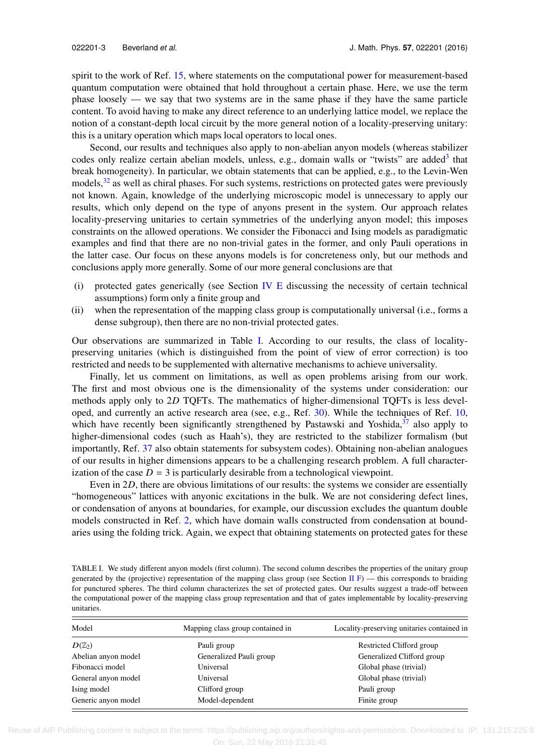spirit to the work of Ref. [15,](#page-37-17) where statements on the computational power for measurement-based quantum computation were obtained that hold throughout a certain phase. Here, we use the term phase loosely — we say that two systems are in the same phase if they have the same particle content. To avoid having to make any direct reference to an underlying lattice model, we replace the notion of a constant-depth local circuit by the more general notion of a locality-preserving unitary: this is a unitary operation which maps local operators to local ones.

Second, our results and techniques also apply to non-abelian anyon models (whereas stabilizer codes only realize certain abelian models, unless, e.g., domain walls or "twists" are added<sup>[3](#page-37-3)</sup> that break homogeneity). In particular, we obtain statements that can be applied, e.g., to the Levin-Wen models,<sup>[32](#page-37-5)</sup> as well as chiral phases. For such systems, restrictions on protected gates were previously not known. Again, knowledge of the underlying microscopic model is unnecessary to apply our results, which only depend on the type of anyons present in the system. Our approach relates locality-preserving unitaries to certain symmetries of the underlying anyon model; this imposes constraints on the allowed operations. We consider the Fibonacci and Ising models as paradigmatic examples and find that there are no non-trivial gates in the former, and only Pauli operations in the latter case. Our focus on these anyons models is for concreteness only, but our methods and conclusions apply more generally. Some of our more general conclusions are that

- (i) protected gates generically (see Section [IV E](#page-21-0) discussing the necessity of certain technical assumptions) form only a finite group and
- (ii) when the representation of the mapping class group is computationally universal (i.e., forms a dense subgroup), then there are no non-trivial protected gates.

Our observations are summarized in Table [I.](#page-2-0) According to our results, the class of localitypreserving unitaries (which is distinguished from the point of view of error correction) is too restricted and needs to be supplemented with alternative mechanisms to achieve universality.

Finally, let us comment on limitations, as well as open problems arising from our work. The first and most obvious one is the dimensionality of the systems under consideration: our methods apply only to 2*D* TQFTs. The mathematics of higher-dimensional TQFTs is less developed, and currently an active research area (see, e.g., Ref. [30\)](#page-37-18). While the techniques of Ref. [10,](#page-37-16) which have recently been significantly strengthened by Pastawski and Yoshida,<sup>[37](#page-37-19)</sup> also apply to higher-dimensional codes (such as Haah's), they are restricted to the stabilizer formalism (but importantly, Ref. [37](#page-37-19) also obtain statements for subsystem codes). Obtaining non-abelian analogues of our results in higher dimensions appears to be a challenging research problem. A full characterization of the case  $D = 3$  is particularly desirable from a technological viewpoint.

Even in 2*D*, there are obvious limitations of our results: the systems we consider are essentially "homogeneous" lattices with anyonic excitations in the bulk. We are not considering defect lines, or condensation of anyons at boundaries, for example, our discussion excludes the quantum double models constructed in Ref. [2,](#page-37-20) which have domain walls constructed from condensation at boundaries using the folding trick. Again, we expect that obtaining statements on protected gates for these

<span id="page-2-0"></span>TABLE I. We study different anyon models (first column). The second column describes the properties of the unitary group generated by the (projective) representation of the mapping class group (see Section [II F\)](#page-13-0) — this corresponds to braiding for punctured spheres. The third column characterizes the set of protected gates. Our results suggest a trade-off between the computational power of the mapping class group representation and that of gates implementable by locality-preserving unitaries.

| Model               | Mapping class group contained in | Locality-preserving unitaries contained in |
|---------------------|----------------------------------|--------------------------------------------|
| $D(\mathbb{Z}_2)$   | Pauli group                      | Restricted Clifford group                  |
| Abelian anyon model | Generalized Pauli group          | Generalized Clifford group                 |
| Fibonacci model     | Universal                        | Global phase (trivial)                     |
| General anyon model | Universal                        | Global phase (trivial)                     |
| Ising model         | Clifford group                   | Pauli group                                |
| Generic anyon model | Model-dependent                  | Finite group                               |

 Reuse of AIP Publishing content is subject to the terms: https://publishing.aip.org/authors/rights-and-permissions. Downloaded to IP: 131.215.225.9 On: Sun, 22 May 2016 21:31:45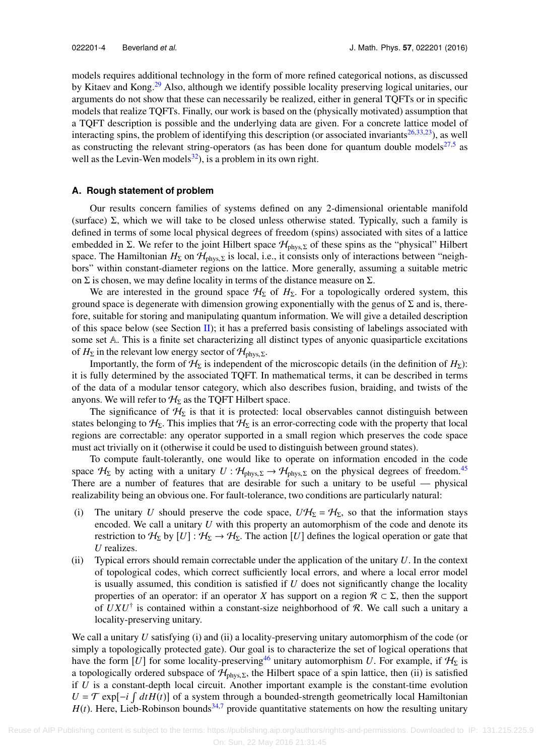models requires additional technology in the form of more refined categorical notions, as discussed by Kitaev and Kong.<sup>[29](#page-37-21)</sup> Also, although we identify possible locality preserving logical unitaries, our arguments do not show that these can necessarily be realized, either in general TQFTs or in specific models that realize TQFTs. Finally, our work is based on the (physically motivated) assumption that a TQFT description is possible and the underlying data are given. For a concrete lattice model of interacting spins, the problem of identifying this description (or associated invariants $26,33,23$  $26,33,23$  $26,33,23$ ), as well as constructing the relevant string-operators (as has been done for quantum double models $27,5$  $27,5$  as well as the Levin-Wen models $^{32}$  $^{32}$  $^{32}$ ), is a problem in its own right.

# **A. Rough statement of problem**

Our results concern families of systems defined on any 2-dimensional orientable manifold (surface)  $\Sigma$ , which we will take to be closed unless otherwise stated. Typically, such a family is defined in terms of some local physical degrees of freedom (spins) associated with sites of a lattice embedded in Σ. We refer to the joint Hilbert space  $\mathcal{H}_{\text{phys},\Sigma}$  of these spins as the "physical" Hilbert space. The Hamiltonian  $H_{\Sigma}$  on  $\mathcal{H}_{phys,\Sigma}$  is local, i.e., it consists only of interactions between "neighbors" within constant-diameter regions on the lattice. More generally, assuming a suitable metric on  $\Sigma$  is chosen, we may define locality in terms of the distance measure on  $\Sigma$ .

We are interested in the ground space  $H<sub>Σ</sub>$  of  $H<sub>Σ</sub>$ . For a topologically ordered system, this ground space is degenerate with dimension growing exponentially with the genus of  $\Sigma$  and is, therefore, suitable for storing and manipulating quantum information. We will give a detailed description of this space below (see Section [II\)](#page-4-0); it has a preferred basis consisting of labelings associated with some set A. This is a finite set characterizing all distinct types of anyonic quasiparticle excitations of  $H_{\Sigma}$  in the relevant low energy sector of  $\mathcal{H}_{\text{phys},\Sigma}$ .

Importantly, the form of  $H_{\Sigma}$  is independent of the microscopic details (in the definition of  $H_{\Sigma}$ ): it is fully determined by the associated TQFT. In mathematical terms, it can be described in terms of the data of a modular tensor category, which also describes fusion, braiding, and twists of the anyons. We will refer to  $H_{\Sigma}$  as the TQFT Hilbert space.

The significance of  $H_{\Sigma}$  is that it is protected: local observables cannot distinguish between states belonging to  $H_{\Sigma}$ . This implies that  $H_{\Sigma}$  is an error-correcting code with the property that local regions are correctable: any operator supported in a small region which preserves the code space must act trivially on it (otherwise it could be used to distinguish between ground states).

To compute fault-tolerantly, one would like to operate on information encoded in the code space  $H_{\Sigma}$  by acting with a unitary  $U : H_{\text{phys},\Sigma} \to H_{\text{phys},\Sigma}$  on the physical degrees of freedom.<sup>[45](#page-38-1)</sup> There are a number of features that are desirable for such a unitary to be useful — physical realizability being an obvious one. For fault-tolerance, two conditions are particularly natural:

- (i) The unitary *U* should preserve the code space,  $U\mathcal{H}_{\Sigma} = \mathcal{H}_{\Sigma}$ , so that the information stays encoded. We call a unitary *U* with this property an automorphism of the code and denote its restriction to  $H_{\Sigma}$  by  $[U]: H_{\Sigma} \to H_{\Sigma}$ . The action [*U*] defines the logical operation or gate that *U* realizes.
- (ii) Typical errors should remain correctable under the application of the unitary *U*. In the context of topological codes, which correct sufficiently local errors, and where a local error model is usually assumed, this condition is satisfied if *U* does not significantly change the locality properties of an operator: if an operator *X* has support on a region  $\mathcal{R} \subset \Sigma$ , then the support of  $UXU^{\dagger}$  is contained within a constant-size neighborhood of  $R$ . We call such a unitary a locality-preserving unitary.

We call a unitary *U* satisfying (i) and (ii) a locality-preserving unitary automorphism of the code (or simply a topologically protected gate). Our goal is to characterize the set of logical operations that have the form [*U*] for some locality-preserving<sup>[46](#page-38-2)</sup> unitary automorphism *U*. For example, if  $H_{\Sigma}$  is a topologically ordered subspace of  $H_{phys,\Sigma}$ , the Hilbert space of a spin lattice, then (ii) is satisfied if *U* is a constant-depth local circuit. Another important example is the constant-time evolution  $U = \mathcal{T}$  exp[-*i*  $\int dt H(t)$ ] of a system through a bounded-strength geometrically local Hamiltonian  $H(t)$ . Here, Lieb-Robinson bounds<sup>[34](#page-37-26)[,7](#page-37-27)</sup> provide quantitative statements on how the resulting unitary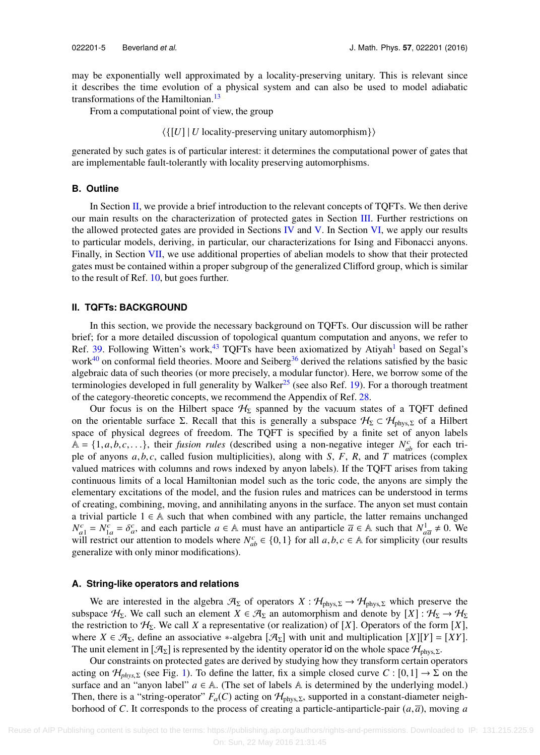may be exponentially well approximated by a locality-preserving unitary. This is relevant since it describes the time evolution of a physical system and can also be used to model adiabatic transformations of the Hamiltonian.<sup>[13](#page-37-28)</sup>

From a computational point of view, the group

⟨{[*U*] | *U* locality-preserving unitary automorphism}⟩

generated by such gates is of particular interest: it determines the computational power of gates that are implementable fault-tolerantly with locality preserving automorphisms.

# **B. Outline**

In Section [II,](#page-4-0) we provide a brief introduction to the relevant concepts of  $TQFTs$ . We then derive our main results on the characterization of protected gates in Section [III.](#page-14-0) Further restrictions on the allowed protected gates are provided in Sections [IV](#page-17-0) and [V.](#page-22-0) In Section [VI,](#page-26-0) we apply our results to particular models, deriving, in particular, our characterizations for Ising and Fibonacci anyons. Finally, in Section [VII,](#page-32-0) we use additional properties of abelian models to show that their protected gates must be contained within a proper subgroup of the generalized Clifford group, which is similar to the result of Ref. [10,](#page-37-16) but goes further.

# <span id="page-4-0"></span>**II. TQFTs: BACKGROUND**

In this section, we provide the necessary background on TQFTs. Our discussion will be rather brief; for a more detailed discussion of topological quantum computation and anyons, we refer to Ref. [39.](#page-38-3) Following Witten's work, $43$  TQFTs have been axiomatized by Atiyah<sup>[1](#page-37-29)</sup> based on Segal's work $40$  on conformal field theories. Moore and Seiberg $36$  derived the relations satisfied by the basic algebraic data of such theories (or more precisely, a modular functor). Here, we borrow some of the terminologies developed in full generality by Walker<sup>[25](#page-37-31)</sup> (see also Ref. [19\)](#page-37-32). For a thorough treatment of the category-theoretic concepts, we recommend the Appendix of Ref. [28.](#page-37-33)

Our focus is on the Hilbert space  $H_{\Sigma}$  spanned by the vacuum states of a TQFT defined on the orientable surface Σ. Recall that this is generally a subspace  $H_{\Sigma} \subset H_{\text{phys},\Sigma}$  of a Hilbert space of physical degrees of freedom. The TQFT is specified by a finite set of anyon labels  $\overline{A} = \{1, a, b, c, \ldots\}$ , their *fusion rules* (described using a non-negative integer  $N_{ab}^c$  for each tri-<br>ple of anyons *a* b *c* called fusion multiplicities) along with *S F R* and *T* matrices (complex ple of anyons *<sup>a</sup>*, *<sup>b</sup>*, *<sup>c</sup>*, called fusion multiplicities), along with *<sup>S</sup>*, *<sup>F</sup>*, *<sup>R</sup>*, and *<sup>T</sup>* matrices (complex valued matrices with columns and rows indexed by anyon labels). If the TQFT arises from taking continuous limits of a local Hamiltonian model such as the toric code, the anyons are simply the elementary excitations of the model, and the fusion rules and matrices can be understood in terms of creating, combining, moving, and annihilating anyons in the surface. The anyon set must contain a trivial particle 1  $\in$  A such that when combined with any particle, the latter remains unchanged  $N_{a1}^c = N_{1a}^c = \delta_a^c$ , and each particle *a* ∈ A must have an antiparticle  $\overline{a} \in$  A such that  $N_{a\overline{a}}^1 \neq 0$ . We will restrict our attention to models where  $N_c^c \in I_0$  1 \ for all *a* b *c* ∈ A for simplicity ( will restrict our attention to models where  $N_{ab}^c \in \{0,1\}$  for all  $a, b, c \in \mathbb{A}$  for simplicity (our results generalize with only minor modifications) generalize with only minor modifications).

## **A. String-like operators and relations**

We are interested in the algebra  $\mathcal{A}_{\Sigma}$  of operators  $X : \mathcal{H}_{\text{phys},\Sigma} \to \mathcal{H}_{\text{phys},\Sigma}$  which preserve the subspace  $H_{\Sigma}$ . We call such an element  $X \in \mathcal{A}_{\Sigma}$  an automorphism and denote by  $[X]: \mathcal{H}_{\Sigma} \to \mathcal{H}_{\Sigma}$ the restriction to  $\mathcal{H}_{\Sigma}$ . We call *X* a representative (or realization) of [*X*]. Operators of the form [*X*], where  $X \in \mathcal{A}_{\Sigma}$ , define an associative \*-algebra  $[\mathcal{A}_{\Sigma}]$  with unit and multiplication  $[X][Y] = [XY]$ . The unit element in  $[\mathcal{A}_{\Sigma}]$  is represented by the identity operator id on the whole space  $\mathcal{H}_{phys,\Sigma}$ .

Our constraints on protected gates are derived by studying how they transform certain operators acting on  $\mathcal{H}_{phys,\Sigma}$  (see Fig. [1\)](#page-5-0). To define the latter, fix a simple closed curve  $C : [0,1] \to \Sigma$  on the surface and an "anyon label"  $a \in A$ . (The set of labels A is determined by the underlying model.) Then, there is a "string-operator"  $F_a(C)$  acting on  $\mathcal{H}_{\text{phys},\Sigma}$ , supported in a constant-diameter neighborhood of *C*. It corresponds to the process of creating a particle-antiparticle-pair  $(a,\overline{a})$ , moving *a*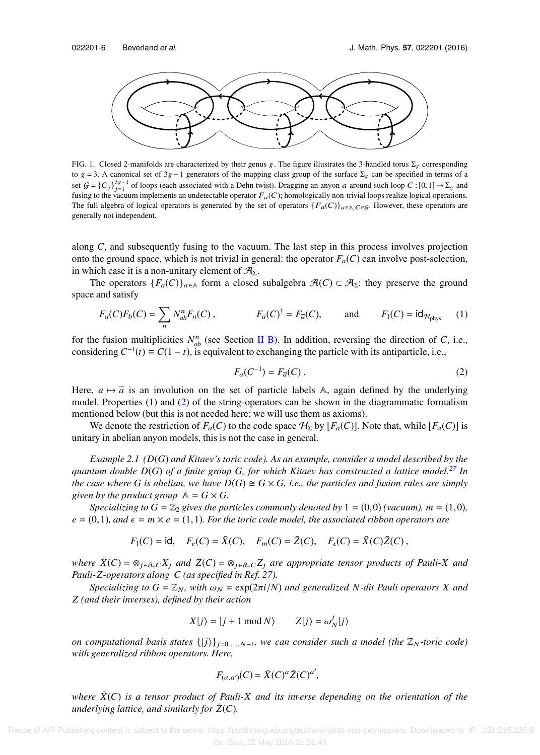<span id="page-5-0"></span>

FIG. 1. Closed 2-manifolds are characterized by their genus g. The figure illustrates the 3-handled torus  $\Sigma_g$  corresponding to g = 3. A canonical set of 3g −1 generators of the mapping class group of the surface  $\Sigma_g$  can be specified in terms of a set  $G = \{C_j\}_{j=1}^{3g-1}$  of loops (each associated with a Dehn twist). Dragging an anyon a around such loop  $C : [0,1] \rightarrow \Sigma_g$  and<br>fusing to the vocuum implements an undetectable operator  $F$ .  $(C)$  bomologically non-trivial l fusing to the vacuum implements an undetectable operator  $F_a(C)$ ; homologically non-trivial loops realize logical operations. The full algebra of logical operators is generated by the set of operators  ${F_a(C)}_{a \in A, C \in \mathcal{G}}$ . However, these operators are generally not independent.

along *C*, and subsequently fusing to the vacuum. The last step in this process involves projection onto the ground space, which is not trivial in general: the operator  $F_a(C)$  can involve post-selection, in which case it is a non-unitary element of  $\mathcal{A}_{\Sigma}$ .

The operators  $\{F_a(C)\}_{a\in A}$  form a closed subalgebra  $\mathcal{A}(C) \subset \mathcal{A}_{\Sigma}$ : they preserve the ground space and satisfy

$$
F_a(C)F_b(C) = \sum_n N_{ab}^n F_n(C), \qquad F_a(C)^{\dagger} = F_{\overline{a}}(C), \qquad \text{and} \qquad F_1(C) = \text{id}_{\mathcal{H}_{\text{phys}}} \qquad (1)
$$

for the fusion multiplicities  $N_{ab}^n$  (see Section [II B\)](#page-7-0). In addition, reversing the direction of *C*, i.e., considering  $C^{-1}(t) \equiv C(1-t)$ , is equivalent to exchanging the particle with its antiparticle, i.e.,

<span id="page-5-2"></span><span id="page-5-1"></span>
$$
F_a(C^{-1}) = F_{\overline{a}}(C) \,. \tag{2}
$$

Here,  $a \mapsto \overline{a}$  is an involution on the set of particle labels A, again defined by the underlying model. Properties [\(1\)](#page-5-1) and [\(2\)](#page-5-2) of the string-operators can be shown in the diagrammatic formalism mentioned below (but this is not needed here; we will use them as axioms).

We denote the restriction of  $F_a(C)$  to the code space  $H_{\Sigma}$  by  $[F_a(C)]$ . Note that, while  $[F_a(C)]$  is unitary in abelian anyon models, this is not the case in general.

*Example 2.1 (D*(*G*) *and Kitaev's toric code). As an example, consider a model described by the quantum double D*(*G*) *of a finite group G, for which Kitaev has constructed a lattice model.[27](#page-37-0) In the case where G is abelian, we have*  $D(G) \cong G \times G$ *, i.e., the particles and fusion rules are simply given by the product group*  $\mathbb{A} = G \times G$ .

*Specializing to G* =  $\mathbb{Z}_2$  *gives the particles commonly denoted by* 1 = (0,0) *(vacuum), m* = (1,0)*,*  $e = (0,1)$ *, and*  $\epsilon = m \times e = (1,1)$ *. For the toric code model, the associated ribbon operators are* 

$$
F_1(C) = id
$$
,  $F_e(C) = \overline{X}(C)$ ,  $F_m(C) = \overline{Z}(C)$ ,  $F_e(C) = \overline{X}(C)\overline{Z}(C)$ ,

*where*  $\bar{X}(C) = \otimes_{j \in \partial_{+}C} X_j$  *and*  $\bar{Z}(C) = \otimes_{j \in \partial_{-}C} Z_j$  *are appropriate tensor products of Pauli-X and Pauli-Z-operators along C (as specified in Ref. [27\)](#page-37-0).*

*Specializing to*  $G = \mathbb{Z}_N$ , with  $\omega_N = \exp(2\pi i/N)$  and generalized N-dit Pauli operators X and *Z (and their inverses), defined by their action*

$$
X|j\rangle = |j+1 \mod N\rangle \qquad Z|j\rangle = \omega_N^j|j\rangle
$$

*on computational basis states*  $\{|j\rangle\}_{j=0,\ldots,N-1}$ , we can consider such a model (the  $\mathbb{Z}_N$ -toric code) *with generalized ribbon operators. Here,*

$$
F_{(a,a')}(C) = \overline{X}(C)^{a}\overline{Z}(C)^{a'},
$$

*where*  $\bar{X}(C)$  *is a tensor product of Pauli-X and its inverse depending on the orientation of the underlying lattice, and similarly for*  $Z(C)$ *.*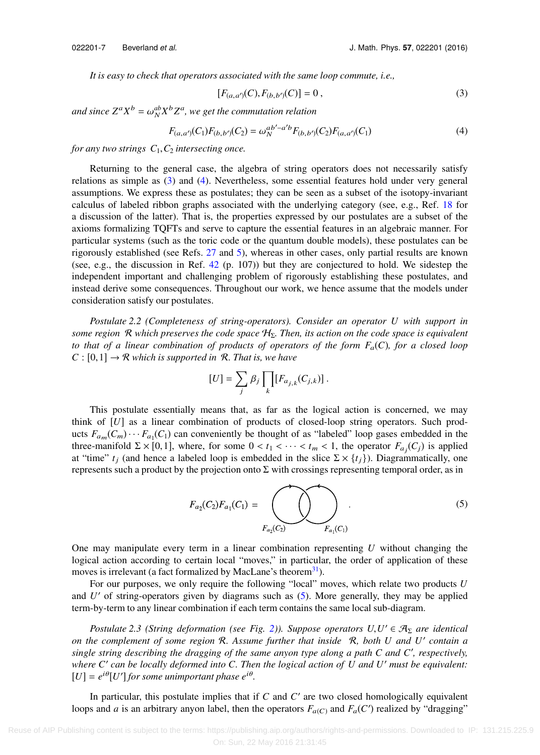*It is easy to check that operators associated with the same loop commute, i.e.,*

<span id="page-6-1"></span><span id="page-6-0"></span>
$$
[F_{(a,a')}(C), F_{(b,b')}(C)] = 0, \qquad (3)
$$

and since  $Z^a X^b = \omega_N^{ab} X^b Z^a$ , we get the commutation relation

$$
F_{(a,a')}(C_1)F_{(b,b')}(C_2) = \omega_N^{ab'-a'b}F_{(b,b')}(C_2)F_{(a,a')}(C_1)
$$
\n(4)

*for any two strings*  $C_1$ ,  $C_2$  *intersecting once.* 

Returning to the general case, the algebra of string operators does not necessarily satisfy relations as simple as [\(3\)](#page-6-0) and [\(4\).](#page-6-1) Nevertheless, some essential features hold under very general assumptions. We express these as postulates; they can be seen as a subset of the isotopy-invariant calculus of labeled ribbon graphs associated with the underlying category (see, e.g., Ref. [18](#page-37-34) for a discussion of the latter). That is, the properties expressed by our postulates are a subset of the axioms formalizing TQFTs and serve to capture the essential features in an algebraic manner. For particular systems (such as the toric code or the quantum double models), these postulates can be rigorously established (see Refs. [27](#page-37-0) and [5\)](#page-37-25), whereas in other cases, only partial results are known (see, e.g., the discussion in Ref. [42](#page-38-6) (p. 107)) but they are conjectured to hold. We sidestep the independent important and challenging problem of rigorously establishing these postulates, and instead derive some consequences. Throughout our work, we hence assume that the models under consideration satisfy our postulates.

*Postulate 2.2 (Completeness of string-operators). Consider an operator U with support in some region* R which preserves the code space  $H_{\Sigma}$ . Then, its action on the code space is equivalent *to that of a linear combination of products of operators of the form*  $F_a(C)$ *, for a closed loop*  $C : [0,1] \rightarrow \mathcal{R}$  *which is supported in*  $\mathcal{R}$ *. That is, we have* 

$$
[U] = \sum_j \beta_j \prod_k [F_{a_{j,k}}(C_{j,k})].
$$

This postulate essentially means that, as far as the logical action is concerned, we may think of [*U*] as a linear combination of products of closed-loop string operators. Such products  $F_{a_m}(C_m) \cdots F_{a_1}(C_1)$  can conveniently be thought of as "labeled" loop gases embedded in the three-manifold  $\Sigma \times [0,1]$ , where, for some  $0 < t_1 < \cdots < t_m < 1$ , the operator  $F_{a_j}(C_j)$  is applied<br>at "time" t. (and hence a labeled loop is embedded in the slice  $\Sigma \times [t, \lambda)$ ) Diagrammatically one at "time"  $t_j$  (and hence a labeled loop is embedded in the slice  $\Sigma \times \{t_j\}$ ). Diagrammatically, one represents such a product by the projection onto Σ with crossings representing temporal order, as in

<span id="page-6-2"></span>
$$
F_{a_2}(C_2)F_{a_1}(C_1) = \bigodot_{F_{a_2}(C_2)} F_{a_1}(C_1) \qquad (5)
$$

One may manipulate every term in a linear combination representing *U* without changing the logical action according to certain local "moves," in particular, the order of application of these moves is irrelevant (a fact formalized by MacLane's theorem<sup>[31](#page-37-35)</sup>).

For our purposes, we only require the following "local" moves, which relate two products *U* and *U'* of string-operators given by diagrams such as [\(5\).](#page-6-2) More generally, they may be applied term-by-term to any linear combination if each term contains the same local sub-diagram.

*Postulate 2.3 (String deformation (see Fig. [2\)](#page-7-1)). Suppose operators*  $U, U' \in \mathcal{A}_{\Sigma}$  *are identical*<br>he complement of some region  $\mathcal{R}$  Assume further that inside  $\mathcal{R}$  both *U* and *U'* contain a *on the complement of some region* R*. Assume further that inside* R*, both U and U*′ *contain a single string describing the dragging of the same anyon type along a path C and C*′ *, respectively, where C*′ *can be locally deformed into C. Then the logical action of U and U*′ *must be equivalent:*  $[U] = e^{i\theta} [U']$  for some unimportant phase  $e^{i\theta}$ .

In particular, this postulate implies that if *C* and *C'* are two closed homologically equivalent loops and *a* is an arbitrary anyon label, then the operators  $F_{a(C)}$  and  $F_a(C')$  realized by "dragging"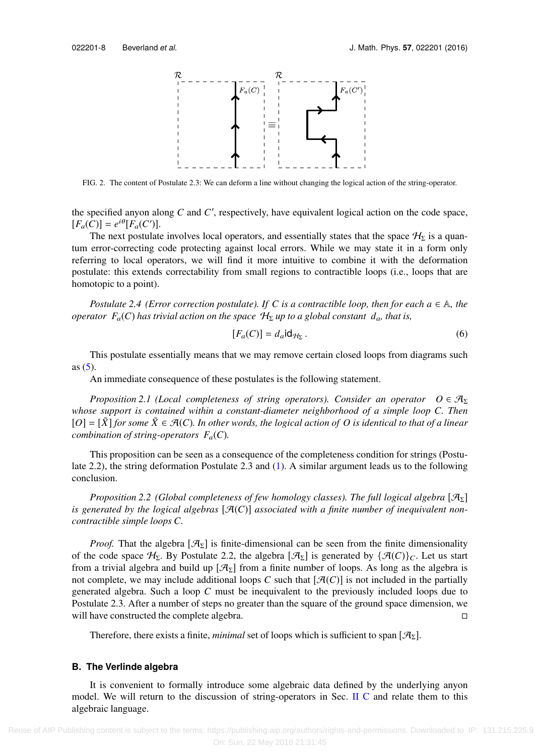<span id="page-7-1"></span>

FIG. 2. The content of Postulate 2.3: We can deform a line without changing the logical action of the string-operator.

the specified anyon along *C* and *C* ′ , respectively, have equivalent logical action on the code space,  $[F_a(C)] = e^{i\theta} [F_a(C')]$ .

The next postulate involves local operators, and essentially states that the space  $\mathcal{H}_{\Sigma}$  is a quantum error-correcting code protecting against local errors. While we may state it in a form only referring to local operators, we will find it more intuitive to combine it with the deformation postulate: this extends correctability from small regions to contractible loops (i.e., loops that are homotopic to a point).

*Postulate 2.4 (Error correction postulate). If C is a contractible loop, then for each*  $a \in \mathbb{A}$ *, the operator*  $F_a(C)$  *has trivial action on the space*  $H_{\Sigma}$  *up to a global constant*  $d_a$ *, that is,* 

$$
[F_a(C)] = d_a \mathsf{id}_{\mathcal{H}_\Sigma} \,. \tag{6}
$$

This postulate essentially means that we may remove certain closed loops from diagrams such as  $(5)$ .

An immediate consequence of these postulates is the following statement.

*Proposition 2.1 (Local completeness of string operators). Consider an operator*  $O \in \mathcal{A}_{\Sigma}$ *whose support is contained within a constant-diameter neighborhood of a simple loop C. Then*  $[O] = [\tilde{X}]$  *for some*  $\tilde{X} \in \mathcal{A}(C)$ *. In other words, the logical action of O is identical to that of a linear combination of string-operators*  $F_a(C)$ *.* 

This proposition can be seen as a consequence of the completeness condition for strings (Postulate 2.2), the string deformation Postulate 2.3 and [\(1\).](#page-5-1) A similar argument leads us to the following conclusion.

*Proposition 2.2 (Global completeness of few homology classes). The full logical algebra* [AΣ] is generated by the logical algebras  $[\mathcal{A}(C)]$  associated with a finite number of inequivalent non*contractible simple loops C.*

*Proof.* That the algebra  $[\mathcal{A}_{\Sigma}]$  is finite-dimensional can be seen from the finite dimensionality of the code space  $\mathcal{H}_{\Sigma}$ . By Postulate 2.2, the algebra  $[\mathcal{A}_{\Sigma}]$  is generated by  $\{\mathcal{A}(C)\}_C$ . Let us start from a trivial algebra and build up  $[\mathcal{A}_{\Sigma}]$  from a finite number of loops. As long as the algebra is not complete, we may include additional loops *C* such that  $[\mathcal{A}(C)]$  is not included in the partially generated algebra. Such a loop *C* must be inequivalent to the previously included loops due to Postulate 2.3. After a number of steps no greater than the square of the ground space dimension, we will have constructed the complete algebra.

<span id="page-7-0"></span>Therefore, there exists a finite, *minimal* set of loops which is sufficient to span  $[\mathcal{A}_{\Sigma}]$ .

# **B. The Verlinde algebra**

It is convenient to formally introduce some algebraic data defined by the underlying anyon model. We will return to the discussion of string-operators in Sec. [II C](#page-9-0) and relate them to this algebraic language.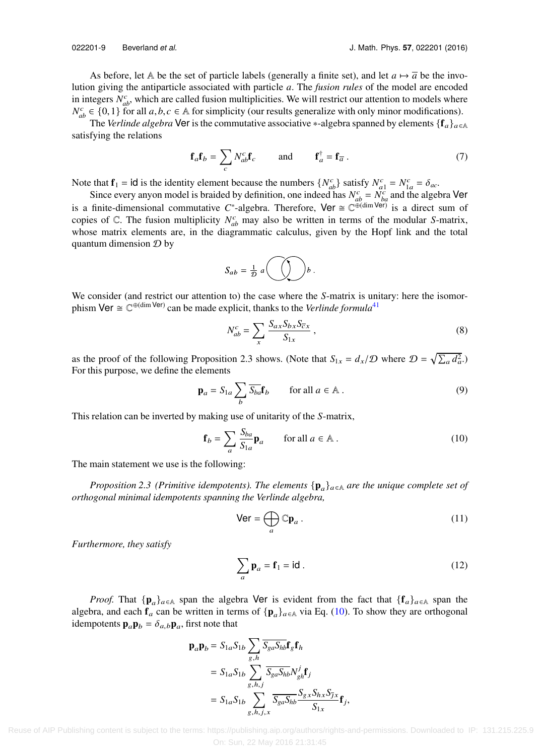As before, let A be the set of particle labels (generally a finite set), and let  $a \mapsto \overline{a}$  be the involution giving the antiparticle associated with particle *a*. The *fusion rules* of the model are encoded in integers  $N_{ab}^c$ , which are called fusion multiplicities. We will restrict our attention to models where  $N_{ab}^c \in \{0,1\}$  for all *a*, *b*, *c* ∈ A for simplicity (our results generalize with only minor modifications).<br>The Verlinde algebra **Ver** is the commutative associative \*-algebra spanned by elements f **f** 

The *Verlinde algebra* Ver is the commutative associative \*-algebra spanned by elements  $\{f_a\}_{a \in A}$ satisfying the relations

$$
\mathbf{f}_a \mathbf{f}_b = \sum_c N_{ab}^c \mathbf{f}_c \quad \text{and} \quad \mathbf{f}_a^\dagger = \mathbf{f}_{\overline{a}} \,. \tag{7}
$$

Note that  $f_1 = id$  is the identity element because the numbers  $\{N_{ab}^c\}$  satisfy  $N_{a1}^c = N_{a1}^c = \delta_{ac}$ .<br>Since every appen model is braided by definition, one indeed has  $N_c^c = N_c^c$  and the algebra

Since every anyon model is braided by definition, one indeed has  $N_{ab}^c = N_{ba}^c$  and the algebra Ver is a finite-dimensional commutative C<sup>\*</sup>-algebra. Therefore, Ver  $\cong \mathbb{C}^{\oplus (\dim \text{Ver})}$  is a direct sum of copies of  $\mathbb{C}$ . The fusion multiplicity  $N_{ab}^c$  may also be written in terms of the modular *S*-matrix, whose matrix elements are, in the diagrammatic calculus, given by the Hopf link and the total quantum dimension  $\mathcal D$  by

<span id="page-8-3"></span>
$$
S_{ab} = \frac{1}{\mathcal{D}} \, a \bigodot b \, .
$$

We consider (and restrict our attention to) the case where the *S*-matrix is unitary: here the isomorphism Ver  $\cong \mathbb{C}^{\oplus (\dim \text{Ver})}$  can be made explicit, thanks to the *Verlinde formula*<sup>[41](#page-38-7)</sup>

<span id="page-8-2"></span><span id="page-8-1"></span>
$$
N_{ab}^c = \sum_x \frac{S_{ax} S_{bx} S_{\overline{c}x}}{S_{1x}},
$$
\n(8)

as the proof of the following Proposition 2.3 shows. (Note that  $S_{1x} = d_x/\mathcal{D}$  where  $\mathcal{D} = \sqrt{\sum_a d_a^2}$ .) For this purpose, we define the elements

$$
\mathbf{p}_a = S_{1a} \sum_b \overline{S_{ba}} \mathbf{f}_b \qquad \text{for all } a \in \mathbb{A} \,. \tag{9}
$$

This relation can be inverted by making use of unitarity of the *S*-matrix,

$$
\mathbf{f}_b = \sum_a \frac{S_{ba}}{S_{1a}} \mathbf{p}_a \qquad \text{for all } a \in \mathbb{A} \,. \tag{10}
$$

The main statement we use is the following:

*Proposition 2.3 (Primitive idempotents). The elements*  $\{p_a\}_{a \in A}$  *are the unique complete set of orthogonal minimal idempotents spanning the Verlinde algebra,*

<span id="page-8-0"></span>
$$
\mathsf{Ver} = \bigoplus_{a} \mathbb{C} \mathbf{p}_a \,. \tag{11}
$$

*Furthermore, they satisfy*

$$
\sum_{a} \mathbf{p}_a = \mathbf{f}_1 = \mathbf{id} \tag{12}
$$

*Proof.* That  $\{p_a\}_{a \in A}$  span the algebra Ver is evident from the fact that  $\{f_a\}_{a \in A}$  span the algebra, and each  $f_a$  can be written in terms of  $\{p_a\}_{a \in A}$  via Eq. [\(10\).](#page-8-0) To show they are orthogonal idempotents  $\mathbf{p}_a \mathbf{p}_b = \delta_{a,b} \mathbf{p}_a$ , first note that

$$
\mathbf{p}_a \mathbf{p}_b = S_{1a} S_{1b} \sum_{g,h} \overline{S_{ga} S_{hb}} \mathbf{f}_g \mathbf{f}_h
$$
  
=  $S_{1a} S_{1b} \sum_{g,h,j} \overline{S_{ga} S_{hb}} N_{gh}^j \mathbf{f}_j$   
=  $S_{1a} S_{1b} \sum_{g,h,j,x} \overline{S_{ga} S_{hb}} \frac{S_{g,x} S_{hx} S_{\overline{J}x}}{S_{1x}} \mathbf{f}_j$ ,

 Reuse of AIP Publishing content is subject to the terms: https://publishing.aip.org/authors/rights-and-permissions. Downloaded to IP: 131.215.225.9 On: Sun, 22 May 2016 21:31:45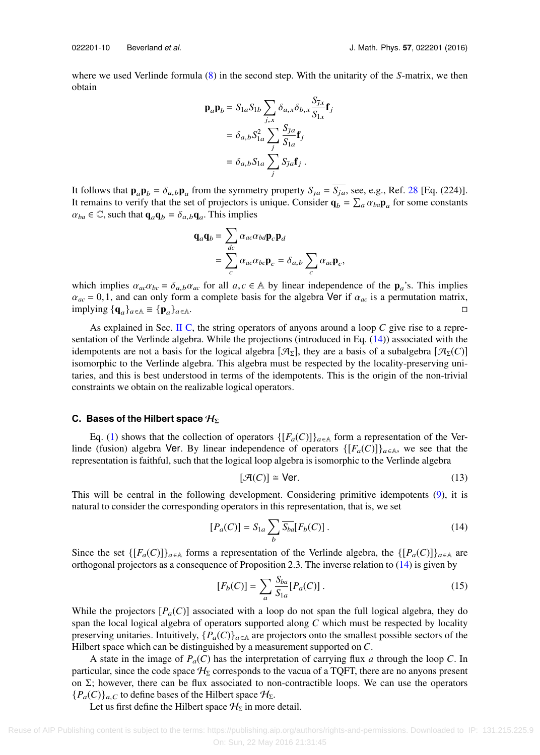where we used Verlinde formula [\(8\)](#page-8-1) in the second step. With the unitarity of the *S*-matrix, we then obtain

$$
\mathbf{p}_a \mathbf{p}_b = S_{1a} S_{1b} \sum_{j,x} \delta_{a,x} \delta_{b,x} \frac{S_{\overline{j},x}}{S_{1x}} \mathbf{f}_j
$$
  
=  $\delta_{a,b} S_{1a}^2 \sum_j \frac{S_{\overline{j}a}}{S_{1a}} \mathbf{f}_j$   
=  $\delta_{a,b} S_{1a} \sum_j S_{\overline{j}a} \mathbf{f}_j$ .

It follows that  $\mathbf{p}_a \mathbf{p}_b = \delta_{a,b} \mathbf{p}_a$  from the symmetry property  $S_{\overline{a}} = S_{ja}$ , see, e.g., Ref. [28](#page-37-33) [Eq. (224)]. It remains to verify that the set of projectors is unique. Consider  $\mathbf{q}_b = \sum_a \alpha_{ba} \mathbf{p}_a$  for some constants  $\alpha_b \in \mathbb{C}$  such that  $\mathbf{q}_b = \delta_a \cdot \mathbf{q}_a$ . This implies  $\alpha_{ba} \in \mathbb{C}$ , such that  $\mathbf{q}_a \mathbf{q}_b = \delta_{a,b} \mathbf{q}_a$ . This implies

$$
\mathbf{q}_a \mathbf{q}_b = \sum_{dc} \alpha_{ac} \alpha_{bd} \mathbf{p}_c \mathbf{p}_d
$$
  
= 
$$
\sum_c \alpha_{ac} \alpha_{bc} \mathbf{p}_c = \delta_{a,b} \sum_c \alpha_{ac} \mathbf{p}_c,
$$

which implies  $\alpha_{ac}\alpha_{bc} = \delta_{a,b}\alpha_{ac}$  for all  $a, c \in A$  by linear independence of the  $\mathbf{p}_a$ 's. This implies  $\alpha = 0, 1, 2$  and can only form a complete basis for the algebra  $\Delta$ **or** if  $\alpha$ , is a permutation matrix  $\alpha_{ac} = 0, 1$ , and can only form a complete basis for the algebra Ver if  $\alpha_{ac}$  is a permutation matrix, implying  $\{\mathbf{q}_a\}_{a \in A} \equiv \{\mathbf{p}_a\}_{a \in A}$ . implying  $\{q_a\}_{a \in A} \equiv \{p_a\}$  $\}$ a∈A.

As explained in Sec. [II C,](#page-9-0) the string operators of anyons around a loop *C* give rise to a representation of the Verlinde algebra. While the projections (introduced in Eq. [\(14\)\)](#page-9-1) associated with the idempotents are not a basis for the logical algebra  $[\mathcal{A}_{\Sigma}]$ , they are a basis of a subalgebra  $[\mathcal{A}_{\Sigma}(C)]$ isomorphic to the Verlinde algebra. This algebra must be respected by the locality-preserving unitaries, and this is best understood in terms of the idempotents. This is the origin of the non-trivial constraints we obtain on the realizable logical operators.

## <span id="page-9-0"></span>**C. Bases of the Hilbert space**  $H_{\Sigma}$

Eq. [\(1\)](#page-5-1) shows that the collection of operators  $\{[F_a(C)]\}_{a\in A}$  form a representation of the Verlinde (fusion) algebra Ver. By linear independence of operators  $\{[F_a(C)]\}_{a \in A}$ , we see that the representation is faithful, such that the logical loop algebra is isomorphic to the Verlinde algebra

<span id="page-9-1"></span>
$$
[\mathcal{A}(C)] \cong \text{Ver.}
$$
 (13)

This will be central in the following development. Considering primitive idempotents [\(9\),](#page-8-2) it is natural to consider the corresponding operators in this representation, that is, we set

$$
[P_a(C)] = S_{1a} \sum_b \overline{S_{ba}} [F_b(C)]. \qquad (14)
$$

Since the set  $\{[F_a(C)]\}_{a \in \mathbb{A}}$  forms a representation of the Verlinde algebra, the  $\{[P_a(C)]\}_{a \in \mathbb{A}}$  are orthogonal projectors as a consequence of Proposition 2.3. The inverse relation to [\(14\)](#page-9-1) is given by

<span id="page-9-2"></span>
$$
[F_b(C)] = \sum_{a} \frac{S_{ba}}{S_{1a}} [P_a(C)].
$$
\n(15)

While the projectors  $[P_a(C)]$  associated with a loop do not span the full logical algebra, they do span the local logical algebra of operators supported along *C* which must be respected by locality preserving unitaries. Intuitively,  $\{P_a(C)\}_{a \in \mathbb{A}}$  are projectors onto the smallest possible sectors of the Hilbert space which can be distinguished by a measurement supported on *C*.

A state in the image of *P*a(*C*) has the interpretation of carrying flux *a* through the loop *C*. In particular, since the code space  $H<sub>\Sigma</sub>$  corresponds to the vacua of a TQFT, there are no anyons present on  $\Sigma$ ; however, there can be flux associated to non-contractible loops. We can use the operators  ${P_a(C)}_{a,C}$  to define bases of the Hilbert space  $\mathcal{H}_{\Sigma}$ .

Let us first define the Hilbert space  $\mathcal{H}_{\Sigma}$  in more detail.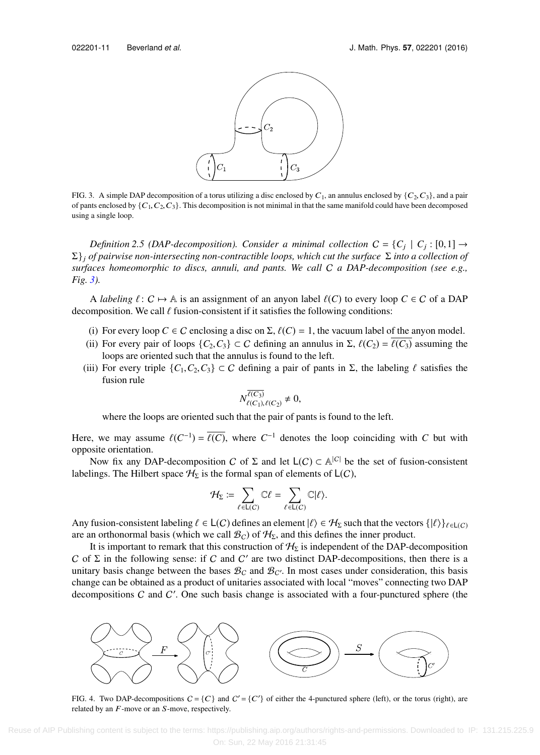<span id="page-10-0"></span>

FIG. 3. A simple DAP decomposition of a torus utilizing a disc enclosed by  $C_1$ , an annulus enclosed by  $\{C_2, C_3\}$ , and a pair of pants enclosed by  $\{C_1, C_2, C_3\}$ . This decomposition is not minimal in that the same manifold could have been decomposed using a single loop.

*Definition 2.5 (DAP-decomposition). Consider a minimal collection*  $C = \{C_j \mid C_j : [0,1] \rightarrow$ <br>of pairwise non-intersecting non-contractible loops, which cut the surface  $\overline{\Sigma}$  into a collection of Σ}<sup>j</sup> *of pairwise non-intersecting non-contractible loops, which cut the surface* Σ *into a collection of surfaces homeomorphic to discs, annuli, and pants. We call* C *a DAP-decomposition (see e.g., Fig. [3\)](#page-10-0).*

A *labeling*  $\ell: C \mapsto A$  is an assignment of an anyon label  $\ell(C)$  to every loop  $C \in C$  of a DAP decomposition. We call  $\ell$  fusion-consistent if it satisfies the following conditions:

- (i) For every loop  $C \in \mathcal{C}$  enclosing a disc on  $\Sigma$ ,  $\ell(C) = 1$ , the vacuum label of the anyon model.
- (ii) For every pair of loops  $\{C_2, C_3\} \subset C$  defining an annulus in  $\Sigma$ ,  $\ell(C_2) = \ell(C_3)$  assuming the loops are oriented such that the annulus is found to the left.
- (iii) For every triple  $\{C_1, C_2, C_3\} \subset C$  defining a pair of pants in  $\Sigma$ , the labeling  $\ell$  satisfies the fusion rule

$$
N_{\ell(C_1),\ell(C_2)}^{\overline{\ell(C_3)}}\neq 0,
$$

where the loops are oriented such that the pair of pants is found to the left.

Here, we may assume  $\ell(C^{-1}) = \overline{\ell(C)}$ , where  $C^{-1}$  denotes the loop coinciding with *C* but with connecte crientation opposite orientation.

Now fix any DAP-decomposition C of  $\Sigma$  and let  $L(C) \subset \mathbb{A}^{|C|}$  be the set of fusion-consistent labelings. The Hilbert space  $\mathcal{H}_{\Sigma}$  is the formal span of elements of  $\mathsf{L}(C)$ ,

$$
\mathcal{H}_{\Sigma} := \sum_{\ell \in \mathsf{L}(C)} \mathbb{C} \ell = \sum_{\ell \in \mathsf{L}(C)} \mathbb{C} | \ell \rangle.
$$

Any fusion-consistent labeling  $\ell \in L(C)$  defines an element  $|\ell\rangle \in \mathcal{H}_{\Sigma}$  such that the vectors  $\{|\ell\rangle\}_{\ell \in L(C)}$ are an orthonormal basis (which we call  $\mathcal{B}_C$ ) of  $\mathcal{H}_{\Sigma}$ , and this defines the inner product.

It is important to remark that this construction of  $H<sub>\Sigma</sub>$  is independent of the DAP-decomposition C of  $\Sigma$  in the following sense: if C and C' are two distinct DAP-decompositions, then there is a unitary basis change between the bases  $\mathcal{B}_C$  and  $\mathcal{B}_{C'}$ . In most cases under consideration, this basis change can be obtained as a product of unitaries associated with local "moves" connecting two DAP decompositions  $C$  and  $C'$ . One such basis change is associated with a four-punctured sphere (the

<span id="page-10-1"></span>

FIG. 4. Two DAP-decompositions  $C = \{C\}$  and  $C' = \{C'\}$  of either the 4-punctured sphere (left), or the torus (right), are related by an  $F$ -move or an  $S$ -move, respectively.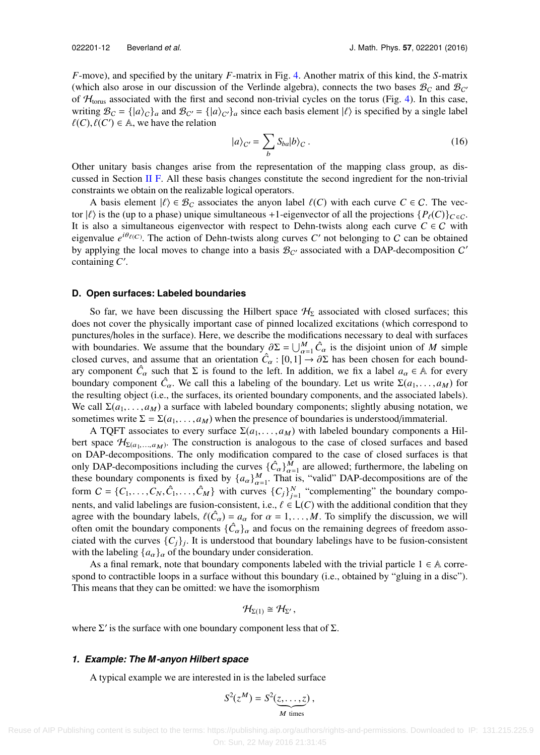*F*-move), and specified by the unitary *F*-matrix in Fig. [4.](#page-10-1) Another matrix of this kind, the *S*-matrix (which also arose in our discussion of the Verlinde algebra), connects the two bases  $\mathcal{B}_C$  and  $\mathcal{B}_{C'}$ of  $H_{\text{torus}}$  associated with the first and second non-trivial cycles on the torus (Fig. [4\)](#page-10-1). In this case, writing  $\mathcal{B}_C = \{ |a\rangle_C \}_a$  and  $\mathcal{B}_{C'} = \{ |a\rangle_C \}_a$  since each basis element  $|l\rangle$  is specified by a single label  $l(C)$ ,  $l(C') \in \mathbb{A}$ , we have the relation  $\ell(C), \ell(C') \in \mathbb{A}$ , we have the relation

$$
|a\rangle_{C'} = \sum_{b} S_{ba} |b\rangle_{C} . \qquad (16)
$$

Other unitary basis changes arise from the representation of the mapping class group, as dis-cussed in Section [II F.](#page-13-0) All these basis changes constitute the second ingredient for the non-trivial constraints we obtain on the realizable logical operators.

A basis element  $|\ell\rangle \in \mathcal{B}_C$  associates the anyon label  $\ell(C)$  with each curve  $C \in C$ . The vector  $|\ell\rangle$  is the (up to a phase) unique simultaneous +1-eigenvector of all the projections  $\{P_\ell(C)\}_{C \in \mathcal{C}}$ . It is also a simultaneous eigenvector with respect to Dehn-twists along each curve  $C \in C$  with eigenvalue  $e^{i\theta_{\ell(C)}}$ . The action of Dehn-twists along curves *C'* not belonging to *C* can be obtained by applying the local moves to change into a basis  $\mathcal{B}_{C'}$  associated with a DAP-decomposition C' containing *C* ′ .

#### **D. Open surfaces: Labeled boundaries**

So far, we have been discussing the Hilbert space  $H<sub>\Sigma</sub>$  associated with closed surfaces; this does not cover the physically important case of pinned localized excitations (which correspond to punctures/holes in the surface). Here, we describe the modifications necessary to deal with surfaces with boundaries. We assume that the boundary  $\partial \Sigma = \bigcup_{\alpha=1}^M \hat{C}_\alpha$  is the disjoint union of *M* simple closed curves and assume that an orientation  $\hat{C}$  if  $0, 1]$  and  $\partial \Sigma$  has been chosen for each boundclosed curves, and assume that an orientation  $\hat{C}_{\alpha}$ :  $[0,1] \rightarrow \partial \Sigma$  has been chosen for each bound-<br>ary component  $\hat{C}$ , such that  $\Sigma$  is found to the left. In addition, we fix a label  $a \in \mathbb{A}$  for every ary component  $\hat{C}_{\alpha}$  such that  $\Sigma$  is found to the left. In addition, we fix a label  $a_{\alpha} \in A$  for every boundary component  $\hat{C}_\alpha$ . We call this a labeling of the boundary. Let us write  $\Sigma(a_1, \ldots, a_M)$  for the resulting object (i.e., the surfaces its oriented boundary components and the associated labels) the resulting object (i.e., the surfaces, its oriented boundary components, and the associated labels). We call  $\Sigma(a_1, \ldots, a_M)$  a surface with labeled boundary components; slightly abusing notation, we sometimes write  $\Sigma = \Sigma(a_1, \ldots, a_M)$  when the presence of boundaries is understood/immaterial.

A TQFT associates to every surface  $\Sigma(a_1, \ldots, a_M)$  with labeled boundary components a Hilbert space  $\mathcal{H}_{\Sigma(a_1,...,a_M)}$ . The construction is analogous to the case of closed surfaces and based<br>on DAR decompositions. The only modification compared to the case of closed surfaces is that on DAP-decompositions. The only modification compared to the case of closed surfaces is that only DAP-decompositions including the curves  $\{\hat{C}_\alpha\}_{\alpha=1}^{\tilde{M}}$  are allowed; furthermore, the labeling on these houndary components is fixed by  $\{c_n\}_{\tilde{M}}^{\tilde{M}}$ . That is "valid" DAR decompositions are of the these boundary components is fixed by  $\{a_{\alpha}\}_{\alpha=1}^{M}$ . That is, "valid" DAP-decompositions are of the form  $C = \{C_1, \ldots, C_N, \hat{C}_1, \ldots, \hat{C}_M\}$  with curves  $\{C_j\}_{j=1}^N$  "complementing" the boundary compo-<br>nexts and valid labelings are fusion consistent i.e.  $\ell \in L(C)$  with the additional condition that they nents, and valid labelings are fusion-consistent, i.e.,  $\ell \in L(C)$  with the additional condition that they agree with the boundary labels,  $\ell(\hat{C}_\alpha) = a_\alpha$  for  $\alpha = 1, \ldots, M$ . To simplify the discussion, we will often omit the boundary components  $\{\hat{C}_\alpha\}$  and focus on the remaining degrees of freedom assooften omit the boundary components  $\{\hat{C}_\alpha\}_\alpha$  and focus on the remaining degrees of freedom associated with the curve  $[C]$ . It is understood that houndary labelings have to be freedom consistent ciated with the curves  $\{C_j\}_j$ . It is understood that boundary labelings have to be fusion-consistent with the labeling  ${a_{\alpha}}_{\alpha}$  of the boundary under consideration.

As a final remark, note that boundary components labeled with the trivial particle  $1 \in A$  correspond to contractible loops in a surface without this boundary (i.e., obtained by "gluing in a disc"). This means that they can be omitted: we have the isomorphism

$$
\mathcal{H}_{\Sigma(1)}\cong\mathcal{H}_{\Sigma'},
$$

where  $\Sigma'$  is the surface with one boundary component less that of  $\Sigma$ .

#### *1. Example: The M-anyon Hilbert space*

A typical example we are interested in is the labeled surface

$$
S^2(z^M) = S^2(\underbrace{z,\ldots,z}_{M \text{ times}}),
$$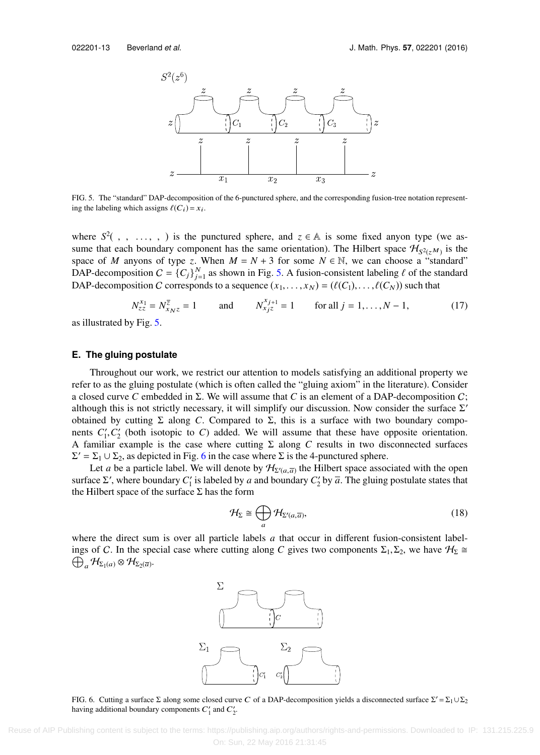<span id="page-12-0"></span>

FIG. 5. The "standard" DAP-decomposition of the 6-punctured sphere, and the corresponding fusion-tree notation representing the labeling which assigns  $\ell(C_i) = x_i$ .

where  $S^2$ , , ..., , ) is the punctured sphere, and  $z \in A$  is some fixed anyon type (we as-<br>sume that each boundary component has the same orientation). The Hilbert space  $H_{A_1}$  is the sume that each boundary component has the same orientation). The Hilbert space  $\mathcal{H}_{S^2(z^M)}$  is the space of *M* anyons of type *z*. When  $M = N + 3$  for some  $N \in \mathbb{N}$ , we can choose a "standard" DAP-decomposition  $C = \{C_j\}_{j=1}^N$  as shown in Fig. [5.](#page-12-0) A fusion-consistent labeling  $\ell$  of the standard DAP-decomposition C corresponds to a sequence  $(x_1, \ldots, x_N) = (\ell(C_1), \ldots, \ell(C_N))$  such that

$$
N_{zz}^{x_1} = N_{x_Nz}^{\overline{z}} = 1 \quad \text{and} \quad N_{x_jz}^{x_{j+1}} = 1 \quad \text{for all } j = 1, ..., N-1,
$$
 (17)

<span id="page-12-4"></span>as illustrated by Fig. [5.](#page-12-0)

# **E. The gluing postulate**

Throughout our work, we restrict our attention to models satisfying an additional property we refer to as the gluing postulate (which is often called the "gluing axiom" in the literature). Consider a closed curve C embedded in  $\Sigma$ . We will assume that C is an element of a DAP-decomposition C; although this is not strictly necessary, it will simplify our discussion. Now consider the surface  $\Sigma'$ obtained by cutting  $\Sigma$  along *C*. Compared to  $\Sigma$ , this is a surface with two boundary components  $C'_1, C'_2$  (both isotopic to *C*) added. We will assume that these have opposite orientation. A familiar example is the case where cutting Σ along *C* results in two disconnected surfaces  $\Sigma' = \Sigma_1 \cup \Sigma_2$ , as depicted in Fig. [6](#page-12-1) in the case where  $\Sigma$  is the 4-punctured sphere.

Let *a* be a particle label. We will denote by  $\mathcal{H}_{\Sigma'(a,\overline{a})}$  the Hilbert space associated with the open surface  $\Sigma'$ , where boundary  $C'_1$  is labeled by *a* and boundary  $C'_2$  by  $\overline{a}$ . The gluing postulate states that the Hilbert space of the surface  $\Sigma$  has the form

<span id="page-12-3"></span><span id="page-12-2"></span>
$$
\mathcal{H}_{\Sigma} \cong \bigoplus_{a} \mathcal{H}_{\Sigma'(a,\overline{a})},\tag{18}
$$

<span id="page-12-1"></span>where the direct sum is over all particle labels *a* that occur in different fusion-consistent labelings of *C*. In the special case where cutting along *C* gives two components  $\Sigma_1$ ,  $\Sigma_2$ , we have  $\mathcal{H}_{\Sigma} \cong \mathcal{L}_{\Sigma}$ ,  $\mathcal{H}_{\Sigma}$ ,  $\otimes \mathcal{H}_{\Sigma}$ ,  $\otimes \mathcal{H}_{\Sigma}$ ,  $\otimes \mathcal{H}_{\Sigma}$ ,  $\otimes \mathcal{H}_{\Sigma}$ ,  $\otimes \mathcal{H}_{\Sigma}$ ,  $\bigoplus_a \mathcal{H}_{\Sigma_1(a)} \otimes \mathcal{H}_{\Sigma_2(\overline{a})}.$ 



FIG. 6. Cutting a surface Σ along some closed curve C of a DAP-decomposition yields a disconnected surface  $\Sigma' = \Sigma_1 \cup \Sigma_2$ having additional boundary components  $C'_1$  and  $C'_2$ .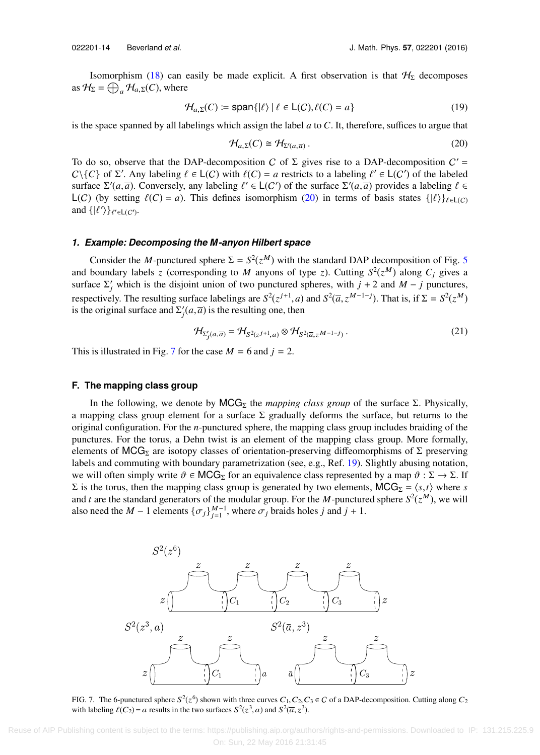Isomorphism [\(18\)](#page-12-2) can easily be made explicit. A first observation is that  $H<sub>\Sigma</sub>$  decomposes as  $\mathcal{H}_{\Sigma} = \bigoplus_{a} \mathcal{H}_{a,\Sigma}(C)$ , where

$$
\mathcal{H}_{a,\Sigma}(C) := \text{span}\{|\ell\rangle \mid \ell \in \mathsf{L}(C), \ell(C) = a\}
$$
\n(19)

is the space spanned by all labelings which assign the label *a* to *C*. It, therefore, suffices to argue that

<span id="page-13-1"></span>
$$
\mathcal{H}_{a,\Sigma}(C) \cong \mathcal{H}_{\Sigma'(a,\overline{a})}. \tag{20}
$$

To do so, observe that the DAP-decomposition C of  $\Sigma$  gives rise to a DAP-decomposition  $C' =$  $C \setminus \{C\}$  of  $\Sigma'$ . Any labeling  $\ell \in L(C)$  with  $\ell(C) = a$  restricts to a labeling  $\ell' \in L(C')$  of the labeled surface  $\Sigma'(a, \overline{a})$  convergely any labeling  $\ell' \in L(C')$  of the surface  $\Sigma'(a, \overline{a})$  provides a labeling  $\ell \in L$ surface  $\Sigma'(a, \overline{a})$ . Conversely, any labeling  $\ell' \in L(C')$  of the surface  $\Sigma'(a, \overline{a})$  provides a labeling  $\ell \in L(C)$ . (by setting  $\ell(C) = a$ ). This defines isomorphism (20) in terms of basis states  $\ell(\ell)$ L(C) (by setting  $\ell(C) = a$ ). This defines isomorphism [\(20\)](#page-13-1) in terms of basis states  $\{|\ell\rangle\}_{\ell \in L(C)}$ and  $\{|\ell'\rangle\}_{\ell'\in\mathsf{L}(C')}$ .

# *1. Example: Decomposing the M-anyon Hilbert space*

Consider the *M*-punctured sphere  $\Sigma = S^2(z^M)$  with the standard DAP decomposition of Fig. [5](#page-12-0) and boundary labels *z* (corresponding to *M* anyons of type *z*). Cutting  $S^2(z^M)$  along  $C_j$  gives a surface  $\Sigma'_j$  which is the disjoint union of two punctured spheres, with  $j + 2$  and  $M - j$  punctures, respectively. The resulting surface labelings are  $S^2(z^{j+1}, a)$  and  $S^2(\overline{a}, z^{M-1-j})$ . That is, if  $\Sigma = S^2(z^M)$ <br>is the original surface and  $\Sigma'(a, \overline{a})$  is the resulting one, then is the original surface and  $\Sigma_j'(a, \overline{a})$  is the resulting one, then

<span id="page-13-3"></span>
$$
\mathcal{H}_{\Sigma'_j(a,\overline{a})} = \mathcal{H}_{S^2(z^{j+1},a)} \otimes \mathcal{H}_{S^2(\overline{a},z^{M-1-j})}.
$$
 (21)

<span id="page-13-0"></span>This is illustrated in Fig. [7](#page-13-2) for the case  $M = 6$  and  $j = 2$ .

# **F. The mapping class group**

In the following, we denote by  $MCG_{\Sigma}$  the *mapping class group* of the surface  $\Sigma$ . Physically, a mapping class group element for a surface  $\Sigma$  gradually deforms the surface, but returns to the original configuration. For the *n*-punctured sphere, the mapping class group includes braiding of the punctures. For the torus, a Dehn twist is an element of the mapping class group. More formally, elements of MCG<sub>Σ</sub> are isotopy classes of orientation-preserving diffeomorphisms of  $\Sigma$  preserving labels and commuting with boundary parametrization (see, e.g., Ref. [19\)](#page-37-32). Slightly abusing notation, we will often simply write  $\vartheta \in MCG_{\Sigma}$  for an equivalence class represented by a map  $\vartheta : \Sigma \to \Sigma$ . If Σ is the torus, then the mapping class group is generated by two elements, MCG<sub>Σ</sub> =  $\langle s,t \rangle$  where *s* and *t* are the standard generators of the modular group. For the *M*-punctured sphere  $S^2(z^M)$ , we will also need the *M* − 1 elements { $\sigma_j$ } $_{j=1}^{M-1}$ , where  $\sigma_j$  braids holes *j* and *j* + 1.

<span id="page-13-2"></span>

FIG. 7. The 6-punctured sphere  $S^2(z^6)$  shown with three curves  $C_1, C_2, C_3 \in C$  of a DAP-decomposition. Cutting along  $C_2$ <br>with labeling  $\ell(C_2) = \ell$  results in the two surfaces  $S^2(z^3, a)$  and  $S^2(\overline{z}, z^3)$ with labeling  $\ell(C_2) = a$  results in the two surfaces  $S^2(z^3, a)$  and  $S^2(\overline{a}, z^3)$ .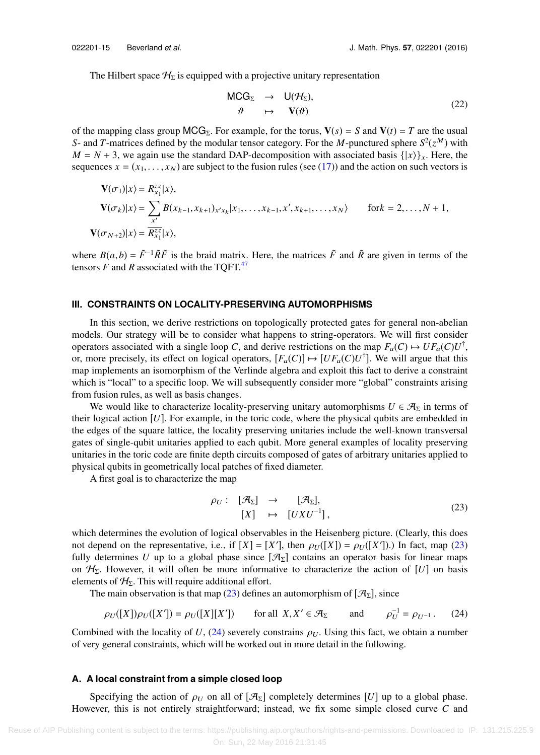The Hilbert space  $H_{\Sigma}$  is equipped with a projective unitary representation

<span id="page-14-3"></span>
$$
\begin{array}{rcl}\n\mathsf{MCG}_{\Sigma} & \rightarrow & \mathsf{U}(\mathcal{H}_{\Sigma}), \\
\vartheta & \mapsto & \mathbf{V}(\vartheta)\n\end{array} \tag{22}
$$

of the mapping class group  $MCG_{\Sigma}$ . For example, for the torus,  $V(s) = S$  and  $V(t) = T$  are the usual *S*- and *T*-matrices defined by the modular tensor category. For the *M*-punctured sphere  $S^2(z^M)$  with  $M = N + 3$ , we again use the standard DAP-decomposition with associated basis  $\{ |x\rangle \}_x$ . Here, the sequences  $x = (x_1, \ldots, x_N)$  are subject to the fusion rules (see [\(17\)\)](#page-12-3) and the action on such vectors is

$$
\mathbf{V}(\sigma_1)|x\rangle = R_{x_1}^{zz}|x\rangle,
$$
\n
$$
\mathbf{V}(\sigma_k)|x\rangle = \sum_{x'} B(x_{k-1}, x_{k+1})_{x'x_k}|x_1, \dots, x_{k-1}, x', x_{k+1}, \dots, x_N\rangle \quad \text{for } k = 2, \dots, N+1,
$$
\n
$$
\mathbf{V}(\sigma_{N+2})|x\rangle = \overline{R_{x_1}^{zz}}|x\rangle,
$$

<span id="page-14-0"></span>where  $B(a, b) = \tilde{F}^{-1} \tilde{R}\tilde{F}$  is the braid matrix. Here, the matrices  $\tilde{F}$  and  $\tilde{R}$  are given in terms of the tensors  $F$  and  $R$  associated with the TQFT.<sup>[47](#page-38-8)</sup>

## **III. CONSTRAINTS ON LOCALITY-PRESERVING AUTOMORPHISMS**

In this section, we derive restrictions on topologically protected gates for general non-abelian models. Our strategy will be to consider what happens to string-operators. We will first consider operators associated with a single loop *C*, and derive restrictions on the map  $F_a(C) \mapsto UF_a(C)U^{\dagger}$ , or, more precisely, its effect on logical operators,  $[F_a(C)] \mapsto [UF_a(C)U^{\dagger}]$ . We will argue that this map implements an isomorphism of the Verlinde algebra and exploit this fact to derive a constraint which is "local" to a specific loop. We will subsequently consider more "global" constraints arising from fusion rules, as well as basis changes.

We would like to characterize locality-preserving unitary automorphisms  $U \in \mathcal{A}_{\Sigma}$  in terms of their logical action  $[U]$ . For example, in the toric code, where the physical qubits are embedded in the edges of the square lattice, the locality preserving unitaries include the well-known transversal gates of single-qubit unitaries applied to each qubit. More general examples of locality preserving unitaries in the toric code are finite depth circuits composed of gates of arbitrary unitaries applied to physical qubits in geometrically local patches of fixed diameter.

A first goal is to characterize the map

<span id="page-14-2"></span><span id="page-14-1"></span>
$$
\rho_U: \begin{bmatrix} \mathcal{A}_{\Sigma} \end{bmatrix} \rightarrow [\mathcal{A}_{\Sigma}], \n[X] \rightarrow [UXU^{-1}],
$$
\n(23)

which determines the evolution of logical observables in the Heisenberg picture. (Clearly, this does not depend on the representative, i.e., if  $[X] = [X']$ , then  $\rho_U([X]) = \rho_U([X'])$ .) In fact, map [\(23\)](#page-14-1) fully determines *U* up to a global phase since  $[\mathcal{A}_{\Sigma}]$  contains an operator basis for linear maps on  $H_{\Sigma}$ . However, it will often be more informative to characterize the action of [*U*] on basis elements of  $H_{\Sigma}$ . This will require additional effort.

The main observation is that map [\(23\)](#page-14-1) defines an automorphism of  $[\mathcal{A}_{\Sigma}]$ , since

$$
\rho_U([X])\rho_U([X']) = \rho_U([X][X']) \qquad \text{for all } X, X' \in \mathcal{A}_{\Sigma} \qquad \text{and} \qquad \rho_U^{-1} = \rho_{U^{-1}}. \tag{24}
$$

Combined with the locality of  $U$ , [\(24\)](#page-14-2) severely constrains  $\rho_U$ . Using this fact, we obtain a number of very general constraints, which will be worked out in more detail in the following.

## **A. A local constraint from a simple closed loop**

Specifying the action of  $\rho_U$  on all of  $[\mathcal{A}_{\Sigma}]$  completely determines [*U*] up to a global phase. However, this is not entirely straightforward; instead, we fix some simple closed curve *C* and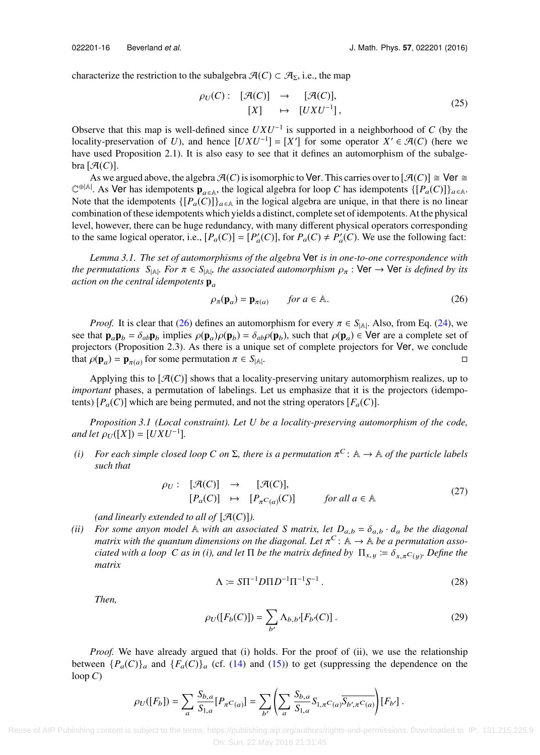characterize the restriction to the subalgebra  $\mathcal{A}(C) \subset \mathcal{A}_{\Sigma}$ , i.e., the map

$$
\rho_U(C): \ [\mathcal{A}(C)] \rightarrow [\mathcal{A}(C)],
$$
  
\n
$$
[X] \rightarrow [UXU^{-1}],
$$
\n(25)

Observe that this map is well-defined since  $UXU^{-1}$  is supported in a neighborhood of  $C$  (by the locality-preservation of *U*), and hence  $[UXU^{-1}] = [X']$  for some operator  $X' \in \mathcal{A}(C)$  (here we have used Proposition 2.1). It is also easy to see that it defines an automorphism of the subalge $bra [A(C)].$ 

As we argued above, the algebra  $\mathcal{A}(C)$  is isomorphic to Ver. This carries over to  $[\mathcal{A}(C)] \cong \mathsf{Ver} \cong$  $\mathbb{C}^{\oplus |\mathbb{A}|}$ . As Ver has idempotents  $\mathbf{p}_{a \in \mathbb{A}}$ , the logical algebra for loop *C* has idempotents  $\{[P_a(C)]\}_{a \in \mathbb{A}}$ . Note that the idempotents  $\{[P_a(C)]\}_{a \in \mathbb{A}}$  in the logical algebra are unique, in that there is no linear combination of these idempotents which yields a distinct, complete set of idempotents. At the physical level, however, there can be huge redundancy, with many different physical operators corresponding to the same logical operator, i.e.,  $[P_a(C)] = [P'_a(C)]$ , for  $P_a(C) \neq P'_a(C)$ . We use the following fact:

*Lemma 3.1. The set of automorphisms of the algebra* Ver *is in one-to-one correspondence with the permutations*  $S_{|A|}$ *. For*  $\pi \in S_{|A|}$ *, the associated automorphism*  $\rho_{\pi}$  : Ver  $\rightarrow$  Ver *is defined by its action on the central idemnatents* **n** *action on the central idempotents*  $\mathbf{p}_a$ 

<span id="page-15-0"></span>
$$
\rho_{\pi}(\mathbf{p}_a) = \mathbf{p}_{\pi(a)} \qquad \text{for } a \in \mathbb{A}.\tag{26}
$$

*Proof.* It is clear that [\(26\)](#page-15-0) defines an automorphism for every  $\pi \in S_{|\mathbb{A}|}$ . Also, from Eq. [\(24\),](#page-14-2) we hat **p**  $\mathbf{p}_1 = \hat{\mathbf{A}} \cdot \mathbf{p}_2$ , implies  $\rho(\mathbf{p}_1) \circ (\mathbf{p}_2) = \hat{\mathbf{A}} \cdot \rho(\mathbf{p}_1)$  such that  $\rho(\mathbf{p}_1) \in \mathsf$ see that  $\mathbf{p}_a \mathbf{p}_b = \delta_{ab} \mathbf{p}_b$  implies  $\rho(\mathbf{p}_a) \rho(\mathbf{p}_b) = \delta_{ab} \rho(\mathbf{p}_b)$ , such that  $\rho(\mathbf{p}_a) \in \mathsf{Ver}$  are a complete set of projectors (Proposition 2.3). As there is a unique set of complete projectors for projectors (Proposition 2.3). As there is a unique set of complete projectors for Ver, we conclude that  $\rho(\mathbf{p}_a) = \mathbf{p}_{\pi(a)}$  for some permutation  $\pi \in S_{|A|}$ . В последните при последните последните последните последните последните последните последните последните по<br>Село в последните последните последните последните последните последните последните последните последните посл

Applying this to  $[\mathcal{A}(C)]$  shows that a locality-preserving unitary automorphism realizes, up to *important* phases, a permutation of labelings. Let us emphasize that it is the projectors (idempotents)  $[P_a(C)]$  which are being permuted, and not the string operators  $[F_a(C)]$ .

*Proposition 3.1 (Local constraint). Let U be a locality-preserving automorphism of the code, and let*  $\rho_U([X]) = [UXU^{-1}]$ *.* 

(*i*) *For each simple closed loop C on* Σ, there is a permutation  $π<sup>C</sup>$ : A → A *of the particle labels* such that *such that*

$$
\rho_U: [\mathcal{A}(C)] \to [\mathcal{A}(C)],
$$
  
\n
$$
[P_a(C)] \mapsto [P_{\pi^C(a)}(C)] \qquad \text{for all } a \in \mathbb{A}
$$
 (27)

*(and linearly extended to all of*  $[\mathcal{A}(C)]$ *).* 

*(ii)* For some anyon model  $\mathbb A$  with an associated S matrix, let  $D_{a,b} = \delta_{a,b} \cdot d_a$  be the diagonal *matrix with the quantum dimensions on the diagonal. Let*  $\pi^C$ :  $\mathbb{A} \to \mathbb{A}$  *be a permutation asso-*<br>*ciated with a loop*  $C$  as in (i), and let  $\Pi$  be the matrix defined by  $\Pi$   $\pi \to \delta$ ,  $C \to D$  as the the *ciated with a loop C as in (i), and let*  $\Pi$  *be the matrix defined by*  $\Pi_{x,y} \coloneqq \delta_{x,\pi}c_{(y)}$ *. Define the* matrix *matrix*

<span id="page-15-2"></span><span id="page-15-1"></span>
$$
\Lambda := S\Pi^{-1}D\Pi D^{-1}\Pi^{-1}S^{-1} \,. \tag{28}
$$

*Then,*

$$
\rho_U([F_b(C)]) = \sum_{b'} \Lambda_{b,b'}[F_{b'}(C)].
$$
\n(29)

*Proof.* We have already argued that (i) holds. For the proof of (ii), we use the relationship between  $\{P_a(C)\}_a$  and  $\{F_a(C)\}_a$  (cf. [\(14\)](#page-9-1) and [\(15\)\)](#page-9-2) to get (suppressing the dependence on the loop  $C$ )

$$
\rho_U([F_b]) = \sum_a \frac{S_{b,a}}{S_{1,a}} [P_{\pi}C_{(a)}] = \sum_{b'} \left( \sum_a \frac{S_{b,a}}{S_{1,a}} S_{1,\pi} C_{(a)} \overline{S_{b',\pi} C_{(a)}} \right) [F_{b'}].
$$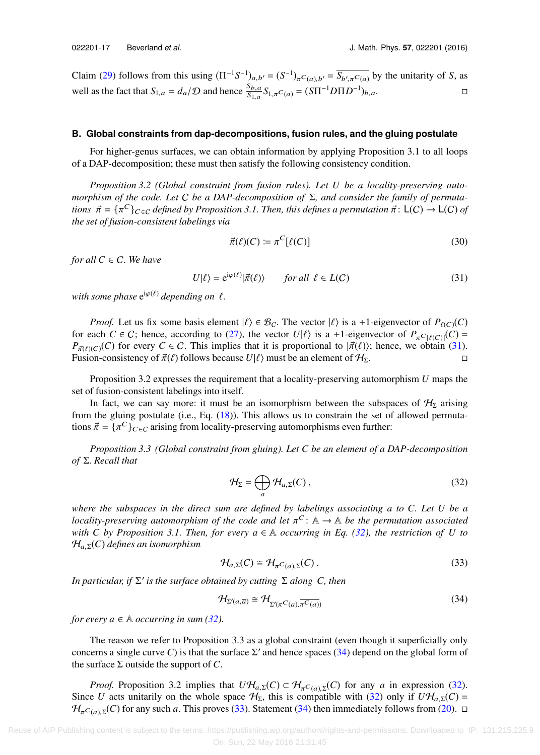Claim [\(29\)](#page-15-1) follows from this using  $(\Pi^{-1}S^{-1})_{a,b'} = (S^{-1})_{\pi}C_{(a),b'} = \overline{S_{b',\pi}C_{(a)}}$  by the unitarity of *S*, as well as the fact that  $S_{1,a} = d_a/D$  and hence  $\frac{S_{b,a}}{S_{1,a}} S_{1,\pi} C_{(a)} = (\mathcal{S} \Pi^{-1} D \Pi D^{-1})_{b,a}$ .

## <span id="page-16-4"></span>**B. Global constraints from dap-decompositions, fusion rules, and the gluing postulate**

For higher-genus surfaces, we can obtain information by applying Proposition 3.1 to all loops of a DAP-decomposition; these must then satisfy the following consistency condition.

*Proposition 3.2 (Global constraint from fusion rules). Let U be a locality-preserving automorphism of the code. Let* C *be a DAP-decomposition of* Σ*, and consider the family of permutations*  $\vec{\pi} = {\{\pi^C\}}_{C \in C}$  *defined by Proposition 3.1. Then, this defines a permutation*  $\vec{\pi}$ :  $L(C) \rightarrow L(C)$  *of* the set of fusion-consistent labelings via *the set of fusion-consistent labelings via*

<span id="page-16-0"></span>
$$
\vec{\pi}(\ell)(C) := \pi^C[\ell(C)] \tag{30}
$$

*for all*  $C \in \mathbb{C}$ *. We have* 

$$
U|\ell\rangle = e^{i\varphi(\ell)}|\vec{\pi}(\ell)\rangle \qquad \text{for all } \ell \in L(C)
$$
 (31)

 $with some phase \, e^{i\varphi(\ell)} \, depending \, on \, \ell.$ 

*Proof.* Let us fix some basis element  $|\ell\rangle \in \mathcal{B}_C$ . The vector  $|\ell\rangle$  is a +1-eigenvector of  $P_{\ell(C)}(C)$ for each  $C \in \mathcal{C}$ ; hence, according to [\(27\),](#page-15-2) the vector  $U|\ell\rangle$  is a +1-eigenvector of  $P_{\pi C[\ell(\mathcal{C})]}(C)$  $P_{\vec{\pi}(\ell)}(C)$  for every  $C \in C$ . This implies that it is proportional to  $|\vec{\pi}(\ell)\rangle$ ; hence, we obtain [\(31\).](#page-16-0) Fusion-consistency of  $\vec{\pi}(\ell)$  follows because  $U|\ell\rangle$  must be an element of  $\mathcal{H}_{\Sigma}$ .

Proposition 3.2 expresses the requirement that a locality-preserving automorphism *U* maps the set of fusion-consistent labelings into itself.

In fact, we can say more: it must be an isomorphism between the subspaces of  $H<sub>\Sigma</sub>$  arising from the gluing postulate (i.e., Eq. [\(18\)\)](#page-12-2). This allows us to constrain the set of allowed permutations  $\vec{\pi} = {\{\pi^C\}}_{C \in C}$  arising from locality-preserving automorphisms even further:

*Proposition 3.3 (Global constraint from gluing). Let C be an element of a DAP-decomposition of* Σ*. Recall that*

<span id="page-16-1"></span>
$$
\mathcal{H}_{\Sigma} = \bigoplus_{a} \mathcal{H}_{a,\Sigma}(C),\tag{32}
$$

*where the subspaces in the direct sum are defined by labelings associating a to C. Let U be a locality-preserving automorphism of the code and let*  $\pi^C$ : A  $\rightarrow$  A *be the permutation associated* with C by Proposition 3.1. Then for every  $a \in \mathbb{A}$  occurring in Eq. (32), the restriction of U to *with* C by Proposition 3.1. Then, for every  $a \in \mathbb{A}$  occurring in Eq. [\(32\),](#page-16-1) the restriction of U to <sup>H</sup><sup>a</sup>,<sup>Σ</sup>(*C*) *defines an isomorphism*

<span id="page-16-3"></span>
$$
\mathcal{H}_{a,\Sigma}(C) \cong \mathcal{H}_{\pi^C(a),\Sigma}(C). \tag{33}
$$

*In particular, if* Σ ′ *is the surface obtained by cutting* Σ *along C, then*

<span id="page-16-2"></span>
$$
\mathcal{H}_{\Sigma'(a,\overline{a})} \cong \mathcal{H}_{\Sigma'(\pi^C(a), \overline{\pi^C(a)})}
$$
\n(34)

*for every a*  $\in$  A *occurring in sum [\(32\).](#page-16-1)* 

The reason we refer to Proposition 3.3 as a global constraint (even though it superficially only concerns a single curve *C*) is that the surface  $\Sigma'$  and hence spaces [\(34\)](#page-16-2) depend on the global form of the surface  $\Sigma$  outside the support of  $C$ .

*Proof.* Proposition 3.2 implies that  $UH_{a,\Sigma}(C) \subset H_{\pi}C_{(a),\Sigma}(C)$  for any *a* in expression [\(32\).](#page-16-1) Since *U* acts unitarily on the whole space  $H_{\Sigma}$ , this is compatible with [\(32\)](#page-16-1) only if  $U\mathcal{H}_{a,\Sigma}(C)$  =  $H_{\pi^C(a),\Sigma}(C)$  for any such *a*. This proves [\(33\).](#page-16-3) Statement [\(34\)](#page-16-2) then immediately follows from [\(20\).](#page-13-1) □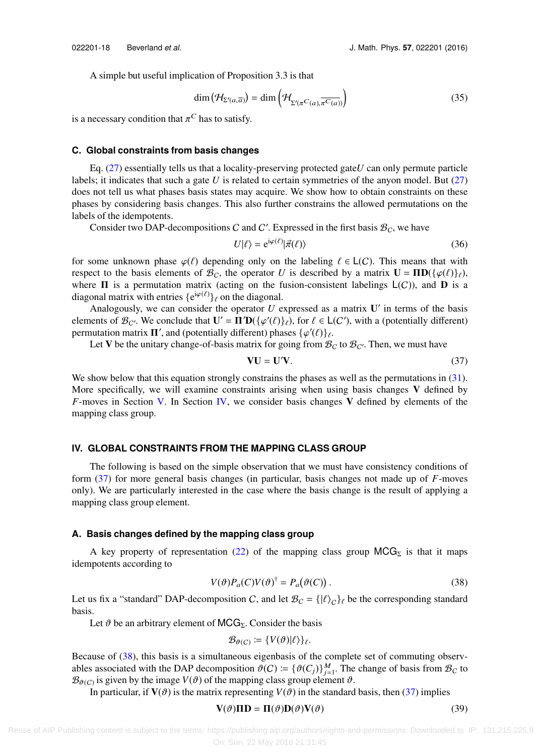A simple but useful implication of Proposition 3.3 is that

<span id="page-17-5"></span>
$$
\dim\left(\mathcal{H}_{\Sigma'(a,\overline{a})}\right) = \dim\left(\mathcal{H}_{\Sigma'(\pi^C(a),\overline{\pi^C(a)})}\right)
$$
\n(35)

is a necessary condition that  $\pi^C$  has to satisfy.

## **C. Global constraints from basis changes**

Eq. [\(27\)](#page-15-2) essentially tells us that a locality-preserving protected gate*U* can only permute particle labels; it indicates that such a gate *U* is related to certain symmetries of the anyon model. But [\(27\)](#page-15-2) does not tell us what phases basis states may acquire. We show how to obtain constraints on these phases by considering basis changes. This also further constrains the allowed permutations on the labels of the idempotents.

Consider two DAP-decompositions C and C'. Expressed in the first basis  $B_C$ , we have

$$
U|\ell\rangle = e^{i\varphi(\ell)}|\vec{\pi}(\ell)\rangle
$$
 (36)

for some unknown phase  $\varphi(\ell)$  depending only on the labeling  $\ell \in L(C)$ . This means that with respect to the basis elements of  $\mathcal{B}_C$ , the operator *U* is described by a matrix  $\mathbf{U} = \mathbf{\Pi} \mathbf{D}(\{\varphi(\ell)\}_\ell)$ , where  $\Pi$  is a permutation matrix (acting on the fusion-consistent labelings  $L(C)$ ), and  $D$  is a diagonal matrix with entries  $\{e^{i\varphi(\ell)}\}_\ell$  on the diagonal.

Analogously, we can consider the operator  $U$  expressed as a matrix  $U'$  in terms of the basis elements of  $\mathcal{B}_{\mathcal{C}}$ . We conclude that  $\mathbf{U}' = \mathbf{\Pi}' \mathbf{D} (\{\varphi'(\ell)\}_{\ell})$ , for  $\ell \in L(\mathcal{C}')$ , with a (potentially different) permutation matrix  $\Pi'$ , and (potentially different) phases  $\{\varphi'(\ell)\}_\ell$ .<br>Let V be the unitary change-of-basis matrix for going from B

Let V be the unitary change-of-basis matrix for going from  $B_C$  to  $B_{C'}$ . Then, we must have

<span id="page-17-1"></span>
$$
VU = U'V.
$$
 (37)

We show below that this equation strongly constrains the phases as well as the permutations in [\(31\).](#page-16-0) More specifically, we will examine constraints arising when using basis changes  $V$  defined by *F*-moves in Section [V.](#page-22-0) In Section [IV,](#page-17-0) we consider basis changes V defined by elements of the mapping class group.

# <span id="page-17-0"></span>**IV. GLOBAL CONSTRAINTS FROM THE MAPPING CLASS GROUP**

The following is based on the simple observation that we must have consistency conditions of form [\(37\)](#page-17-1) for more general basis changes (in particular, basis changes not made up of *F*-moves only). We are particularly interested in the case where the basis change is the result of applying a mapping class group element.

#### <span id="page-17-4"></span>**A. Basis changes defined by the mapping class group**

A key property of representation [\(22\)](#page-14-3) of the mapping class group  $MCG_{\Sigma}$  is that it maps idempotents according to

$$
V(\vartheta)P_a(C)V(\vartheta)^\dagger = P_a(\vartheta(C)).\tag{38}
$$

Let us fix a "standard" DAP-decomposition C, and let  $\mathcal{B}_C = {\vert \ell \rangle_C}$  be the corresponding standard hasis basis.

Let  $\vartheta$  be an arbitrary element of MCG<sub>Σ</sub>. Consider the basis

<span id="page-17-3"></span><span id="page-17-2"></span>
$$
\mathcal{B}_{\theta(C)} \coloneqq \{V(\theta)|\ell\rangle\}_{\ell}.
$$

Because of [\(38\),](#page-17-2) this basis is a simultaneous eigenbasis of the complete set of commuting observables associated with the DAP decomposition  $\vartheta(C) := {\{\vartheta(C_j)\}}_{j=1}^M$ . The change of basis from  $\mathcal{B}_C$  to  $\mathcal{B}_{\alpha(\alpha)}$  is given by the image  $V(\vartheta)$  of the manning class group element  $\vartheta$  $\mathcal{B}_{\theta(C)}$  is given by the image  $V(\theta)$  of the mapping class group element  $\theta$ .<br>In particular if  $V(\theta)$  is the matrix representing  $V(\theta)$  in the standard

In particular, if **V**( $\vartheta$ ) is the matrix representing *V*( $\vartheta$ ) in the standard basis, then [\(37\)](#page-17-1) implies<br>**V**( $\vartheta$ )**IID** = **II**( $\vartheta$ )**D**( $\vartheta$ )**V**( $\vartheta$ ) (39)

$$
\mathbf{V}(\vartheta)\mathbf{\Pi}\mathbf{D} = \mathbf{\Pi}(\vartheta)\mathbf{D}(\vartheta)\mathbf{V}(\vartheta)
$$
 (39)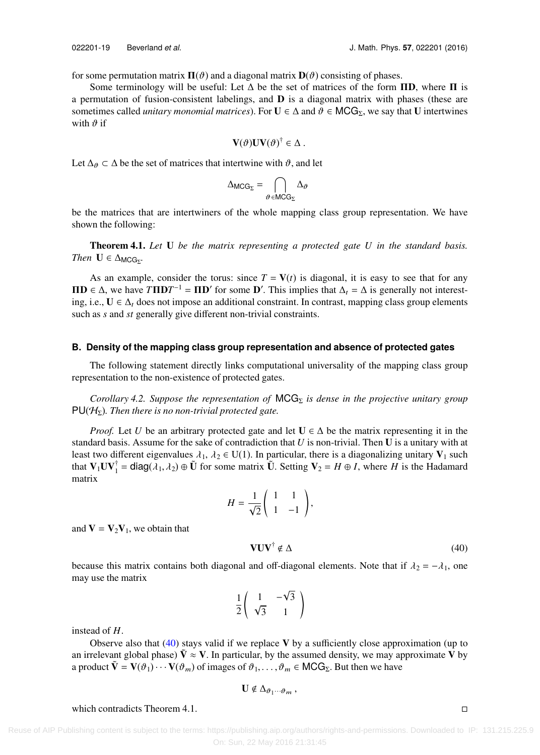for some permutation matrix  $\Pi(\vartheta)$  and a diagonal matrix  $\mathbf{D}(\vartheta)$  consisting of phases.

Some terminology will be useful: Let  $\Delta$  be the set of matrices of the form  $\Pi$ **D**, where  $\Pi$  is a permutation of fusion-consistent labelings, and  **is a diagonal matrix with phases (these are** sometimes called *unitary monomial matrices*). For  $U \in \Delta$  and  $\vartheta \in MCG_{\Sigma}$ , we say that U intertwines with  $\vartheta$  if

$$
\mathbf{V}(\vartheta)\mathbf{U}\mathbf{V}(\vartheta)^{\dagger}\in\Delta.
$$

Let  $\Delta_{\theta} \subset \Delta$  be the set of matrices that intertwine with  $\theta$ , and let

$$
\Delta_{\text{MCG}_{\Sigma}} = \bigcap_{\vartheta \in \text{MCG}_{\Sigma}} \Delta_{\vartheta}
$$

be the matrices that are intertwiners of the whole mapping class group representation. We have shown the following:

Theorem 4.1. *Let* U *be the matrix representing a protected gate U in the standard basis. Then*  $\mathbf{U} \in \Delta_{\text{MCG}_{\Sigma}}$ .

As an example, consider the torus: since  $T = V(t)$  is diagonal, it is easy to see that for any **ΠD** ∈ Δ, we have  $T\Pi DT^{-1} = \Pi D'$  for some **D'**. This implies that  $\Delta_t = \Delta$  is generally not interesting, i.e.,  $U \in \Delta_t$  does not impose an additional constraint. In contrast, mapping class group elements such as *s* and *st* generally give different non-trivial constraints.

# **B. Density of the mapping class group representation and absence of protected gates**

The following statement directly links computational universality of the mapping class group representation to the non-existence of protected gates.

*Corollary 4.2. Suppose the representation of MCG*<sub>Σ</sub> *is dense in the projective unitary group*  $PU(\mathcal{H}_{\Sigma})$ *. Then there is no non-trivial protected gate.* 

*Proof.* Let *U* be an arbitrary protected gate and let  $U \in \Delta$  be the matrix representing it in the standard basis. Assume for the sake of contradiction that *U* is non-trivial. Then U is a unitary with at least two different eigenvalues  $\lambda_1$ ,  $\lambda_2 \in U(1)$ . In particular, there is a diagonalizing unitary  $V_1$  such that  $V_1UV_1^{\dagger} = \text{diag}(\lambda_1, \lambda_2) \oplus \tilde{U}$  for some matrix  $\tilde{U}$ . Setting  $V_2 = H \oplus I$ , where *H* is the Hadamard matrix matrix

$$
H = \frac{1}{\sqrt{2}} \begin{pmatrix} 1 & 1 \\ 1 & -1 \end{pmatrix},
$$

and  $V = V_2V_1$ , we obtain that

<span id="page-18-0"></span>
$$
VUV^{\dagger} \notin \Delta \tag{40}
$$

because this matrix contains both diagonal and off-diagonal elements. Note that if  $\lambda_2 = -\lambda_1$ , one may use the matrix

$$
\frac{1}{2}\left(\begin{array}{cc}1 & -\sqrt{3} \\ \sqrt{3} & 1\end{array}\right)
$$

instead of *H*.

Observe also that  $(40)$  stays valid if we replace V by a sufficiently close approximation (up to an irrelevant global phase)  $\dot{\mathbf{V}} \approx \mathbf{V}$ . In particular, by the assumed density, we may approximate V by a product  $\tilde{\mathbf{V}} = \mathbf{V}(\vartheta_1) \cdots \mathbf{V}(\vartheta_m)$  of images of  $\vartheta_1, \ldots, \vartheta_m \in \mathsf{MCG}_{\Sigma}$ . But then we have

$$
\mathbf{U}\notin\Delta_{\vartheta_1\cdots\vartheta_m},
$$

which contradicts Theorem 4.1.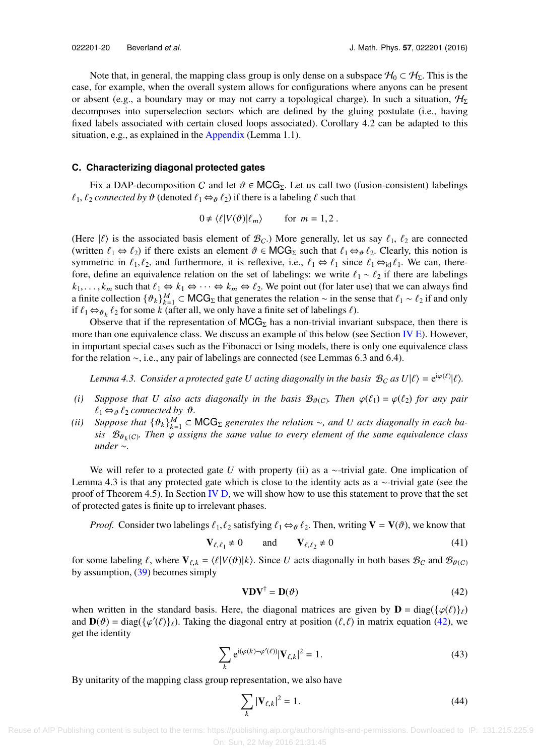Note that, in general, the mapping class group is only dense on a subspace  $\mathcal{H}_0 \subset \mathcal{H}_\Sigma$ . This is the case, for example, when the overall system allows for configurations where anyons can be present or absent (e.g., a boundary may or may not carry a topological charge). In such a situation,  $H_{\Sigma}$ decomposes into superselection sectors which are defined by the gluing postulate (i.e., having fixed labels associated with certain closed loops associated). Corollary 4.2 can be adapted to this situation, e.g., as explained in the  $\Delta$ ppendix (Lemma 1.1).

## <span id="page-19-4"></span>**C. Characterizing diagonal protected gates**

Fix a DAP-decomposition C and let  $\vartheta \in MCG_{\Sigma}$ . Let us call two (fusion-consistent) labelings  $\ell_1, \ell_2$  *connected by*  $\vartheta$  (denoted  $\ell_1 \Leftrightarrow_{\vartheta} \ell_2$ ) if there is a labeling  $\ell$  such that

$$
0 \neq \langle \ell | V(\vartheta) | \ell_m \rangle \quad \text{for } m = 1, 2 \; .
$$

(Here  $|\ell\rangle$  is the associated basis element of  $\mathcal{B}_C$ .) More generally, let us say  $\ell_1$ ,  $\ell_2$  are connected (written  $\ell_1 \Leftrightarrow \ell_2$ ) if there exists an element  $\vartheta \in \text{MCG}_{\Sigma}$  such that  $\ell_1 \Leftrightarrow \vartheta_2$ . Clearly, this notion is symmetric in  $\ell_1, \ell_2$ , and furthermore, it is reflexive, i.e.,  $\ell_1 \Leftrightarrow \ell_1$  since  $\ell_1 \Leftrightarrow_{\text{id}} \ell_1$ . We can, therefore, define an equivalence relation on the set of labelings: we write  $\ell_1 \sim \ell_2$  if there are labelings  $k_1,\ldots,k_m$  such that  $\ell_1 \Leftrightarrow k_1 \Leftrightarrow \cdots \Leftrightarrow k_m \Leftrightarrow \ell_2$ . We point out (for later use) that we can always find a finite collection  $\{\vartheta_k\}_{k=1}^M \subset MCG_\Sigma$  that generates the relation ∼ in the sense that  $\ell_1 \sim \ell_2$  if and only if  $\ell_1 \sim \ell_2$  if and only if  $\ell_1 \Leftrightarrow_{\partial k} \ell_2$  for some *k* (after all, we only have a finite set of labelings  $\ell$ ).<br>Observe that if the representation of MCG<sub>E</sub> has a non-trivial invariant

Observe that if the representation of  $MCG<sub>\Sigma</sub>$  has a non-trivial invariant subspace, then there is more than one equivalence class. We discuss an example of this below (see Section [IV E\)](#page-21-0). However, in important special cases such as the Fibonacci or Ising models, there is only one equivalence class for the relation ∼, i.e., any pair of labelings are connected (see Lemmas 6.3 and 6.4).

*Lemma 4.3. Consider a protected gate U acting diagonally in the basis*  $\mathcal{B}_C$  *as*  $U|\ell\rangle = e^{i\varphi(\ell)}|\ell\rangle$ *.* 

- (*i*) *Suppose that U* also acts diagonally in the basis  $\mathcal{B}_{\theta(C)}$ . Then  $\varphi(\ell_1) = \varphi(\ell_2)$  *for any pair*  $\ell_1 \leftrightarrow \ell_2$  *for any pair*  $\ell_1 \Leftrightarrow_{\vartheta} \ell_2$  *connected by*  $\vartheta$ *.*
- (*ii*) *Suppose that*  $\{\vartheta_k\}_{k=1}^M$  ⊂ MCG<sub>Σ</sub> *generates the relation* ∼*, and U acts diagonally in each ba-*<br>
sis  $\mathcal{R}_{\theta_k}(q)$ . Then  $q$  assigns the same value to every element of the same equivalence class *sis*  $\mathcal{B}_{\theta_k(C)}$ . Then  $\varphi$  *assigns the same value to every element of the same equivalence class* under  $\tilde{C}$ *under* ∼*.*

We will refer to a protected gate *U* with property (ii) as a ∼-trivial gate. One implication of Lemma 4.3 is that any protected gate which is close to the identity acts as a ∼-trivial gate (see the proof of Theorem 4.5). In Section [IV D,](#page-20-0) we will show how to use this statement to prove that the set of protected gates is finite up to irrelevant phases.

*Proof.* Consider two labelings  $\ell_1, \ell_2$  satisfying  $\ell_1 \Leftrightarrow \ell_2$ . Then, writing  $V = V(\vartheta)$ , we know that

$$
\mathbf{V}_{\ell,\ell_1} \neq 0 \qquad \text{and} \qquad \mathbf{V}_{\ell,\ell_2} \neq 0 \tag{41}
$$

for some labeling  $\ell$ , where  $V_{\ell,k} = \langle \ell | V(\vartheta) | k \rangle$ . Since *U* acts diagonally in both bases  $\mathcal{B}_C$  and  $\mathcal{B}_{\vartheta(C)}$ by assumption,  $(39)$  becomes simply

<span id="page-19-3"></span><span id="page-19-1"></span><span id="page-19-0"></span>
$$
\mathbf{V}\mathbf{D}\mathbf{V}^{\dagger} = \mathbf{D}(\vartheta) \tag{42}
$$

when written in the standard basis. Here, the diagonal matrices are given by  $\mathbf{D} = \text{diag}(\{\varphi(\ell)\}_\ell)$ and  $\mathbf{D}(\theta) = \text{diag}(\{\varphi'(\ell)\}_\ell)$ . Taking the diagonal entry at position  $(\ell, \ell)$  in matrix equation [\(42\),](#page-19-0) we get the identity get the identity

$$
\sum_{k} e^{i(\varphi(k) - \varphi'(\ell))} |\mathbf{V}_{\ell,k}|^2 = 1.
$$
\n(43)

By unitarity of the mapping class group representation, we also have

<span id="page-19-2"></span>
$$
\sum_{k} |\mathbf{V}_{\ell,k}|^2 = 1. \tag{44}
$$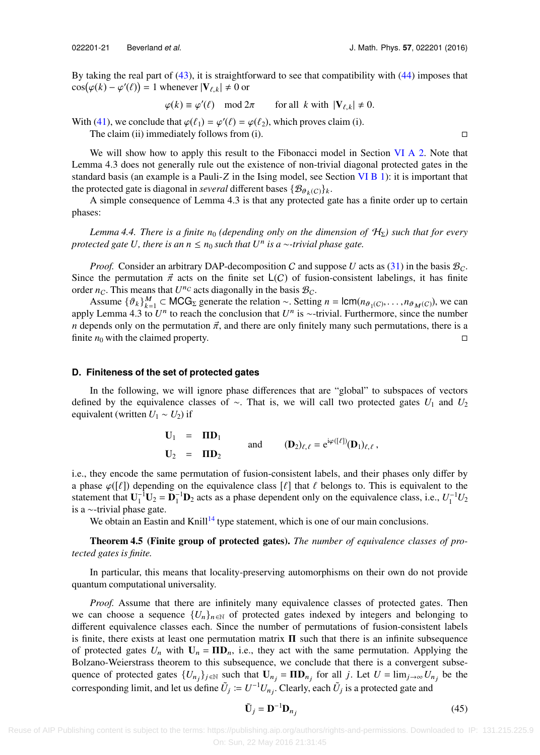By taking the real part of [\(43\),](#page-19-1) it is straightforward to see that compatibility with [\(44\)](#page-19-2) imposes that By taking the real part of (43), it is straightfor<br>  $\cos(\varphi(k) - \varphi'(\ell)) = 1$  whenever  $|\mathbf{V}_{\ell,k}| \neq 0$  or

 $\varphi(k) \equiv \varphi'(\ell) \mod 2\pi$  for all *k* with  $|\mathbf{V}_{\ell,k}| \neq 0$ .

With [\(41\),](#page-19-3) we conclude that  $\varphi(\ell_1) = \varphi'(\ell) = \varphi(\ell_2)$ , which proves claim (i).<br>The claim (ii) immediately follows from (i)

The claim (ii) immediately follows from (i).  $\Box$ 

We will show how to apply this result to the Fibonacci model in Section [VI A 2.](#page-28-0) Note that Lemma 4.3 does not generally rule out the existence of non-trivial diagonal protected gates in the standard basis (an example is a Pauli-*Z* in the Ising model, see Section [VI B 1\)](#page-29-0): it is important that the protected gate is diagonal in *several* different bases  $\{\mathcal{B}_{\vartheta_k(C)}\}_k$ .

A simple consequence of Lemma 4.3 is that any protected gate has a finite order up to certain phases:

*Lemma 4.4. There is a finite n<sub>0</sub> (depending only on the dimension of*  $H_{\Sigma}$ ) such that for every *protected gate U, there is an n* ≤ *n*<sup>0</sup> *such that U*<sup>n</sup> *is a* ∼*-trivial phase gate.*

*Proof.* Consider an arbitrary DAP-decomposition C and suppose U acts as [\(31\)](#page-16-0) in the basis  $\mathcal{B}_C$ . Since the permutation  $\vec{\pi}$  acts on the finite set  $L(C)$  of fusion-consistent labelings, it has finite order  $n_C$ . This means that  $U^{n_C}$  acts diagonally in the basis  $\mathcal{B}_C$ .

Assume  $\{\partial_k\}_{k=1}^M \subset \text{MCG}_{\Sigma}$  generate the relation ~. Setting  $n = \text{lcm}(n_{\partial_1(C)}, \dots, n_{\partial_M(C)})$ , we can  $\cup$  I emma  $A \ge 1$  to reach the conclusion that  $U^n$  is extrivial. Furthermore, since the number apply Lemma 4.3 to  $U^n$  to reach the conclusion that  $U^n$  is ∼-trivial. Furthermore, since the number *n* depends only on the permutation  $\vec{\pi}$ , and there are only finitely many such permutations, there is a finite *n*<sub>0</sub> with the claimed property. finite  $n_0$  with the claimed property.

#### <span id="page-20-0"></span>**D. Finiteness of the set of protected gates**

In the following, we will ignore phase differences that are "global" to subspaces of vectors defined by the equivalence classes of ∼. That is, we will call two protected gates *U*<sup>1</sup> and *U*<sup>2</sup> equivalent (written  $U_1 \sim U_2$ ) if

$$
\mathbf{U}_1 = \mathbf{\Pi} \mathbf{D}_1
$$
\nand\n
$$
\mathbf{U}_2 = \mathbf{\Pi} \mathbf{D}_2
$$
\nand\n
$$
\mathbf{U}_3 \mathbf{D}_2 = \mathbf{C}^{\mathrm{i}\varphi([\ell])} (\mathbf{D}_1)_{\ell, \ell},
$$

i.e., they encode the same permutation of fusion-consistent labels, and their phases only differ by a phase  $\varphi(\lceil \ell \rceil)$  depending on the equivalence class  $\lceil \ell \rceil$  that  $\ell$  belongs to. This is equivalent to the statement that  $U_1^{-1}U_2 = D_1^{-1}D_2$  acts as a phase dependent only on the equivalence class, i.e.,  $U_1^{-1}U_2$ is a ∼-trivial phase gate.

We obtain an Eastin and Knill<sup>[14](#page-37-15)</sup> type statement, which is one of our main conclusions.

Theorem 4.5 (Finite group of protected gates). *The number of equivalence classes of protected gates is finite.*

In particular, this means that locality-preserving automorphisms on their own do not provide quantum computational universality.

*Proof.* Assume that there are infinitely many equivalence classes of protected gates. Then we can choose a sequence  ${U_n}_{n \in \mathbb{N}}$  of protected gates indexed by integers and belonging to different equivalence classes each. Since the number of permutations of fusion-consistent labels is finite, there exists at least one permutation matrix  $\Pi$  such that there is an infinite subsequence of protected gates  $U_n$  with  $U_n = \Pi D_n$ , i.e., they act with the same permutation. Applying the Bolzano-Weierstrass theorem to this subsequence, we conclude that there is a convergent subsequence of protected gates  $\{U_{n_j}\}_{j \in \mathbb{N}}$  such that  $U_{n_j} = \Pi D_{n_j}$  for all *j*. Let  $U = \lim_{j \to \infty} U_{n_j}$  be the corresponding limit, and let us define  $\tilde{U}_j := U^{-1} U_{n_j}$ . Clearly, each  $\tilde{U}_j$  is a protected gate and

<span id="page-20-1"></span>
$$
\tilde{\mathbf{U}}_j = \mathbf{D}^{-1} \mathbf{D}_{n_j} \tag{45}
$$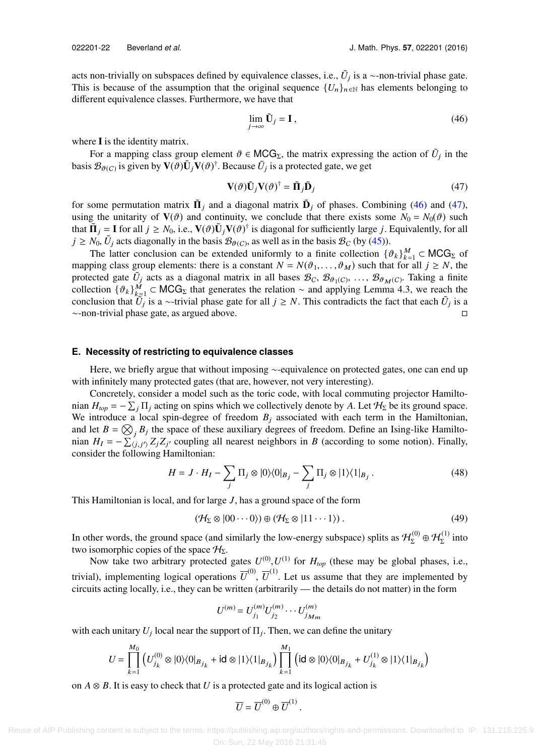acts non-trivially on subspaces defined by equivalence classes, i.e.,  $\tilde{U}_j$  is a ∼-non-trivial phase gate. This is because of the assumption that the original sequence  $\{U_n\}_{n\in\mathbb{N}}$  has elements belonging to different equivalence classes. Furthermore, we have that

<span id="page-21-2"></span><span id="page-21-1"></span>
$$
\lim_{j \to \infty} \tilde{\mathbf{U}}_j = \mathbf{I},\tag{46}
$$

where **I** is the identity matrix.

For a mapping class group element  $\theta \in \text{MCG}_\Sigma$ , the matrix expressing the action of  $\tilde{U}_j$  in the  $\mathbb{E}(\mathcal{B}_{\text{CC}})$  is given by  $\mathbf{V}(\theta)$   $\mathbf{I}$ . Recause  $\tilde{U}_j$  is a protected gate, we get basis  $\mathcal{B}_{\theta(C)}$  is given by  $\mathbf{V}(\theta)\tilde{\mathbf{U}}_j\tilde{\mathbf{V}}(\theta)^{\dagger}$ . Because  $\tilde{U}_j$  is a protected gate, we get

$$
\mathbf{V}(\vartheta)\tilde{\mathbf{U}}_j\mathbf{V}(\vartheta)^{\dagger} = \tilde{\mathbf{\Pi}}_j\tilde{\mathbf{D}}_j
$$
 (47)

for some permutation matrix  $\tilde{\mathbf{\Pi}}_j$  and a diagonal matrix  $\tilde{\mathbf{D}}_j$  of phases. Combining [\(46\)](#page-21-1) and [\(47\),](#page-21-2) using the unitarity of  $\mathbf{V}(\vartheta)$  and continuity, we conclude that there exists some  $N_0 = N_0(\vartheta)$  such that  $\tilde{\mathbf{\Pi}}_j = \mathbf{I}$  for all  $j \ge N_0$ , i.e.,  $\mathbf{V}(\vartheta)\tilde{\mathbf{U}}_j\mathbf{V}(\vartheta)^{\dagger}$  is diagonal for sufficiently large *j*. Equivalently, for all  $j > N_0$ ,  $\tilde{U}_j$  acts diagonally in the basis  $\mathcal{B}_{\text{S}}(\vartheta)$  as in  $j \ge N_0$ ,  $\tilde{U}_j$  acts diagonally in the basis  $\mathcal{B}_{\theta(C)}$ , as well as in the basis  $\mathcal{B}_C$  (by [\(45\)\)](#page-20-1).

The latter conclusion can be extended uniformly to a finite collection  $\{\vartheta_k\}_{k=1}^M \subset MCG_\Sigma$  of ning class group elements: there is a constant  $N = N(\vartheta, \vartheta)$  such that for all  $i > N$  the mapping class group elements: there is a constant  $N = N(\vartheta_1, \dots, \vartheta_M)$  such that for all  $j \ge N$ , the protected gate  $\tilde{U}_j$  acts as a diagonal matrix in all bases  $\mathcal{B}_C$ ,  $\mathcal{B}_{\theta_1(C)}$ , ...,  $\mathcal{B}_{\theta_M(C)}$ . Taking a finite collection  $\mathcal{A}^3$ ,  $M \subset MCG$ , that concretes the relation and applying Lamma 4.3, we reach t collection  $\{\vartheta_k\}_{k=1}^M$  ⊂ MCG<sub>Σ</sub> that generates the relation ∼ and applying Lemma 4.3, we reach the conclusion that  $\tilde{U}$ , is a certivial phase gate for all  $i > N$ . This contradicts the fact that each  $\tilde{U}$ , is a conclusion that  $\tilde{U}_j$  is a ~-trivial phase gate for all  $j \ge N$ . This contradicts the fact that each  $\tilde{U}_j$  is a ∼-non-trivial phase gate, as argued above.

#### <span id="page-21-0"></span>**E. Necessity of restricting to equivalence classes**

Here, we briefly argue that without imposing ∼-equivalence on protected gates, one can end up with infinitely many protected gates (that are, however, not very interesting).

Concretely, consider a model such as the toric code, with local commuting projector Hamiltonian  $H_{top} = -\sum_j \Pi_j$  acting on spins which we collectively denote by *A*. Let  $H_{\Sigma}$  be its ground space. We introduce a local spin-degree of freedom  $B_j$  associated with each term in the Hamiltonian, and let  $B = \bigotimes_j B_j$  the space of these auxiliary degrees of freedom. Define an Ising-like Hamiltonian  $H_I = -\sum_{i,j,j'}^{\gamma} Z_j Z_{j'}$  coupling all nearest neighbors in *B* (according to some notion). Finally, consider the following Hamiltonian:

$$
H = J \cdot H_I - \sum_j \Pi_j \otimes |0\rangle\langle 0|_{B_j} - \sum_j \Pi_j \otimes |1\rangle\langle 1|_{B_j}.
$$
 (48)

This Hamiltonian is local, and for large *J*, has a ground space of the form

<span id="page-21-3"></span>
$$
(\mathcal{H}_{\Sigma} \otimes |00\cdots 0\rangle) \oplus (\mathcal{H}_{\Sigma} \otimes |11\cdots 1\rangle). \tag{49}
$$

In other words, the ground space (and similarly the low-energy subspace) splits as  $\mathcal{H}^{(0)}_{\Sigma} \oplus \mathcal{H}^{(1)}_{\Sigma}$  into two isomorphic copies of the space  $H_{\Sigma}$ .

Now take two arbitrary protected gates  $U^{(0)}, U^{(1)}$  for  $H_{top}$  (these may be global phases, i.e., trivial), implementing logical operations  $\overline{U}^{(0)}$ ,  $\overline{U}^{(1)}$ . Let us assume that they are implemented by circuits acting locally, i.e., they can be written (arbitrarily — the details do not matter) in the form

<span id="page-21-4"></span>
$$
U^{(m)} = U_{j_1}^{(m)} U_{j_2}^{(m)} \cdots U_{j_{M_m}}^{(m)}
$$

with each unitary  $U_j$  local near the support of  $\Pi_j$ . Then, we can define the unitary

$$
U = \prod_{k=1}^{M_0} \left( U_{j_k}^{(0)} \otimes |0\rangle\langle 0|_{B_{j_k}} + \text{id} \otimes |1\rangle\langle 1|_{B_{j_k}} \right) \prod_{k=1}^{M_1} \left( \text{id} \otimes |0\rangle\langle 0|_{B_{j_k}} + U_{j_k}^{(1)} \otimes |1\rangle\langle 1|_{B_{j_k}} \right)
$$

on  $A \otimes B$ . It is easy to check that *U* is a protected gate and its logical action is

$$
\overline{U}=\overline{U}^{(0)}\oplus \overline{U}^{(1)}
$$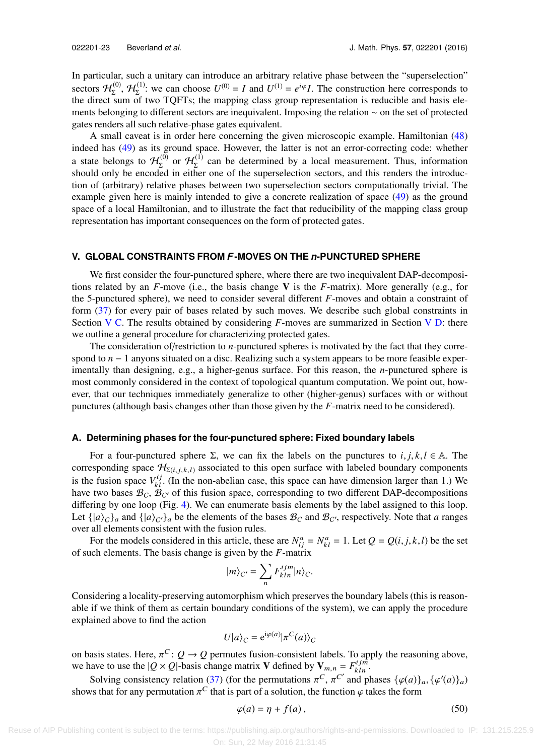In particular, such a unitary can introduce an arbitrary relative phase between the "superselection" sectors  $H_{\Sigma}^{(0)}$ ,  $H_{\Sigma}^{(1)}$ : we can choose  $U^{(0)} = I$  and  $U^{(1)} = e^{i\varphi}I$ . The construction here corresponds to the direct sum of two TQFTs; the mapping class group representation is reducible and basis elements belonging to different sectors are inequivalent. Imposing the relation ∼ on the set of protected gates renders all such relative-phase gates equivalent.

A small caveat is in order here concerning the given microscopic example. Hamiltonian [\(48\)](#page-21-3) indeed has [\(49\)](#page-21-4) as its ground space. However, the latter is not an error-correcting code: whether a state belongs to  $\mathcal{H}_{\Sigma}^{(0)}$  or  $\mathcal{H}_{\Sigma}^{(1)}$  can be determined by a local measurement. Thus, information should only be encoded in either one of the superselection sectors, and this renders the introduction of (arbitrary) relative phases between two superselection sectors computationally trivial. The example given here is mainly intended to give a concrete realization of space [\(49\)](#page-21-4) as the ground space of a local Hamiltonian, and to illustrate the fact that reducibility of the mapping class group representation has important consequences on the form of protected gates.

# <span id="page-22-0"></span>**V. GLOBAL CONSTRAINTS FROM** *F***-MOVES ON THE** *n***-PUNCTURED SPHERE**

We first consider the four-punctured sphere, where there are two inequivalent DAP-decompositions related by an  $F$ -move (i.e., the basis change V is the  $F$ -matrix). More generally (e.g., for the 5-punctured sphere), we need to consider several different *F*-moves and obtain a constraint of form [\(37\)](#page-17-1) for every pair of bases related by such moves. We describe such global constraints in Section [V C.](#page-24-0) The results obtained by considering *F*-moves are summarized in Section [V D:](#page-26-1) there we outline a general procedure for characterizing protected gates.

The consideration of/restriction to *n*-punctured spheres is motivated by the fact that they correspond to *n* − 1 anyons situated on a disc. Realizing such a system appears to be more feasible experimentally than designing, e.g., a higher-genus surface. For this reason, the *n*-punctured sphere is most commonly considered in the context of topological quantum computation. We point out, however, that our techniques immediately generalize to other (higher-genus) surfaces with or without punctures (although basis changes other than those given by the *F*-matrix need to be considered).

## <span id="page-22-1"></span>**A. Determining phases for the four-punctured sphere: Fixed boundary labels**

For a four-punctured sphere  $\Sigma$ , we can fix the labels on the punctures to *i*, *j*, *k*, *l*  $\in$  A. The corresponding space  $\mathcal{H}_{\Sigma(i,j,k,l)}$  associated to this open surface with labeled boundary components is the fusion space  $V_{kl}^{ij}$ . (In the non-abelian case, this space can have dimension larger than 1.) We have two bases  $\mathcal{B}_C$ ,  $\mathcal{B}_{C'}$  of this fusion space, corresponding to two different DAP-decompositions differing by one loop (Fig. [4\)](#page-10-1). We can enumerate basis elements by the label assigned to this loop. Let  $\{|a\rangle_C\}_a$  and  $\{|a\rangle_{C'}\}_a$  be the elements of the bases  $B_C$  and  $B_{C'}$ , respectively. Note that *a* ranges over all elements consistent with the fusion rules.

For the models considered in this article, these are  $N_{ij}^a = N_{kl}^a = 1$ . Let  $Q = Q(i, j, k, l)$  be the set schements. The basis change is given by the *E*-matrix of such elements. The basis change is given by the *F*-matrix

$$
|m\rangle_{C'} = \sum_{n} F^{ijm}_{kln} |n\rangle_{C}.
$$

Considering a locality-preserving automorphism which preserves the boundary labels (this is reasonable if we think of them as certain boundary conditions of the system), we can apply the procedure explained above to find the action

$$
U|a\rangle_C = e^{i\varphi(a)}|\pi^C(a)\rangle_C
$$

on basis states. Here,  $\pi^C$ :  $Q \to Q$  permutes fusion-consistent labels. To apply the reasoning above, we have to use the  $|Q \times Q|$ -basis change matrix **V** defined by **V**  $E = E^{ijm}$ we have to use the  $|Q \times Q|$ -basis change matrix **V** defined by  $V_{m,n} = F_{kln}^{ijm}$ .

Solving consistency relation [\(37\)](#page-17-1) (for the permutations  $\pi^C$ ,  $\pi^{C'}$  and phases  $\{\varphi(a)\}_a$ ,  $\{\varphi'(a)\}_a$ ) shows that for any permutation  $\pi^C$  that is part of a solution, the function  $\varphi$  takes the form

$$
\varphi(a) = \eta + f(a),\tag{50}
$$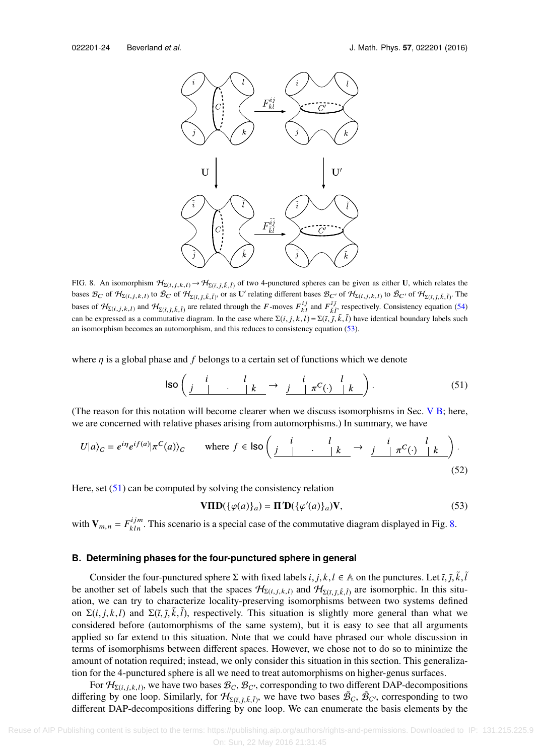<span id="page-23-3"></span>

FIG. 8. An isomorphism  $\mathcal{H}_{\Sigma(i,j,k,l)} \to \mathcal{H}_{\Sigma(i,j,\bar{k},\bar{l})}$  of two 4-punctured spheres can be given as either U, which relates the bases  $\mathcal{B}_C$  of  $\mathcal{H}_{\Sigma(i,j,k,l)}$  to  $\tilde{\mathcal{B}}_C$  of  $\mathcal{H}_{\Sigma(i,\bar{j},\bar{k},\bar{l})}$ , or as U' relating different bases  $\mathcal{B}_{C'}$  of  $\mathcal{H}_{\Sigma(i,j,k,l)}$  to  $\tilde{\mathcal{B}}_{C'}$  of  $\mathcal{H}_{\Sigma(i,\bar{j},\bar{k},\bar{l})}$ . The bases of  $\mathcal{H}_{\Sigma(i,j,k,l)}$  and  $\mathcal{H}_{\Sigma(i,j,\bar{k},\bar{l})}$  are related through the F-moves  $F_{kl}^{ij}$  and  $F_{\bar{l},\bar{l}}^{ij}$ , respectively. Consistency equation [\(54\)](#page-24-1) can be expressed as a commutative diagram. In the case where  $\Sigma(i, j, k, l) = \Sigma(i, \tilde{j}, \tilde{k}, \tilde{l})$  have identical boundary labels such an isomorphism becomes an automorphism and this reduces to consistency equation (53). an isomorphism becomes an automorphism, and this reduces to consistency equation [\(53\).](#page-23-0)

where  $\eta$  is a global phase and  $f$  belongs to a certain set of functions which we denote

$$
\text{Iso}\left(\begin{array}{c|c} i & l & i \end{array}\right) \longrightarrow \begin{array}{c|c} i & l & i \end{array}\begin{array}{c} i & l \end{array}\begin{array}{c} i & l \end{array}\begin{array}{c} (51) \end{array}\end{array}
$$

(The reason for this notation will become clearer when we discuss isomorphisms in Sec.  $V$  B; here, we are concerned with relative phases arising from automorphisms.) In summary, we have

$$
U|a\rangle_C = e^{i\eta}e^{i f(a)} |\pi^C(a)\rangle_C \qquad \text{where } f \in \text{Iso}\left(\begin{array}{c|c} i & l & i & i \ \hline j & j & \pi^C(\cdot) & k \end{array}\right). \tag{52}
$$

Here, set  $(51)$  can be computed by solving the consistency relation

<span id="page-23-2"></span><span id="page-23-0"></span>
$$
\mathbf{VID}(\{\varphi(a)\}_a) = \mathbf{\Pi}' \mathbf{D}(\{\varphi'(a)\}_a) \mathbf{V},\tag{53}
$$

<span id="page-23-1"></span>with  $V_{m,n} = F_{kln}^{ijm}$ . This scenario is a special case of the commutative diagram displayed in Fig. [8.](#page-23-3)

# **B. Determining phases for the four-punctured sphere in general**

Consider the four-punctured sphere  $\Sigma$  with fixed labels *i*, *j*, *k*, *l* ∈ A on the punctures. Let  $\tilde{i}$ ,  $\tilde{j}$ ,  $\tilde{k}$ ,  $\tilde{l}$ , nother set of labels such that the spaces  $\mathcal{H}_{\text{CAL}}$ ,  $\tilde{s}$ , are isomorphic. be another set of labels such that the spaces  $H_{\Sigma(i,j,k,l)}$  and  $H_{\Sigma(i,j,\bar{k},\bar{l})}$  are isomorphic. In this situation, we can try to characterize locality preserving isomorphisms between two systems defined ation, we can try to characterize locality-preserving isomorphisms between two systems defined on  $\Sigma(i, j, k, l)$  and  $\Sigma(i, \tilde{j}, \tilde{k}, \tilde{l})$ , respectively. This situation is slightly more general than what we considered before (automorphisms of the same system), but it is easy to see that all arguments considered before (automorphisms of the same system), but it is easy to see that all arguments applied so far extend to this situation. Note that we could have phrased our whole discussion in terms of isomorphisms between different spaces. However, we chose not to do so to minimize the amount of notation required; instead, we only consider this situation in this section. This generalization for the 4-punctured sphere is all we need to treat automorphisms on higher-genus surfaces.

For  $\mathcal{H}_{\Sigma(i,j,k,l)}$ , we have two bases  $\mathcal{B}_C$ ,  $\mathcal{B}_{C'}$ , corresponding to two different DAP-decompositions  $\sum_{i=1}^{N} \mathcal{B}_{C}$  are have two bases  $\mathcal{B}_{C}$  are associations to two differing by one loop. Similarly, for  $H_{\Sigma(\tilde{I},\tilde{J},\tilde{k},\tilde{l})}$ , we have two bases  $\tilde{\mathcal{B}}_C$ ,  $\tilde{\mathcal{B}}_{C'}$ , corresponding to two different DAP decompositions differing by one loop. We can enumerate the basis ele different DAP-decompositions differing by one loop. We can enumerate the basis elements by the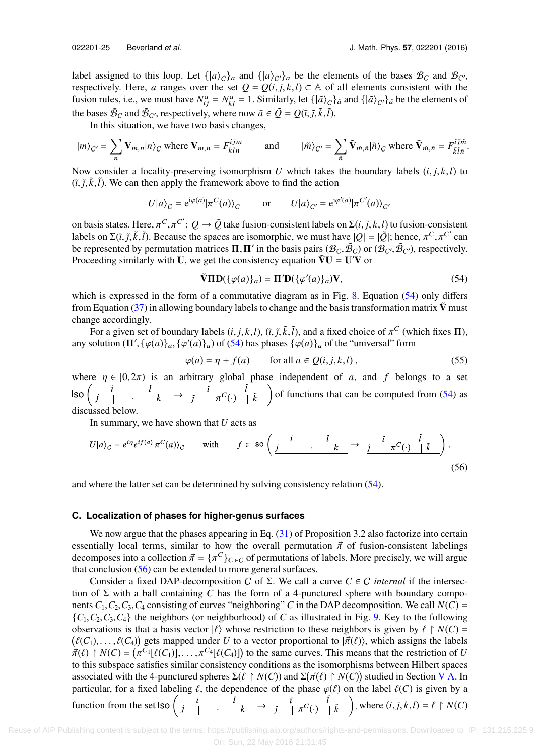label assigned to this loop. Let  $\{|a\rangle_{C}\}_a$  and  $\{|a\rangle_{C'}\}_a$  be the elements of the bases  $B_C$  and  $B_{C'}$ , respectively. Here, *a* ranges over the set  $Q = Q(i, j, k, l) \subset \mathbb{A}$  of all elements consistent with the fusion rules, i.e., we must have  $N_{ij}^a = N_{kl}^a = 1$ . Similarly, let  $\{\ket{\tilde{a}}_c\}_{\tilde{a}}$  and  $\{\ket{\tilde{a}}_{c'}\}_{\tilde{a}}$  be the elements of the bases  $\tilde{\mathcal{B}}_C$  and  $\tilde{\mathcal{B}}_{C'}$ , respectively, where now  $\tilde{a} \in \tilde{Q} = Q(\tilde{i}, \tilde{j}, \tilde{k}, \tilde{l})$ .<br>In this situation, we have two basis changes

In this situation, we have two basis changes,

$$
|m\rangle_{C'} = \sum_{n} \mathbf{V}_{m,n} |n\rangle_C \text{ where } \mathbf{V}_{m,n} = F_{kln}^{ijm} \qquad \text{ and } \qquad |\tilde{m}\rangle_{C'} = \sum_{\tilde{n}} \tilde{\mathbf{V}}_{\tilde{m},\tilde{n}} |\tilde{n}\rangle_C \text{ where } \tilde{\mathbf{V}}_{\tilde{m},\tilde{n}} = F_{\tilde{k}\tilde{l}\tilde{n}}^{\tilde{i}\tilde{j}\tilde{m}}
$$

Now consider a locality-preserving isomorphism *U* which takes the boundary labels  $(i, j, k, l)$  to  $(\tilde{t}, \tilde{j}, \tilde{k}, \tilde{l})$ . We can then apply the framework above to find the action

$$
U|a\rangle_C = e^{i\varphi(a)}|\pi^C(a)\rangle_C
$$
 or  $U|a\rangle_{C'} = e^{i\varphi'(a)}|\pi^{C'}(a)\rangle_{C'}$ 

on basis states. Here,  $\pi^C$ ,  $\pi^{C'}$ :  $Q \to \tilde{Q}$  take fusion-consistent labels on  $\Sigma(i, j, k, l)$  to fusion-consistent labels on  $\Sigma(i, \tilde{i}, \tilde{k}, l)$ . Because the spaces are isomorphic, we must have  $|Q| = |\tilde{Q}|$ ; hence  $\pi^$ labels on  $\Sigma(\tilde{t}, \tilde{j}, \tilde{k}, \tilde{l})$ . Because the spaces are isomorphic, we must have  $|Q| = |\tilde{Q}|$ ; hence,  $\pi^C, \pi^{C'}$  can be represented by permutation matrices **H H**' in the basis pairs ( $\mathcal{B}_{\alpha}, \tilde{\mathcal{B}}_{\alpha}$ ) or ( be represented by permutation matrices  $\Pi$ ,  $\Pi'$  in the basis pairs ( $\mathcal{B}_{C}, \tilde{\mathcal{B}}_{C}$ ) or ( $\mathcal{B}_{C'}$ ,  $\tilde{\mathcal{B}}_{C'}$ ), respectively.<br>Proceeding similarly with  $\Pi$ , we get the consistency equation  $\tilde{\mathbf{V}}\mathbf{U$ Proceeding similarly with U, we get the consistency equation  $\tilde{V}U = U'V$  or

<span id="page-24-1"></span>
$$
\tilde{\mathbf{V}}\mathbf{IID}(\{\varphi(a)\}_a) = \mathbf{\Pi}'\mathbf{D}(\{\varphi'(a)\}_a)\mathbf{V},\tag{54}
$$

which is expressed in the form of a commutative diagram as in Fig. [8.](#page-23-3) Equation [\(54\)](#page-24-1) only differs from Equation [\(37\)](#page-17-1) in allowing boundary labels to change and the basis transformation matrix  $\tilde{V}$  must change accordingly.

For a given set of boundary labels  $(i, j, k, l)$ ,  $(\tilde{i}, \tilde{j}, \tilde{k}, \tilde{l})$ , and a fixed choice of  $\pi^C$  (which fixes  $\Pi$ ), solution  $(\Pi' f(a|\lambda) - f(a'|\lambda))$  of  $(5\lambda)$  has phases  $f(a|\lambda)$ , of the "universal" form any solution  $(\mathbf{\Pi}', {\{\varphi(a)\}_a}, {\{\varphi'(a)\}_a})$  of [\(54\)](#page-24-1) has phases  ${\{\varphi(a)\}_a}$  of the "universal" form

<span id="page-24-2"></span>
$$
\varphi(a) = \eta + f(a) \qquad \text{for all } a \in Q(i, j, k, l), \tag{55}
$$

where  $\eta \in [0,2\pi)$  is an arbitrary global phase independent of *a*, and *f* belongs to a set<br>  $\text{Iso}\left(\begin{array}{ccc} i & l \\ j & \cdots \end{array} \middle| k \right) \rightarrow \tilde{I}$   $\pi^{C}(\cdot) \left|\begin{array}{c} i \\ k \end{array}\right)$  of functions that can be computed from (54) as of functions that can be computed from [\(54\)](#page-24-1) as  $k$ discussed below.

In summary, we have shown that *U* acts as

$$
U|a\rangle_C = e^{i\eta}e^{if(a)}|\pi^C(a)\rangle_C \qquad \text{with} \qquad f \in \text{Iso}\left(\begin{array}{c|ccc} i & & l \\ \hline j & & \cdot & | & k \end{array}\right) \to \begin{array}{c} \tilde{i} & \pi^C(\cdot) & \tilde{i} \\ \hline j & & \pi^C(\cdot) & | & k \end{array}\right),\tag{56}
$$

<span id="page-24-0"></span>and where the latter set can be determined by solving consistency relation [\(54\).](#page-24-1)

## **C. Localization of phases for higher-genus surfaces**

We now argue that the phases appearing in Eq.  $(31)$  of Proposition 3.2 also factorize into certain essentially local terms, similar to how the overall permutation  $\vec{\pi}$  of fusion-consistent labelings decomposes into a collection  $\vec{\pi} = {\pi^C}_{C \in C}$  of permutations of labels. More precisely, we will argue<br>that conclusion (56) can be extended to more general surfaces that conclusion [\(56\)](#page-24-2) can be extended to more general surfaces.

Consider a fixed DAP-decomposition *C* of  $\Sigma$ . We call a curve  $C \in \mathcal{C}$  *internal* if the intersection of  $\Sigma$  with a ball containing *C* has the form of a 4-punctured sphere with boundary components  $C_1$ ,  $C_2$ ,  $C_3$ ,  $C_4$  consisting of curves "neighboring" *C* in the DAP decomposition. We call  $N(C)$  =  ${C_1, C_2, C_3, C_4}$  the neighbors (or neighborhood) of *C* as illustrated in Fig. [9.](#page-25-0) Key to the following observations is that a basis vector  $|\ell\rangle$  whose restriction to these neighbors is given by  $\ell \restriction N(C) = \ell(C)$ .  $\ell(C_1), \ldots, \ell(C_4)$  gets mapped under *U* to a vector proportional to  $|\vec{\pi}(\ell)\rangle$ , which assigns the labels  $\vec{\pi}(\ell) \in N(C) - (\pi^C \mathbb{I}[\ell(C_1)])$  to the same curves. This means that the restriction of *U*  $(\ell(C_1), \ldots, \ell(C_4))$  gets mapped under *U* to a vector proportional to  $|\pi(\ell)$ , which assigns the labels  $\vec{\pi}(\ell) \restriction N(C) = (\pi^{C_1}[\ell(C_1)], \ldots, \pi^{C_4}[\ell(C_4)])$  to the same curves. This means that the restriction of *U* to this subs to this subspace satisfies similar consistency conditions as the isomorphisms between Hilbert spaces associated with the 4-punctured spheres  $\Sigma(\ell \upharpoonright N(C))$  and  $\Sigma(\vec{\pi}(\ell) \upharpoonright N(C))$  studied in Section [V A.](#page-22-1) In particular, for a fixed labeling  $\ell$ , the dependence of the phase  $\varphi(\ell)$  on the label  $\ell(C)$  is given by a particular, for a fixed labeling  $\ell$ , the dependence of the phase  $\varphi(\ell)$  on the label  $\ell(C)$  is given by a function from the set  $\text{Iso}\left(\begin{array}{ccc}i&1\\j&1\end{array}\right)$   $\rightarrow$   $\tilde{i}$   $\begin{array}{ccc}i&\tilde{j} & \tilde{l} \\ \pi^C(\cdot) & \tilde{l} & \tilde{k}\end{array}$  $\begin{bmatrix} i \\ j \end{bmatrix}$ , where  $(i, j, k, l) = \ell \upharpoonright N(C)$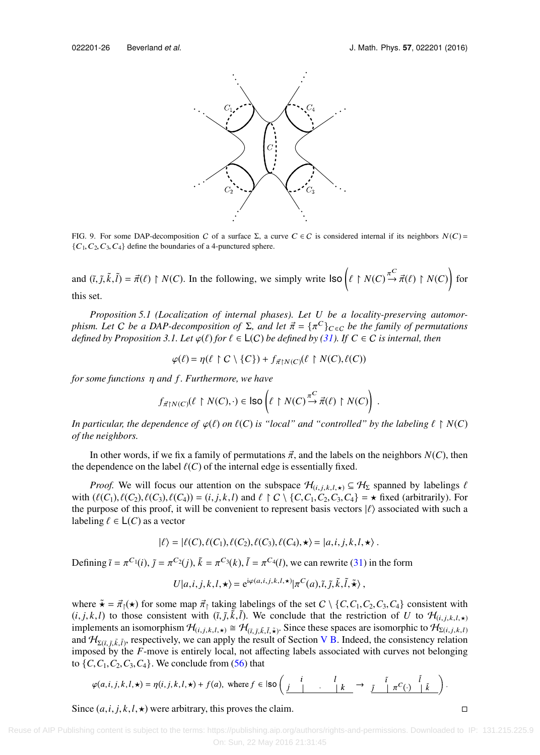<span id="page-25-0"></span>

FIG. 9. For some DAP-decomposition C of a surface  $\Sigma$ , a curve  $C \in C$  is considered internal if its neighbors  $N(C)$  =  $\{C_1, C_2, C_3, C_4\}$  define the boundaries of a 4-punctured sphere.

and  $(\tilde{i}, \tilde{j}, \tilde{k}, \tilde{l}) = \vec{\pi}(\ell) \upharpoonright N(C)$ . In the following, we simply write  $\vert \text{so} \left( \ell \upharpoonright N(C) \xrightarrow{\pi^C} \vec{\pi}(\ell) \upharpoonright N(C) \right)$  for this set.

*Proposition 5.1 (Localization of internal phases). Let U be a locality-preserving automorphism. Let C be a DAP-decomposition of*  $\Sigma$ , and let  $\vec{\pi} = {\{\pi^C\}}_{C \in C}$  *be the family of permutations* defined by Proposition 3.1. Let  $\varphi$ ( $\ell$ ) for  $\ell \in L(C)$  be defined by (3.1). If  $C \in C$  is internal, then *defined by Proposition 3.1. Let*  $\varphi(\ell)$  *for*  $\ell \in L(C)$  *be defined by* [\(31\).](#page-16-0) *If*  $C \in C$  *is internal, then* 

$$
\varphi(\ell) = \eta(\ell \restriction C \setminus \{C\}) + f_{\vec{\pi} \restriction N(C)}(\ell \restriction N(C), \ell(C))
$$

*for some functions* η *and f . Furthermore, we have*

$$
f_{\vec{\pi}\restriction N(C)}(\ell \restriction N(C),\cdot) \in \mathsf{Iso}\left(\ell \restriction N(C) \xrightarrow{\pi^C} \vec{\pi}(\ell) \restriction N(C)\right) .
$$

*In particular, the dependence of*  $\varphi(\ell)$  *on*  $\ell(C)$  *is "local" and "controlled" by the labeling*  $\ell \upharpoonright N(C)$ *of the neighbors.*

In other words, if we fix a family of permutations  $\vec{\pi}$ , and the labels on the neighbors  $N(C)$ , then the dependence on the label  $\ell(C)$  of the internal edge is essentially fixed.

*Proof.* We will focus our attention on the subspace  $\mathcal{H}_{(i,j,k,l,\star)} \subseteq \mathcal{H}_{\Sigma}$  spanned by labelings  $\ell$ with  $(\ell(C_1), \ell(C_2), \ell(C_3), \ell(C_4)) = (i, j, k, l)$  and  $\ell \restriction C \setminus \{C, C_1, C_2, C_3, C_4\} = \star$  fixed (arbitrarily). For the purpose of this proof, it will be convenient to represent basis vectors  $|\ell\rangle$  associated with such a labeling  $\ell \in L(C)$  as a vector

$$
|\ell\rangle = |\ell(C), \ell(C_1), \ell(C_2), \ell(C_3), \ell(C_4), \star\rangle = |a, i, j, k, l, \star\rangle.
$$

Defining  $\tilde{i} = \pi^{C_1}(i)$ ,  $\tilde{j} = \pi^{C_2}(j)$ ,  $\tilde{k} = \pi^{C_3}(k)$ ,  $\tilde{l} = \pi^{C_4}(l)$ , we can rewrite [\(31\)](#page-16-0) in the form

$$
U|a,i,j,k,l,\star\rangle = e^{i\varphi(a,i,j,k,l,\star)} |\pi^{C}(a),\tilde{i},\tilde{j},\tilde{k},\tilde{l},\tilde{\star}\rangle,
$$

where  $\tilde{\mathbf{x}} = \vec{\pi}_1(\mathbf{x})$  for some map  $\vec{\pi}_1$  taking labelings of the set  $C \setminus \{C, C_1, C_2, C_3, C_4\}$  consistent with  $(i, j, k, l)$  to those consistent with  $(i, \tilde{j}, \tilde{k}, \tilde{l})$ . We conclude that the restriction of *U* to  $\mathcal{H}_{(i, j, k, l, \star)}$ <br>implements an isomorphism  $\mathcal{H}_{(i, j, k, l, \star)} \approx \mathcal{H}_{(i, j, k, l, \star)}$ . implements an isomorphism  $\mathcal{H}_{(i,j,k,l,\star)} \cong \mathcal{H}_{(\tilde{i},\tilde{j},\tilde{k},\tilde{l},\tilde{\star})}$ . Since these spaces are isomorphic to  $\mathcal{H}_{\Sigma(i,j,k,l)}$ and  $H_{\Sigma(i, \tilde{j}, \tilde{k}, \tilde{l})}$ , respectively, we can apply the result of Section [V B.](#page-23-1) Indeed, the consistency relation imposed by the E move is entirely local, not affecting labels associated with curves not belonging imposed by the *F*-move is entirely local, not affecting labels associated with curves not belonging to  $\{C, C_1, C_2, C_3, C_4\}$ . We conclude from [\(56\)](#page-24-2) that

$$
\varphi(a,i,j,k,l,\star) = \eta(i,j,k,l,\star) + f(a), \text{ where } f \in \text{Iso}\left(\begin{array}{c|c} i & l & l \\ j & \cdot & k \end{array}\right) \rightarrow \begin{array}{c} \tilde{i} & \tilde{I} & \tilde{I} \\ \tilde{I} & \tilde{I} & \tilde{I} \end{array}\right).
$$

Since  $(a, i, j, k, l, \star)$  were arbitrary, this proves the claim.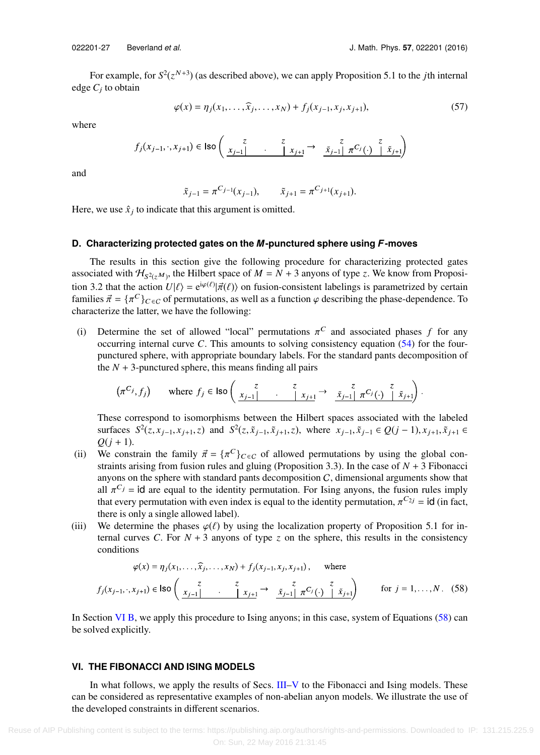For example, for  $S^2(z^{N+3})$  (as described above), we can apply Proposition 5.1 to the *j*th internal edge *C*<sup>j</sup> to obtain

$$
\varphi(x) = \eta_j(x_1, \dots, \widehat{x}_j, \dots, x_N) + f_j(x_{j-1}, x_j, x_{j+1}),
$$
\n(57)

where

$$
f_j(x_{j-1}, \cdot, x_{j+1}) \in \text{Iso}\left(\begin{array}{ccc} z & z & z \\ \frac{x_{j-1}}{z} & \cdots & \frac{x_{j+1}}{z} \end{array} \right) \xrightarrow{\tilde{x}} \frac{z}{\tilde{x}_{j-1}} \frac{z}{\pi C_j(\cdot)} \begin{array}{c} z \\ \tilde{x}_{j+1} \end{array}
$$

and

$$
\tilde{x}_{j-1} = \pi^{C_{j-1}}(x_{j-1}),
$$
  $\tilde{x}_{j+1} = \pi^{C_{j+1}}(x_{j+1}).$ 

<span id="page-26-1"></span>Here, we use  $\hat{x}_j$  to indicate that this argument is omitted.

# **D. Characterizing protected gates on the** *M***-punctured sphere using** *F***-moves**

The results in this section give the following procedure for characterizing protected gates associated with  $H_{S^2(z^M)}$ , the Hilbert space of  $M = N + 3$  anyons of type *z*. We know from Proposition 3.2 that the action  $U|\ell\rangle = e^{i\varphi(\ell)}|\vec{\pi}(\ell)\rangle$  on fusion-consistent labelings is parametrized by certain families  $\vec{\pi} = I \pi C \lambda_{\ell}$ , a of permutations as well as a function  $\varphi$  describing the phase-dependence. To families  $\vec{\pi} = {\{\pi^C\}}_{C \in C}$  of permutations, as well as a function  $\varphi$  describing the phase-dependence. To characterize the latter we have the following: characterize the latter, we have the following:

(i) Determine the set of allowed "local" permutations  $\pi^C$  and associated phases *f* for any occurring internal curve *C*. This amounts to solving consistency equation (54) for the fouroccurring internal curve *C*. This amounts to solving consistency equation [\(54\)](#page-24-1) for the fourpunctured sphere, with appropriate boundary labels. For the standard pants decomposition of the  $N + 3$ -punctured sphere, this means finding all pairs

$$
(\pi^{C_j}, f_j) \quad \text{where } f_j \in \text{Iso}\left(\begin{array}{cc} z & z & z \\ x_{j-1} & \cdot & |x_{j+1}| \end{array} \rightarrow \begin{array}{cc} z & z \\ \tilde{x}_{j-1} & \pi^{C_j}(\cdot) & |x_{j+1}| \end{array}\right).
$$

These correspond to isomorphisms between the Hilbert spaces associated with the labeled surfaces  $S^2(z, x_{j-1}, x_{j+1}, z)$  and  $S^2(z, \tilde{x}_{j-1}, \tilde{x}_{j+1}, z)$ , where  $x_{j-1}, \tilde{x}_{j-1} \in Q(j-1), x_{j+1}, \tilde{x}_{j+1} \in$   $Q(i+1)$  $Q(j + 1)$ .

- (ii) We constrain the family  $\vec{\pi} = {\pi^C}_{C \in C}$  of allowed permutations by using the global con-<br>straints arising from fusion rules and gluing (Proposition 3.3). In the case of  $N + 3$  Fibonacci straints arising from fusion rules and gluing (Proposition 3.3). In the case of  $N + 3$  Fibonacci anyons on the sphere with standard pants decomposition  $C$ , dimensional arguments show that all  $\pi^{C_j}$  = id are equal to the identity permutation. For Ising anyons, the fusion rules imply<br>that every permutation with even index is equal to the identity permutation  $\pi^{C_{2j}}$  = id (in fact that every permutation with even index is equal to the identity permutation,  $\pi^{C_{2j}} = id$  (in fact, there is only a single allowed label) there is only a single allowed label).
- (iii) We determine the phases  $\varphi(\ell)$  by using the localization property of Proposition 5.1 for internal curves *C*. For  $N + 3$  anyons of type *z* on the sphere, this results in the consistency conditions

<span id="page-26-2"></span>
$$
\varphi(x) = \eta_j(x_1, ..., \hat{x}_j, ..., x_N) + f_j(x_{j-1}, x_j, x_{j+1}), \text{ where}
$$
  

$$
f_j(x_{j-1}, ..., x_{j+1}) \in \text{Iso}\left(\begin{array}{ccc} z & z & z \\ \frac{x_{j-1}}{z} & \frac{z}{z_{j-1}} & \frac{z}{z} \\ \frac{z_{j-1}}{z} & \frac{z}{z_{j-1}} & \frac{z}{z_{j+1}} \end{array}\right) \text{ for } j = 1, ..., N. \quad (58)
$$

<span id="page-26-0"></span>In Section [VI B,](#page-29-1) we apply this procedure to Ising anyons; in this case, system of Equations [\(58\)](#page-26-2) can be solved explicitly.

# **VI. THE FIBONACCI AND ISING MODELS**

In what follows, we apply the results of Secs. [III–](#page-14-0)[V](#page-22-0) to the Fibonacci and Ising models. These can be considered as representative examples of non-abelian anyon models. We illustrate the use of the developed constraints in different scenarios.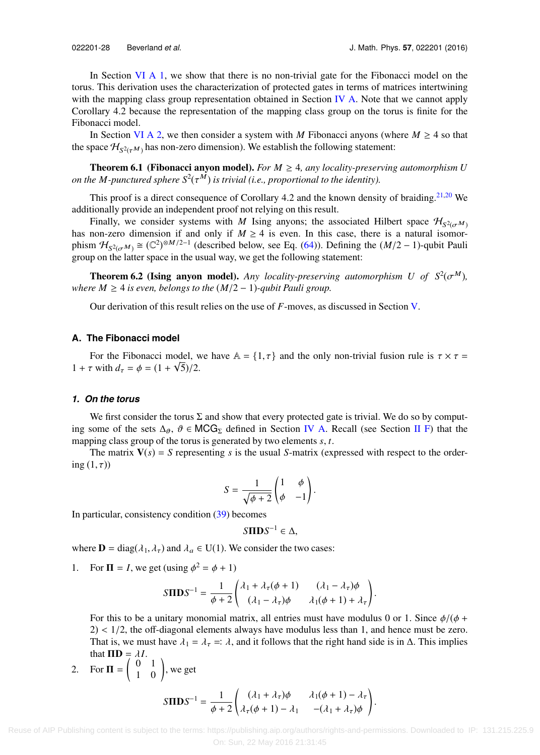In Section [VI A 1,](#page-27-0) we show that there is no non-trivial gate for the Fibonacci model on the torus. This derivation uses the characterization of protected gates in terms of matrices intertwining with the mapping class group representation obtained in Section [IV A.](#page-17-4) Note that we cannot apply Corollary 4.2 because the representation of the mapping class group on the torus is finite for the Fibonacci model.

In Section [VI A 2,](#page-28-0) we then consider a system with *M* Fibonacci anyons (where  $M \geq 4$  so that the space  $\mathcal{H}_{S^2(\tau^M)}$  has non-zero dimension). We establish the following statement:

**Theorem 6.1 (Fibonacci anyon model).** *For*  $M \geq 4$ *, any locality-preserving automorphism U on the M-punctured sphere*  $S^2(\tau^M)$  *is trivial (i.e., proportional to the identity).* 

This proof is a direct consequence of Corollary 4.2 and the known density of braiding.<sup>[21,](#page-37-36)[20](#page-37-37)</sup> We additionally provide an independent proof not relying on this result.

Finally, we consider systems with *M* Ising anyons; the associated Hilbert space  $\mathcal{H}_{S^2(\sigma^M)}$ <br>non-zero dimension if and only if  $M > 4$  is even. In this case, there is a natural isomor has non-zero dimension if and only if  $M \geq 4$  is even. In this case, there is a natural isomorphism  $\mathcal{H}_{S^2(\sigma^M)} \cong (\mathbb{C}^2)^{\otimes M/2-1}$  (described below, see Eq. [\(64\)\)](#page-31-0). Defining the  $(M/2-1)$ -qubit Pauli group on the latter space in the usual way, we get the following statement:

**Theorem 6.2 (Ising anyon model).** *Any locality-preserving automorphism U of*  $S^2(\sigma^M)$ ,<br>re  $M > 4$  is even belongs to the  $(M/2 - 1)$ -qubit Pauli group *where*  $M \geq 4$  *is even, belongs to the*  $(M/2 - 1)$ *-qubit Pauli group.* 

Our derivation of this result relies on the use of *F*-moves, as discussed in Section [V.](#page-22-0)

## **A. The Fibonacci model**

For the Fibonacci model, we have  $A = \{1, \tau\}$  and the only non-trivial fusion rule is  $\tau \times \tau = \tau$  with  $d = \phi = (1 + \sqrt{5})/2$  $1 + \tau$  with  $d_{\tau} = \phi = (1 + \sqrt{5})/2$ .

## <span id="page-27-0"></span>*1. On the torus*

We first consider the torus  $\Sigma$  and show that every protected gate is trivial. We do so by computing some of the sets  $\Delta_{\theta}$ ,  $\theta \in MCG_{\Sigma}$  defined in Section [IV A.](#page-17-4) Recall (see Section [II F\)](#page-13-0) that the mapping class group of the torus is generated by two elements *s*, *t*.

The matrix  $V(s) = S$  representing *s* is the usual *S*-matrix (expressed with respect to the ordering  $(1, \tau)$ )

$$
S = \frac{1}{\sqrt{\phi + 2}} \begin{pmatrix} 1 & \phi \\ \phi & -1 \end{pmatrix}.
$$

In particular, consistency condition [\(39\)](#page-17-3) becomes

$$
S\Pi DS^{-1} \in \Delta,
$$

where  $\mathbf{D} = \text{diag}(\lambda_1, \lambda_\tau)$  and  $\lambda_a \in U(1)$ . We consider the two cases:

1. For  $\Pi = I$ , we get (using  $\phi^2 = \phi + 1$ )

$$
S\mathbf{\Pi} \mathbf{D} S^{-1} = \frac{1}{\phi + 2} \begin{pmatrix} \lambda_1 + \lambda_\tau(\phi + 1) & (\lambda_1 - \lambda_\tau)\phi \\ (\lambda_1 - \lambda_\tau)\phi & \lambda_1(\phi + 1) + \lambda_\tau \end{pmatrix}.
$$

For this to be a unitary monomial matrix, all entries must have modulus 0 or 1. Since  $\phi/(\phi +$  $2$ )  $<$  1/2, the off-diagonal elements always have modulus less than 1, and hence must be zero. That is, we must have  $\lambda_1 = \lambda_\tau =: \lambda$ , and it follows that the right hand side is in  $\Delta$ . This implies that  $\Pi \mathbf{D} = \lambda I$ .

2. For 
$$
\mathbf{\Pi} = \begin{pmatrix} 0 & 1 \\ 1 & 0 \end{pmatrix}
$$
, we get  
\n
$$
S\Pi \mathbf{D} S^{-1} = \frac{1}{\phi + 2} \begin{pmatrix} (\lambda_1 + \lambda_2)\phi & \lambda_1(\phi + 1) - \lambda_2 \\ \lambda_2(\phi + 1) - \lambda_1 & -(\lambda_1 + \lambda_2)\phi \end{pmatrix}.
$$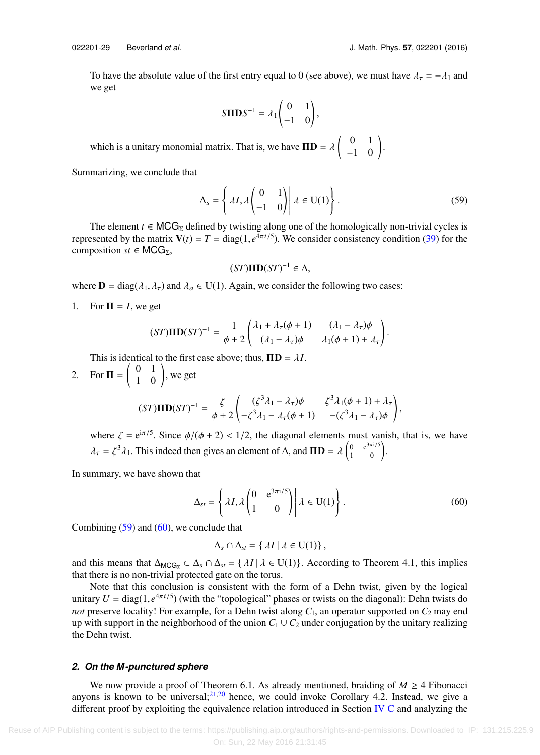To have the absolute value of the first entry equal to 0 (see above), we must have  $\lambda_{\tau} = -\lambda_1$  and we get

$$
S\Pi\mathbf{D}S^{-1} = \lambda_1 \begin{pmatrix} 0 & 1 \\ -1 & 0 \end{pmatrix},
$$

which is a unitary monomial matrix. That is, we have  $\mathbf{ID} = \lambda \begin{pmatrix} 0 & 1 \\ -1 & 0 \end{pmatrix}$ .

Summarizing, we conclude that

$$
\Delta_s = \left\{ \lambda I, \lambda \begin{pmatrix} 0 & 1 \\ -1 & 0 \end{pmatrix} \middle| \lambda \in U(1) \right\}.
$$
 (59)

The element  $t \in MCG_{\Sigma}$  defined by twisting along one of the homologically non-trivial cycles is represented by the matrix  $V(t) = T = \text{diag}(1, e^{\frac{t}{4}\pi i/5})$ . We consider consistency condition [\(39\)](#page-17-3) for the composition  $st \in MCG$ composition *st*  $\in \text{MCG}_{\Sigma}$ ,

<span id="page-28-1"></span>
$$
(ST)\Pi\mathbf{D}(ST)^{-1}\in\Delta,
$$

where  $\mathbf{D} = \text{diag}(\lambda_1, \lambda_\tau)$  and  $\lambda_a \in U(1)$ . Again, we consider the following two cases:

1. For  $\Pi = I$ , we get

$$
(ST)\mathbf{IID}(ST)^{-1} = \frac{1}{\phi+2} \begin{pmatrix} \lambda_1 + \lambda_\tau(\phi+1) & (\lambda_1 - \lambda_\tau)\phi \\ (\lambda_1 - \lambda_\tau)\phi & \lambda_1(\phi+1) + \lambda_\tau \end{pmatrix}.
$$

This is identical to the first case above; thus,  $\Pi \mathbf{D} = \lambda I$ .

2. For 
$$
\mathbf{\Pi} = \begin{pmatrix} 0 & 1 \\ 1 & 0 \end{pmatrix}
$$
, we get  
\n
$$
(ST)\mathbf{\Pi} \mathbf{D}(ST)^{-1} = \frac{\zeta}{\phi+2} \begin{pmatrix} (\zeta^3 \lambda_1 - \lambda_\tau) \phi & \zeta^3 \lambda_1 (\phi+1) + \lambda_\tau \\ -\zeta^3 \lambda_1 - \lambda_\tau (\phi+1) & -(\zeta^3 \lambda_1 - \lambda_\tau) \phi \end{pmatrix},
$$

where  $\zeta = e^{i\pi/5}$ . Since  $\phi/(\phi + 2) < 1/2$ , the diagonal elements must vanish, that is, we have  $\lambda_{\tau} = \zeta^3 \lambda_1$ . This indeed then gives an element of  $\Delta$ , and  $\mathbf{ID} = \lambda \begin{pmatrix} 0 & e^{3\pi i/5} \\ 1 & 0 \end{pmatrix}$ .

In summary, we have shown that

$$
\Delta_{st} = \left\{ \lambda I, \lambda \begin{pmatrix} 0 & e^{3\pi i/5} \\ 1 & 0 \end{pmatrix} \middle| \lambda \in U(1) \right\}.
$$
 (60)

Combining  $(59)$  and  $(60)$ , we conclude that

<span id="page-28-2"></span>
$$
\Delta_s \cap \Delta_{st} = \{ \lambda I \, | \, \lambda \in U(1) \},
$$

and this means that  $\Delta_{\text{MCG}_{\Sigma}} \subset \Delta_s \cap \Delta_{st} = \{ \lambda I \mid \lambda \in U(1) \}.$  According to Theorem 4.1, this implies that there is no non-trivial protected gate on the torus.

Note that this conclusion is consistent with the form of a Dehn twist, given by the logical unitary  $U = \text{diag}(1, e^{4\pi i/5})$  (with the "topological" phases or twists on the diagonal): Dehn twists do not preserve locality! For example, for a Dehn twist along  $C_1$ , an operator supported on  $C_2$  may end *not* preserve locality! For example, for a Dehn twist along  $C_1$ , an operator supported on  $C_2$  may end up with support in the neighborhood of the union  $C_1 \cup C_2$  under conjugation by the unitary realizing the Dehn twist.

# <span id="page-28-0"></span>*2. On the M-punctured sphere*

We now provide a proof of Theorem 6.1. As already mentioned, braiding of  $M \geq 4$  Fibonacci anyons is known to be universal;  $21,20$  $21,20$  hence, we could invoke Corollary 4.2. Instead, we give a different proof by exploiting the equivalence relation introduced in Section [IV C](#page-19-4) and analyzing the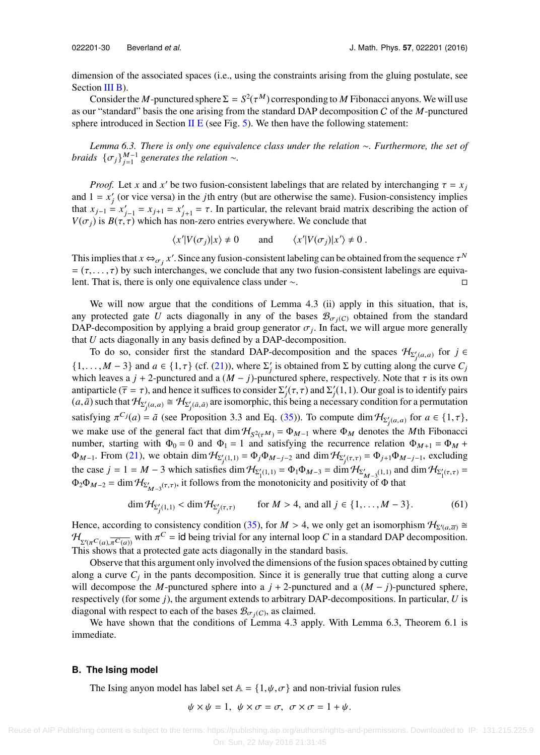dimension of the associated spaces (i.e., using the constraints arising from the gluing postulate, see Section III **B**).

Consider the *M*-punctured sphere  $\Sigma = S^2(\tau^M)$  corresponding to *M* Fibonacci anyons. We will use as our "standard" basis the one arising from the standard DAP decomposition C of the *M*-punctured sphere introduced in Section [II E](#page-12-4) (see Fig. [5\)](#page-12-0). We then have the following statement:

*Lemma 6.3. There is only one equivalence class under the relation* ∼*. Furthermore, the set of braids*  $\{\sigma_j\}_{j=1}^{M-1}$  generates the relation ∼.

*Proof.* Let *x* and *x'* be two fusion-consistent labelings that are related by interchanging  $\tau = x_j$ <br> $1 - x'$  (or vice versa) in the *i*th entry (but are otherwise the same). Fusion-consistency implies and  $1 = x'_{j}$  (or vice versa) in the *j*th entry (but are otherwise the same). Fusion-consistency implies that  $x_{j-1} = x'_{j-1} = x_{j+1} = x'_{j+1} = \tau$ . In particular, the relevant braid matrix describing the action of  $V(\tau)$  is  $B(\tau, \tau)$  which has non-zero entries everywhere. We conclude that  $V(\sigma_i)$  is  $B(\tau, \tau)$  which has non-zero entries everywhere. We conclude that

$$
\langle x'|V(\sigma_j)|x\rangle \neq 0
$$
 and  $\langle x'|V(\sigma_j)|x'\rangle \neq 0$ .

This implies that  $x \leftrightarrow_{\sigma_i} x'$ . Since any fusion-consistent labeling can be obtained from the sequence  $\tau^N$ <br> $\tau$  ( $\tau$   $\tau$ ) by such interchanges, we conclude that any two fusion-consistent labelings are equiva-=  $(\tau, \ldots, \tau)$  by such interchanges, we conclude that any two fusion-consistent labelings are equiva-<br>lent. That is, there is only one equivalence class under  $\sim$ . lent. That is, there is only one equivalence class under ∼.

We will now argue that the conditions of Lemma 4.3 (ii) apply in this situation, that is, any protected gate *U* acts diagonally in any of the bases  $\mathcal{B}_{\sigma_j(C)}$  obtained from the standard DAP-decomposition by applying a braid group generator  $\sigma_j$ . In fact, we will argue more generally that II acts diagonally in any basis defined by a DAP-decomposition that *U* acts diagonally in any basis defined by a DAP-decomposition.

To do so, consider first the standard DAP-decomposition and the spaces  $\mathcal{H}_{\Sigma'_j(a,a)}$  for  $j \in \mathbb{N}$ {1,..., *M* − 3} and *a* ∈ {1,  $\tau$ } (cf. [\(21\)\)](#page-13-3), where  $\Sigma'_{j}$  is obtained from  $\Sigma$  by cutting along the curve  $C_{j}$  which leaves a *i* + 2-punctured and a  $(M - i)$ -punctured sphere, respectively. Note that  $\tau$  is its which leaves a  $j + 2$ -punctured and a  $(M - j)$ -punctured sphere, respectively. Note that  $\tau$  is its own antiparticle ( $\overline{\tau} = \tau$ ), and hence it suffices to consider  $\Sigma'_j(\tau, \tau)$  and  $\Sigma'_j(\overline{1}, 1)$ . Our goal is to identify pairs (a  $\tilde{\sigma}$ ) such that  $\mathcal{H}_{\text{max}} \geq \tilde{\mathcal{H}}_{\text{max}}$  are isomorphic, this being a necessary c  $(a, \tilde{a})$  such that  $\mathcal{H}_{\Sigma'_j(a,a)} \cong \mathcal{H}_{\Sigma'_j(\tilde{a},\tilde{a})}$  are isomorphic, this being a necessary condition for a permutation satisfying  $\pi^{C_j}(a) = \tilde{a}$  (see Proposition 3.3 and Eq. [\(35\)\)](#page-17-5). To compute dim  $\mathcal{H}_{\Sigma'_j(a,a)}$  for  $a \in \{1, \tau\}$ , we make use of the general fact that  $\dim H_{S^2(\tau^M)} = \Phi_{M-1}$  where  $\Phi_M$  denotes the *M*th Fibonacci<br>number, starting with  $\Phi_0 = 0$  and  $\Phi_1 = 1$  and satisfying the recurrence relation  $\Phi_{M-1} = \Phi_{M-1}$ number, starting with  $\Phi_0 = 0$  and  $\Phi_1 = 1$  and satisfying the recurrence relation  $\Phi_{M+1} = \Phi_M +$  $\Phi_{M-1}$ . From [\(21\),](#page-13-3) we obtain dim  $\mathcal{H}_{\Sigma'_j(1,1)} = \Phi_j \Phi_{M-j-2}$  and dim  $\mathcal{H}_{\Sigma'_j(\tau,\tau)} = \Phi_{j+1} \Phi_{M-j-1}$ , excluding the case  $j = 1 = M - 3$  which satisfies dim  $\mathcal{H}_{\Sigma_1'(1,1)} = \Phi_1 \Phi_{M-3} = \dim \mathcal{H}_{\Sigma_{M-3}'(1,1)}$  and dim  $\mathcal{H}_{\Sigma_1'(\tau,\tau)} =$  $\Phi_2 \Phi_{M-2} = \dim \mathcal{H}_{\Sigma'_{M-3}(\tau,\tau)}$ , it follows from the monotonicity and positivity of  $\Phi$  that

$$
\dim \mathcal{H}_{\Sigma_j'(1,1)} < \dim \mathcal{H}_{\Sigma_j'(\tau,\tau)} \qquad \text{for } M > 4, \text{ and all } j \in \{1, \dots, M-3\}. \tag{61}
$$

Hence, according to consistency condition [\(35\),](#page-17-5) for  $M > 4$ , we only get an isomorphism  $\mathcal{H}_{\Sigma'(a,\overline{a})} \cong \mathcal{H}$ <br> $\mathcal{H}$   $\longrightarrow$  with  $\pi^C$  – id being trivial for any internal loop C in a standard DAP decomposition  $\mathcal{H}_{\Sigma'(\pi^C(a), \pi^C(a))}$  with  $\pi^C = \text{id}$  being trivial for any internal loop *C* in a standard DAP decomposition.<br>This shows that a protected gate acts diagonally in the standard basis This shows that a protected gate acts diagonally in the standard basis.

Observe that this argument only involved the dimensions of the fusion spaces obtained by cutting along a curve  $C_j$  in the pants decomposition. Since it is generally true that cutting along a curve will decompose the *M*-punctured sphere into a  $j + 2$ -punctured and a  $(M - j)$ -punctured sphere, respectively (for some *j*), the argument extends to arbitrary DAP-decompositions. In particular, *U* is diagonal with respect to each of the bases  $\mathcal{B}_{\sigma_j(C)}$ , as claimed.<br>We have shown that the conditions of Lamma 4.2 can

<span id="page-29-1"></span>We have shown that the conditions of Lemma 4.3 apply. With Lemma 6.3, Theorem 6.1 is immediate.

## **B. The Ising model**

<span id="page-29-0"></span>The Ising anyon model has label set  $A = \{1, \psi, \sigma\}$  and non-trivial fusion rules

$$
\psi \times \psi = 1, \ \psi \times \sigma = \sigma, \ \sigma \times \sigma = 1 + \psi.
$$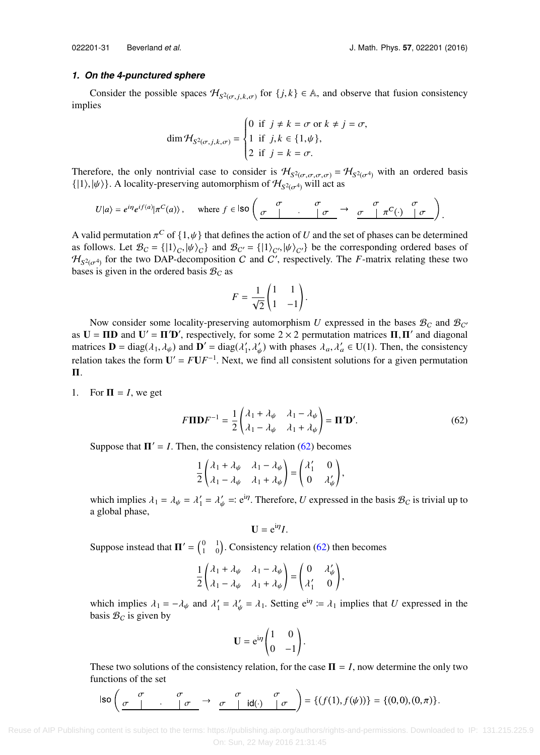## *1. On the 4-punctured sphere*

Consider the possible spaces  $\mathcal{H}_{S^2(\sigma,j,k,\sigma)}$  for  $\{j,k\} \in \mathbb{A}$ , and observe that fusion consistency implies

$$
\dim \mathcal{H}_{S^2(\sigma,j,k,\sigma)} = \begin{cases} 0 & \text{if } j \neq k = \sigma \text{ or } k \neq j = \sigma, \\ 1 & \text{if } j,k \in \{1,\psi\}, \\ 2 & \text{if } j = k = \sigma. \end{cases}
$$

Therefore, the only nontrivial case to consider is  $\mathcal{H}_{S^2(\sigma,\sigma,\sigma,\sigma)} = \mathcal{H}_{S^2(\sigma^4)}$  with an ordered basis  $\mathcal{H}_{S^2(\sigma^4)}$  and  $\mathcal{H}_{S^2(\sigma^4)}$  and  $\mathcal{H}_{S^2(\sigma^4)}$  with an ordered basis  $\{|1\rangle, |\psi\rangle\}$ . A locality-preserving automorphism of  $\mathcal{H}_{S^2(\sigma^4)}$  will act as

$$
U|a\rangle = e^{i\eta}e^{if(a)}|\pi^{C}(a)\rangle\,,\quad\text{ where }f\in\text{Iso}\left(\begin{array}{c|c}\sigma&\sigma&\sigma\\\hline\sigma&\sigma&\sigma&\pi^{C}(\cdot)\end{array}\begin{array}{c}\sigma\\\hline\sigma&\sigma\end{array}\right)
$$

A valid permutation  $\pi^C$  of  $\{1,\psi\}$  that defines the action of *U* and the set of phases can be determined<br>as follows Let  $\mathcal{B}_0 = I(1)$ ,  $|\psi\rangle$ ,  $|\psi\rangle$  and  $\mathcal{B}_{\alpha'} = I(1)$ ,  $|\psi\rangle$ ,  $|\psi\rangle$ ,  $|\psi\rangle$  be the correspondin as follows. Let  $\mathcal{B}_C = \{ |1\rangle_C, |\psi\rangle_C \}$  and  $\mathcal{B}_{C'} = \{ |1\rangle_C, |\psi\rangle_C \}$  be the corresponding ordered bases of  $\mathcal{H}_{C}$ ,  $\psi$  for the two DAP-decomposition C and C' respectively. The E-matrix relating these two  $\mathcal{H}_{S^2(\sigma^4)}$  for the two DAP-decomposition C and C', respectively. The *F*-matrix relating these two bases is given in the ordered basis  $\mathcal{B}_{\alpha}$  as bases is given in the ordered basis  $B<sub>C</sub>$  as

$$
F = \frac{1}{\sqrt{2}} \begin{pmatrix} 1 & 1 \\ 1 & -1 \end{pmatrix}.
$$

Now consider some locality-preserving automorphism *U* expressed in the bases  $\mathcal{B}_C$  and  $\mathcal{B}_{C'}$ as  $U = \Pi D$  and  $U' = \Pi' D'$ , respectively, for some  $2 \times 2$  permutation matrices  $\Pi$ ,  $\Pi'$  and diagonal matrices  $D = \text{diag}(\lambda, \lambda)$  and  $D' = \text{diag}(\lambda', \lambda')$  with phases  $\lambda, \lambda' \in \text{U}(1)$ . Then, the consistency matrices  $\mathbf{D} = \text{diag}(\lambda_1, \lambda_\psi)$  and  $\mathbf{D}' = \text{diag}(\lambda'_1, \lambda'_\psi)$  with phases  $\lambda_a, \lambda'_a \in U(1)$ . Then, the consistency relation takes the form  $U' = FUF^{-1}$ . Next, we find all consistent solutions for a given permutation Π.

1. For  $\Pi = I$ , we get

$$
F\Pi\mathbf{D}F^{-1} = \frac{1}{2} \begin{pmatrix} \lambda_1 + \lambda_\psi & \lambda_1 - \lambda_\psi \\ \lambda_1 - \lambda_\psi & \lambda_1 + \lambda_\psi \end{pmatrix} = \mathbf{\Pi}'\mathbf{D}'.
$$
 (62)

Suppose that  $\Pi' = I$ . Then, the consistency relation [\(62\)](#page-30-0) becomes

$$
\frac{1}{2}\begin{pmatrix} \lambda_1 + \lambda_{\psi} & \lambda_1 - \lambda_{\psi} \\ \lambda_1 - \lambda_{\psi} & \lambda_1 + \lambda_{\psi} \end{pmatrix} = \begin{pmatrix} \lambda'_1 & 0 \\ 0 & \lambda'_{\psi} \end{pmatrix},
$$

which implies  $\lambda_1 = \lambda_\psi = \lambda'_1 = \lambda'_\psi =: e^{i\eta}$ . Therefore, *U* expressed in the basis  $\mathcal{B}_C$  is trivial up to a global phase,

<span id="page-30-0"></span>
$$
\mathbf{U}=\mathrm{e}^{\mathrm{i}\eta}I.
$$

Suppose instead that  $\Pi' = \begin{pmatrix} 0 & 1 \\ 1 & 0 \end{pmatrix}$ . Consistency relation [\(62\)](#page-30-0) then becomes

$$
\frac{1}{2}\begin{pmatrix} \lambda_1 + \lambda_{\psi} & \lambda_1 - \lambda_{\psi} \\ \lambda_1 - \lambda_{\psi} & \lambda_1 + \lambda_{\psi} \end{pmatrix} = \begin{pmatrix} 0 & \lambda_{\psi}' \\ \lambda_1' & 0 \end{pmatrix},
$$

which implies  $\lambda_1 = -\lambda_\psi$  and  $\lambda'_1 = \lambda'_\psi = \lambda_1$ . Setting  $e^{i\eta} = \lambda_1$  implies that *U* expressed in the basis  $\mathcal{B}_{\Omega}$  is given by basis  $B_C$  is given by

$$
\mathbf{U} = e^{i\eta} \begin{pmatrix} 1 & 0 \\ 0 & -1 \end{pmatrix}.
$$

These two solutions of the consistency relation, for the case  $\Pi = I$ , now determine the only two functions of the set

$$
\text{Iso}\left(\begin{array}{ccc} \sigma & \sigma \\ \sigma & \cdot & \cdot \\ \end{array}\right) \rightarrow \begin{array}{ccc} \sigma & \sigma \\ \sigma & \cdot & \text{Id}(\cdot) \\ \end{array} \begin{array}{ccc} \sigma \\ \sigma \end{array}\right)=\{(f(1),f(\psi))\}=\{(0,0),(0,\pi)\}.
$$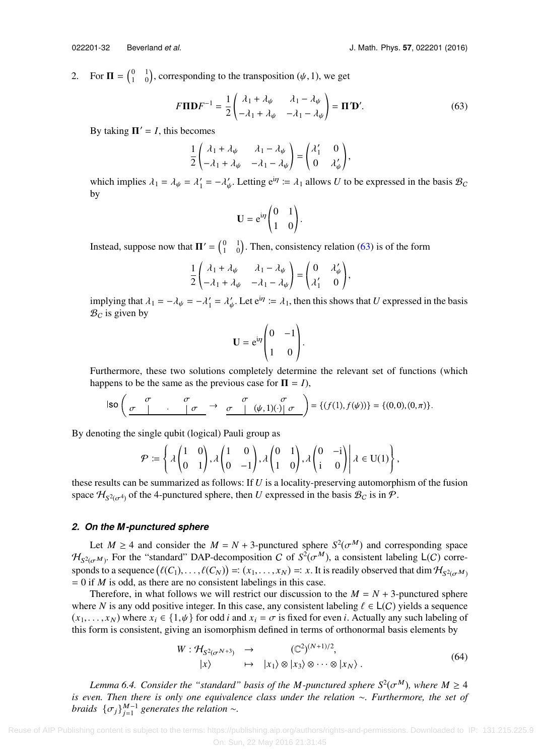<span id="page-31-0"></span>,

2. For  $\mathbf{\Pi} = \begin{pmatrix} 0 & 1 \\ 1 & 0 \end{pmatrix}$ , corresponding to the transposition  $(\psi, 1)$ , we get

$$
F\Pi\mathbf{D}F^{-1} = \frac{1}{2} \begin{pmatrix} \lambda_1 + \lambda_\psi & \lambda_1 - \lambda_\psi \\ -\lambda_1 + \lambda_\psi & -\lambda_1 - \lambda_\psi \end{pmatrix} = \Pi'\mathbf{D}'.
$$
 (63)

By taking  $\Pi' = I$ , this becomes

$$
\frac{1}{2}\begin{pmatrix} \lambda_1 + \lambda_{\psi} & \lambda_1 - \lambda_{\psi} \\ -\lambda_1 + \lambda_{\psi} & -\lambda_1 - \lambda_{\psi} \end{pmatrix} = \begin{pmatrix} \lambda'_1 & 0 \\ 0 & \lambda'_{\psi} \end{pmatrix},
$$

which implies  $\lambda_1 = \lambda_\psi = \lambda'_1 = -\lambda'_\psi$ . Letting  $e^{i\eta} := \lambda_1$  allows *U* to be expressed in the basis  $\mathcal{B}_C$ ψ by

<span id="page-31-1"></span>
$$
\mathbf{U} = e^{i\eta} \begin{pmatrix} 0 & 1 \\ 1 & 0 \end{pmatrix}.
$$

Instead, suppose now that  $\Pi' = \begin{pmatrix} 0 & 1 \\ 1 & 0 \end{pmatrix}$ . Then, consistency relation [\(63\)](#page-31-1) is of the form

$$
\frac{1}{2}\begin{pmatrix} \lambda_1 + \lambda_{\psi} & \lambda_1 - \lambda_{\psi} \\ -\lambda_1 + \lambda_{\psi} & -\lambda_1 - \lambda_{\psi} \end{pmatrix} = \begin{pmatrix} 0 & \lambda_{\psi}' \\ \lambda_1' & 0 \end{pmatrix},
$$

implying that  $\lambda_1 = -\lambda_\psi = -\lambda'_1 = \lambda'_\psi$ . Let  $e^{i\eta} := \lambda_1$ , then this shows that *U* expressed in the basis  $\mathcal{B}_{\alpha}$  is given by ψ  $B_C$  is given by

$$
\mathbf{U} = e^{i\eta} \begin{pmatrix} 0 & -1 \\ 1 & 0 \end{pmatrix}.
$$

Furthermore, these two solutions completely determine the relevant set of functions (which happens to be the same as the previous case for  $\Pi = I$ ),

$$
\text{Iso}\left(\begin{array}{ccc} \sigma & \sigma & \sigma \\ \sigma & \cdot & \cdot & \sigma \end{array}\right) \rightarrow \begin{array}{ccc} \sigma & \sigma & \sigma \\ \sigma & \cdot & \cdot & \cdot \end{array}\left(\psi,1)(\cdot)\right|\sigma\end{array}\right) = \{(f(1),f(\psi))\} = \{(0,0),(0,\pi)\}.
$$

By denoting the single qubit (logical) Pauli group as

$$
\mathcal{P}:=\left\{\lambda\begin{pmatrix}1&0\\0&1\end{pmatrix},\lambda\begin{pmatrix}1&0\\0&-1\end{pmatrix},\lambda\begin{pmatrix}0&1\\1&0\end{pmatrix},\lambda\begin{pmatrix}0&-i\\i&0\end{pmatrix}\middle|\ \lambda\in U(1)\right\}
$$

these results can be summarized as follows: If *U* is a locality-preserving automorphism of the fusion space  $\mathcal{H}_{S^2(\sigma^4)}$  of the 4-punctured sphere, then *U* expressed in the basis  $\mathcal{B}_C$  is in  $\mathcal{P}$ .

## *2. On the M-punctured sphere*

Let  $M \ge 4$  and consider the  $M = N + 3$ -punctured sphere  $S^2(\sigma^M)$  and corresponding space<br> $M = \text{For the "standard" D4P-decomposition } C$  of  $S^2(\sigma^M)$  a consistent labeling  $L(C)$  corre- $\mathcal{H}_{S^2(\sigma^M)}$ . For the "standard" DAP-decomposition C of  $S^2(\sigma^M)$ , a consistent labeling  $L(C)$  corre- $\mathcal{F}_{S^2(\sigma^M)}$ . For the "standard" DAP-decomposition C of  $S^-(\sigma^{n})$ , a consistent labeling  $L(C)$  corresponds to a sequence  $(\ell(C_1), \ldots, \ell(C_N)) =: (x_1, \ldots, x_N) =: x$ . It is readily observed that dim  $\mathcal{H}_{S^2(\sigma^M)}$  – 0 if *M*  $= 0$  if *M* is odd, as there are no consistent labelings in this case.

Therefore, in what follows we will restrict our discussion to the  $M = N + 3$ -punctured sphere where *N* is any odd positive integer. In this case, any consistent labeling  $\ell \in L(C)$  yields a sequence  $(x_1, \ldots, x_N)$  where  $x_i \in \{1, \psi\}$  for odd *i* and  $x_i = \sigma$  is fixed for even *i*. Actually any such labeling of this form is consistent, giving an isomorphism defined in terms of orthonormal basis elements by

$$
W: \mathcal{H}_{S^2(\sigma^{N+3})} \rightarrow (\mathbb{C}^2)^{(N+1)/2},
$$
  
\n
$$
|x\rangle \rightarrow |x_1\rangle \otimes |x_3\rangle \otimes \cdots \otimes |x_N\rangle.
$$
 (64)

*Lemma 6.4. Consider the "standard" basis of the M-punctured sphere*  $S^2(\sigma^M)$ *, where*  $M \geq 4$ <br>*Lemma there is only one equivalence class under the relation*  $\infty$  *Eurthermore, the set of is even. Then there is only one equivalence class under the relation* ∼*. Furthermore, the set of braids*  $\{\sigma_j\}_{j=1}^{M-1}$  generates the relation ∼.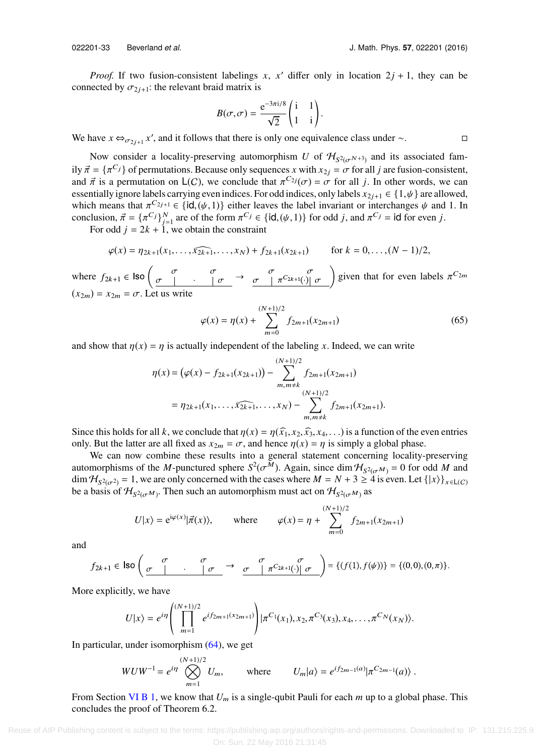*Proof.* If two fusion-consistent labelings *x*, *x'* differ only in location  $2j + 1$ , they can be connected by  $\sigma_{2j+1}$ : the relevant braid matrix is

$$
B(\sigma,\sigma) = \frac{e^{-3\pi i/8}}{\sqrt{2}} \begin{pmatrix} i & 1 \\ 1 & i \end{pmatrix}.
$$

We have  $x \leftrightarrow_{\sigma_{2j+1}} x'$ , and it follows that there is only one equivalence class under ∼.  $\Box$ 

Now consider a locality-preserving automorphism *U* of  $\mathcal{H}_{S^2(\sigma^{N+3})}$  and its associated fam-<br> $S^2(\sigma^{N+3})$  and its associated family  $\vec{\pi} = {\pi^{C}}_j$  of permutations. Because only sequences *x* with  $x_{2j} = \sigma$  for all *j* are fusion-consistent, and  $\vec{\pi}$  is a permutation on L(C), we conclude that  $\pi^{C_{2j}}(\sigma) = \sigma$  for all *j*. In other words, we can essentially ignore labels carrying even indices. For odd indices only labels  $x_2, y_1 \in \{1, \nu\}$  are allowed essentially ignore labels carrying even indices. For odd indices, only labels  $x_{2j+1} \in \{1,\psi\}$  are allowed, which means that  $\pi^{C_{2j+1}} \in {\text{id}, (\psi, 1)}$  either leaves the label invariant or interchanges  $\psi$  and 1. In conclusion  $\vec{\pi} = \{\pi^C\}^N$  are of the form  $\pi^C \in {\text{id}, (\psi, 1)}$  for odd *i* and  $\pi^C \in {\text{id}}$  for even *i* conclusion,  $\vec{\pi} = {\{\pi^C\}}_{j=1}^N$  are of the form  $\pi^{C_j} \in {\{\text{id}, (\psi, 1)\}}$  for odd *j*, and  $\pi^{C_j} = {\text{id}}$  for even *j*.<br>For odd *i* – 2k + 1 we obtain the constraint

For odd  $j = 2k + 1$ , we obtain the constraint

$$
\varphi(x) = \eta_{2k+1}(x_1,\ldots,\widehat{x_{2k+1}},\ldots,x_N) + f_{2k+1}(x_{2k+1}) \qquad \text{for } k = 0,\ldots,(N-1)/2,
$$

where  $f_{2k+1} \in \text{Iso}\left(\begin{array}{ccc} 0 & 0 & 0 \\ 0 & \cdots & 0 \end{array}\right) \rightarrow \begin{array}{c} 0 & \pi^{C_{2k+1}(v)} & \pi^{C_{2k+1}(v)} & \pi^{C_{2k+1}(v)} \end{array}$  given that for even labels  $\pi^{C_{2m}}$  $(x_{2m}) = x_{2m} = \sigma$ . Let us write

$$
\varphi(x) = \eta(x) + \sum_{m=0}^{(N+1)/2} f_{2m+1}(x_{2m+1})
$$
\n(65)

and show that  $\eta(x) = \eta$  is actually independent of the labeling x. Indeed, we can write

$$
\eta(x) = (\varphi(x) - f_{2k+1}(x_{2k+1})) - \sum_{m,m \neq k}^{(N+1)/2} f_{2m+1}(x_{2m+1})
$$
  
=  $\eta_{2k+1}(x_1, \ldots, \widehat{x_{2k+1}}, \ldots, x_N) - \sum_{m,m \neq k}^{(N+1)/2} f_{2m+1}(x_{2m+1}).$ 

Since this holds for all *k*, we conclude that  $\eta(x) = \eta(\hat{x}_1, x_2, \hat{x}_3, x_4, \ldots)$  is a function of the even entries only. But the latter are all fixed as  $x_{2m} = \sigma$ , and hence  $\eta(x) = \eta$  is simply a global phase.

We can now combine these results into a general statement concerning locality-preserving automorphisms of the *M*-punctured sphere  $S^2(\sigma^M)$ . Again, since dim  $H_{S^2(\sigma^M)} = 0$  for odd *M* and dim  $H_{S^2(\sigma^M)} = -1$  we are only concerned with the cases where  $M = N + 3 > 4$  is even Let  $\ell[x]$ .  $\dim \mathcal{H}_{S^2(\sigma^2)} = 1$ , we are only concerned with the cases where  $M = N + 3 \ge 4$  is even. Let  $\{|x\rangle\}_{x \in L(C)}$ be a basis of  $\mathcal{H}_{S^2(\sigma^M)}$ . Then such an automorphism must act on  $\mathcal{H}_{S^2(\sigma^M)}$  as

$$
U|x\rangle = e^{i\varphi(x)}|\vec{\pi}(x)\rangle
$$
, where  $\varphi(x) = \eta + \sum_{m=0}^{(N+1)/2} f_{2m+1}(x_{2m+1})$ 

and

$$
f_{2k+1} \in \text{Iso}\left(\begin{array}{ccc} \sigma & \sigma \\ \sigma & \cdot & \cdot \\ \hline & \sigma & \end{array}\right) \rightarrow \begin{array}{ccc} \sigma & \sigma \\ \sigma & \cdot & \pi^{C_{2k+1}(\cdot)} \end{array} \quad \sigma \quad \begin{array}{c} \sigma \\ \sigma \end{array} \right) = \{(f(1), f(\psi))\} = \{(0,0), (0,\pi)\}.
$$

More explicitly, we have

$$
U|x\rangle = e^{i\eta} \left( \prod_{m=1}^{(N+1)/2} e^{i f_{2m+1}(x_{2m+1})} \right) |\pi^{C_1}(x_1), x_2, \pi^{C_3}(x_3), x_4, \ldots, \pi^{C_N}(x_N) \rangle.
$$

In particular, under isomorphism [\(64\),](#page-31-0) we get

$$
WUW^{-1} = e^{i\eta} \bigotimes_{m=1}^{(N+1)/2} U_m, \qquad \text{where} \qquad U_m|a\rangle = e^{i f_{2m-1}(a)} |\pi^{C_{2m-1}}(a)\rangle.
$$

<span id="page-32-0"></span>From Section [VI B 1,](#page-29-0) we know that *U*<sup>m</sup> is a single-qubit Pauli for each *m* up to a global phase. This concludes the proof of Theorem 6.2.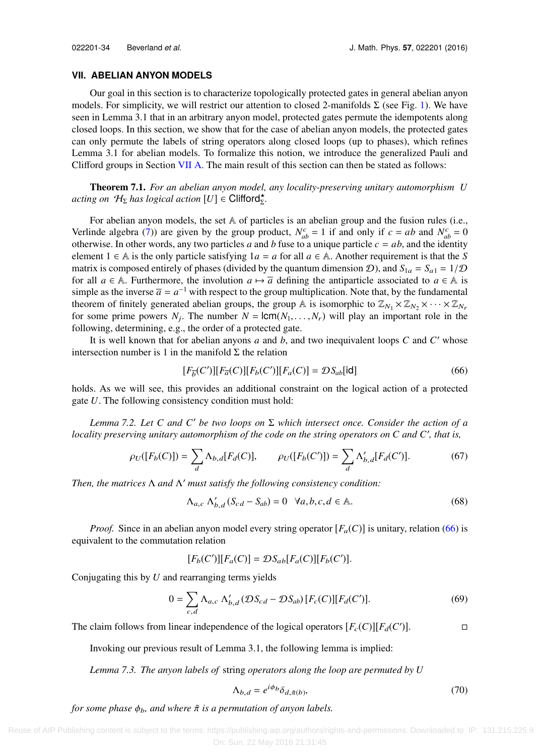## **VII. ABELIAN ANYON MODELS**

Our goal in this section is to characterize topologically protected gates in general abelian anyon models. For simplicity, we will restrict our attention to closed 2-manifolds  $\Sigma$  (see Fig. [1\)](#page-5-0). We have seen in Lemma 3.1 that in an arbitrary anyon model, protected gates permute the idempotents along closed loops. In this section, we show that for the case of abelian anyon models, the protected gates can only permute the labels of string operators along closed loops (up to phases), which refines Lemma 3.1 for abelian models. To formalize this notion, we introduce the generalized Pauli and Clifford groups in Section [VII A.](#page-34-0) The main result of this section can then be stated as follows:

Theorem 7.1. *For an abelian anyon model, any locality-preserving unitary automorphism U*  $\textit{acting on }\mathcal{H}_{\Sigma}$  has logical action  $[U] \in \textit{Clifford}_{\Sigma}^{\star}$ .

For abelian anyon models, the set  $A$  of particles is an abelian group and the fusion rules (i.e., Verlinde algebra [\(7\)\)](#page-8-3) are given by the group product,  $N_{ab}^c = 1$  if and only if  $c = ab$  and  $N_{ab}^c = 0$ otherwise. In other words, any two particles *a* and *b* fuse to a unique particle  $c = ab$ , and the identity element  $1 \in A$  is the only particle satisfying  $1a = a$  for all  $a \in A$ . Another requirement is that the *S* matrix is composed entirely of phases (divided by the quantum dimension D), and  $S_{1a} = S_{a1} = 1/\mathcal{D}$ for all  $a \in \mathbb{A}$ . Furthermore, the involution  $a \mapsto \overline{a}$  defining the antiparticle associated to  $a \in \mathbb{A}$  is simple as the inverse  $\bar{a} = a^{-1}$  with respect to the group multiplication. Note that, by the fundamental theorem of finitely generated abelian groups, the group A is isomorphic to  $\mathbb{Z}_{N_1} \times \mathbb{Z}_{N_2} \times \cdots \times \mathbb{Z}_{N_r}$ for some prime powers  $N_j$ . The number  $N = lcm(N_1, ..., N_r)$  will play an important role in the following determining e.g., the order of a protected gate following, determining, e.g., the order of a protected gate.

It is well known that for abelian anyons *a* and *b*, and two inequivalent loops *C* and *C* ′ whose intersection number is 1 in the manifold  $\Sigma$  the relation

<span id="page-33-0"></span>
$$
[F_{\overline{b}}(C')][F_{\overline{a}}(C)][F_b(C')][F_a(C)] = \mathcal{D}S_{ab}[\text{id}]
$$
\n(66)

holds. As we will see, this provides an additional constraint on the logical action of a protected gate *U*. The following consistency condition must hold:

*Lemma 7.2. Let C and C*′ *be two loops on* Σ *which intersect once. Consider the action of a locality preserving unitary automorphism of the code on the string operators on C and C*′ *, that is,*

$$
\rho_U([F_b(C)]) = \sum_d \Lambda_{b,d}[F_d(C)], \qquad \rho_U([F_b(C')]) = \sum_d \Lambda'_{b,d}[F_d(C')]. \tag{67}
$$

*Then, the matrices* Λ *and* Λ ′ *must satisfy the following consistency condition:*

<span id="page-33-1"></span>
$$
\Lambda_{a,c} \Lambda'_{b,d} (S_{cd} - S_{ab}) = 0 \quad \forall a, b, c, d \in \mathbb{A}.
$$
 (68)

*Proof.* Since in an abelian anyon model every string operator  $[F_a(C)]$  is unitary, relation [\(66\)](#page-33-0) is equivalent to the commutation relation

$$
[F_b(C')][F_a(C)] = \mathcal{D}S_{ab}[F_a(C)][F_b(C')].
$$

Conjugating this by *U* and rearranging terms yields

$$
0 = \sum_{c,d} \Lambda_{a,c} \Lambda'_{b,d} (\mathcal{D}S_{cd} - \mathcal{D}S_{ab}) [F_c(C)][F_d(C')]. \tag{69}
$$

The claim follows from linear independence of the logical operators  $[F_c(C)][F_d(C')]$ .

Invoking our previous result of Lemma 3.1, the following lemma is implied:

*Lemma 7.3. The anyon labels of* string *operators along the loop are permuted by U*

$$
\Lambda_{b,d} = e^{i\phi_b} \delta_{d,\tilde{\pi}(b)},\tag{70}
$$

*for some phase*  $\phi_b$ , and where  $\tilde{\pi}$  *is a permutation of anyon labels.*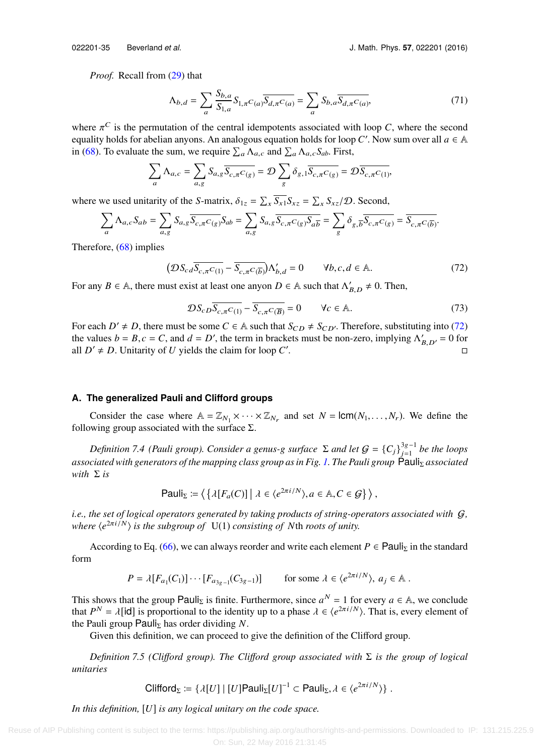*Proof.* Recall from [\(29\)](#page-15-1) that

$$
\Lambda_{b,d} = \sum_{a} \frac{S_{b,a}}{S_{1,a}} S_{1,\pi} C_{(a)} \overline{S_{d,\pi} C_{(a)}} = \sum_{a} S_{b,a} \overline{S_{d,\pi} C_{(a)}},\tag{71}
$$

where  $\pi^C$  is the permutation of the central idempotents associated with loop *C*, where the second equality holds for abelian anyons. An analogous equation holds for loop *C'*, Now sum over all  $a \in \mathbb{A}$ equality holds for abelian anyons. An analogous equation holds for loop C'. Now sum over all  $a \in A$ in [\(68\).](#page-33-1) To evaluate the sum, we require  $\sum_a \Lambda_{a,c}$  and  $\sum_a \Lambda_{a,c} S_{ab}$ . First,

$$
\sum_{a} \Lambda_{a,c} = \sum_{a,g} S_{a,g} \overline{S_{c,\pi}C_{(g)}} = \mathcal{D} \sum_{g} \delta_{g,1} \overline{S_{c,\pi}C_{(g)}} = \mathcal{D} \overline{S_{c,\pi}C_{(1)}},
$$

where we used unitarity of the *S*-matrix,  $\delta_{1z} = \sum_{x} \overline{S_{x1}} S_{xz} = \sum_{x} S_{xz} / \mathcal{D}$ . Second,

$$
\sum_{a} \Lambda_{a,c} S_{ab} = \sum_{a,g} S_{a,g} \overline{S_{c,\pi} C_{g}} S_{ab} = \sum_{a,g} S_{a,g} \overline{S_{c,\pi} C_{g}} S_{ab} = \sum_{g} \delta_{g,\overline{b}} \overline{S_{c,\pi} C_{g}} = \overline{S_{c,\pi} C_{b}}.
$$

Therefore, [\(68\)](#page-33-1) implies

$$
\left(\mathcal{D}S_{cd}\overline{S_{c,\pi}C_{(1)}} - \overline{S_{c,\pi}C_{(\overline{b})}}\right)\Lambda'_{b,d} = 0 \qquad \forall b, c, d \in \mathbb{A}.
$$
 (72)

For any *B*  $\in$  A, there must exist at least one anyon *D*  $\in$  A such that  $\Lambda'_{B,D} \neq 0$ . Then,

<span id="page-34-1"></span>
$$
\mathcal{D}S_{cD}\overline{S_{c,\pi}C_{(1)}} - \overline{S_{c,\pi}C_{(\overline{B})}} = 0 \qquad \forall c \in \mathbb{A}.
$$
 (73)

For each  $D' \neq D$ , there must be some  $C \in A$  such that  $S_{CD} \neq S_{CD'}$ . Therefore, substituting into [\(72\)](#page-34-1) the values  $b = B$ ,  $c = C$ , and  $d = D'$ , the term in brackets must be non-zero, implying  $\Lambda'_{B,D'} = 0$  for all  $D' \neq D$ . Unitarity of *U* vields the claim for loop  $C'$ all  $D' \neq D$ . Unitarity of *U* yields the claim for loop *C*' .  $\Box$ 

# <span id="page-34-0"></span>**A. The generalized Pauli and Clifford groups**

Consider the case where  $A = \mathbb{Z}_{N_1} \times \cdots \times \mathbb{Z}_{N_r}$  and set  $N = \text{lcm}(N_1, \ldots, N_r)$ . We define the wing group associated with the surface  $\Sigma$ following group associated with the surface  $\Sigma$ .

*Definition 7.4 (Pauli group). Consider a genus-g surface*  $\Sigma$  *and let*  $G = \{C_j\}_{j=1}^{3g-1}$  *be the loops* circle is a genus-given as in Fig. 1. The Bauli group  $\sum_{i=1}^{3g-1}$  *be the loops associated with generators of the mapping class group as in Fig. [1.](#page-5-0) The Pauli group* Pauli<sub>Σ</sub> *associated with* Σ *is*

Pauli<sub>$$
\Sigma
$$</sub> :=  $\langle \{ \lambda[F_a(C)] \mid \lambda \in \langle e^{2\pi i/N} \rangle, a \in \mathbb{A}, C \in \mathcal{G} \} \rangle$ ,

*i.e., the set of logical operators generated by taking products of string-operators associated with* G*, where* ⟨*e* <sup>2</sup>πi/<sup>N</sup>⟩ *is the subgroup of* U(1) *consisting of N*th *roots of unity.*

According to Eq. [\(66\),](#page-33-0) we can always reorder and write each element  $P \in \text{Pauli}_{\Sigma}$  in the standard form

$$
P = \lambda [F_{a_1}(C_1)] \cdots [F_{a_{3g-1}}(C_{3g-1})] \quad \text{for some } \lambda \in \langle e^{2\pi i/N} \rangle, a_j \in \mathbb{A}.
$$

This shows that the group Pauli<sub>Σ</sub> is finite. Furthermore, since  $a^N = 1$  for every  $a \in A$ , we conclude that  $P^N = \lambda$ [**id**] is proportional to the identity up to a phase  $\lambda \in \langle e^{2\pi i/N} \rangle$ . That is, every element of the Pauli group Pauli- has order dividing N the Pauli group Pauli<sub>Σ</sub> has order dividing *.* 

Given this definition, we can proceed to give the definition of the Clifford group.

*Definition 7.5 (Cli*ff*ord group). The Cli*ff*ord group associated with* Σ *is the group of logical unitaries*

Clifford<sub>$$
\Sigma
$$</sub> := { $\lambda[U] | [U]$ Pauli <sub>$\Sigma$</sub> [U]<sup>-1</sup>  $\subset$  Pauli <sub>$\Sigma$</sub> ,  $\lambda \in \langle e^{2\pi i/N} \rangle$  }.

*In this definition,* [*U*] *is any logical unitary on the code space.*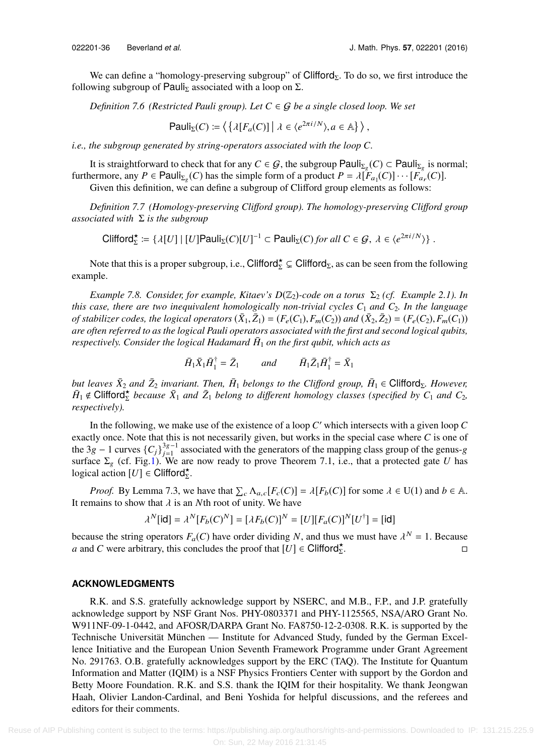We can define a "homology-preserving subgroup" of Clifford<sub>Σ</sub>. To do so, we first introduce the following subgroup of Pauli<sub>Σ</sub> associated with a loop on  $\Sigma$ .

*Definition 7.6 (Restricted Pauli group). Let*  $C \in \mathcal{G}$  *be a single closed loop. We set* 

Pauli<sub>$$
\Sigma
$$</sub>(C) :=  $\langle \{ \lambda[F_a(C)] \mid \lambda \in \langle e^{2\pi i/N} \rangle, a \in \mathbb{A} \} \rangle$ ,

*i.e., the subgroup generated by string-operators associated with the loop C.*

It is straightforward to check that for any *C* ∈ *G*, the subgroup Pauli<sub>Σg</sub>(*C*) ⊂ Pauli<sub>Σg</sub> is normal;<br>normalized by *C* Pauli, (*C*) has the simple form of a product  $P = \lim_{\epsilon \to 0} E(G)$  [*E*<sup>{</sup>(*C*)] furthermore, any *P* ∈ Pauli<sub>Σg</sub>(*C*) has the simple form of a product  $P = \lambda [\tilde{F}_{a_1}(C)] \cdots [\tilde{F}_{a_r}(C)]$ .<br>Given this definition, we can define a subgroup of Clifford group elements as follows:

Given this definition, we can define a subgroup of Clifford group elements as follows:

*Definition 7.7 (Homology-preserving Cli*ff*ord group). The homology-preserving Cli*ff*ord group associated with* Σ *is the subgroup*

 $\text{Clifford}_{\Sigma}^{\star} \coloneqq \{ \lambda[U] \mid [U] \text{Pauli}_{\Sigma}(C)[U]^{-1} \subset \text{Pauli}_{\Sigma}(C) \text{ for all } C \in \mathcal{G}, \ \lambda \in \langle e^{2\pi i/N} \rangle \}$ .

Note that this is a proper subgroup, i.e., Clifford $\zeta \subsetneq$  Clifford<sub>Σ</sub>, as can be seen from the following example.

*Example 7.8. Consider, for example, Kitaev's D*( $\mathbb{Z}_2$ )-code on a torus  $\Sigma_2$  (cf. *Example 2.1). In this case, there are two inequivalent homologically non-trivial cycles C*<sup>1</sup> *and C*2*. In the language of stabilizer codes, the logical operators*  $(\bar{X}_1, \bar{Z}_1) = (F_e(C_1), F_m(C_2))$  *and*  $(\bar{X}_2, \bar{Z}_2) = (F_e(C_2), F_m(C_1))$ <br>*are often referred to as the logical Pauli operators associated with the first and second logical aubits are often referred to as the logical Pauli operators associated with the first and second logical qubits,* respectively. Consider the logical Hadamard  $\bar{H}_1$  on the first qubit, which acts as

$$
\bar{H}_1 \bar{X}_1 \bar{H}_1^{\dagger} = \bar{Z}_1 \quad \text{and} \quad \bar{H}_1 \bar{Z}_1 \bar{H}_1^{\dagger} = \bar{X}_1
$$

*but leaves*  $\bar{X}_2$  *and*  $\bar{Z}_2$  *invariant. Then,*  $\bar{H}_1$  *belongs to the Clifford group,*  $\bar{H}_1$   $\in$  Clifford<sub>Σ</sub>*. However,*  $\bar{H}_1 \notin$  Clifford $\frac{\star}{\Sigma}$  *because*  $\bar{X}_1$  *and*  $\bar{Z}_1$  *belong to different homology classes (specified by C<sub>1</sub> <i>and C*<sub>2</sub>*, respectively).*

In the following, we make use of the existence of a loop *C* ′ which intersects with a given loop *C* exactly once. Note that this is not necessarily given, but works in the special case where *C* is one of the 3g – 1 curves  ${C_j}^{3g-1}$  associated with the generators of the mapping class group of the genus-g<br>surface  $\Sigma$  (cf. Fig.1) We are now ready to prove Theorem 7.1 i.e., that a protected gate *U* has surface  $\Sigma_g$  (cf. Fig[.1\)](#page-5-0). We are now ready to prove Theorem 7.1, i.e., that a protected gate *U* has logical action  $[U] \in \text{Clifford}_{\Sigma}^{\star}$ .

*Proof.* By Lemma 7.3, we have that  $\sum_{c} \Lambda_{a,c} [F_c(C)] = \lambda [F_b(C)]$  for some  $\lambda \in U(1)$  and  $b \in A$ . It remains to show that  $\lambda$  is an *N*th root of unity. We have

$$
\lambda^N[\text{id}] = \lambda^N[F_b(C)^N] = [\lambda F_b(C)]^N = [U][F_a(C)]^N[U^{\dagger}] = [\text{id}]
$$

because the string operators  $F_a(C)$  have order dividing *N*, and thus we must have  $\lambda^N = 1$ . Because *a* and *C* were arbitrary, this concludes the proof that  $[U] \in \text{Clifford}_{\Sigma}^{\star}$ . В последните постание и производите на селото на производите на селото на селото на селото на селото на село<br>Селото на селото на селото на селото на селото на селото на селото на селото на селото на селото на селото на

# **ACKNOWLEDGMENTS**

<span id="page-35-0"></span>R.K. and S.S. gratefully acknowledge support by NSERC, and M.B., F.P., and J.P. gratefully acknowledge support by NSF Grant Nos. PHY-0803371 and PHY-1125565, NSA/ARO Grant No. W911NF-09-1-0442, and AFOSR/DARPA Grant No. FA8750-12-2-0308. R.K. is supported by the Technische Universität München — Institute for Advanced Study, funded by the German Excellence Initiative and the European Union Seventh Framework Programme under Grant Agreement No. 291763. O.B. gratefully acknowledges support by the ERC (TAQ). The Institute for Quantum Information and Matter (IQIM) is a NSF Physics Frontiers Center with support by the Gordon and Betty Moore Foundation. R.K. and S.S. thank the IQIM for their hospitality. We thank Jeongwan Haah, Olivier Landon-Cardinal, and Beni Yoshida for helpful discussions, and the referees and editors for their comments.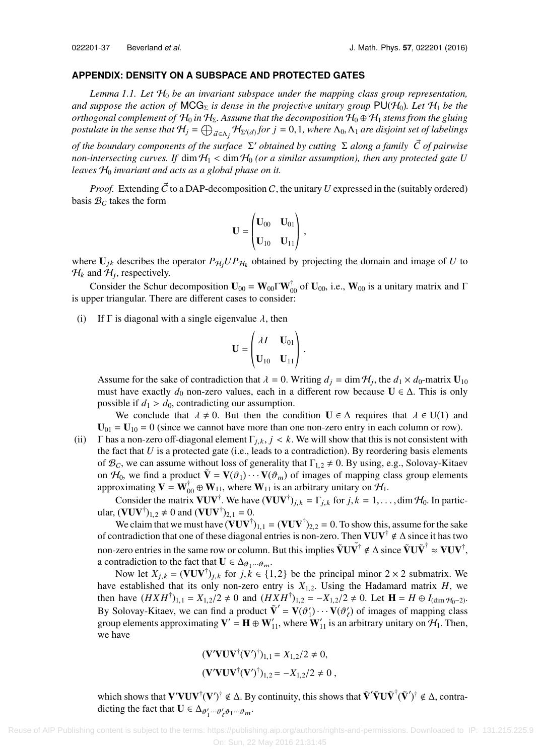## **APPENDIX: DENSITY ON A SUBSPACE AND PROTECTED GATES**

*Lemma 1.1. Let* H<sup>0</sup> *be an invariant subspace under the mapping class group representation, and suppose the action of*  $MCG<sub>\Sigma</sub>$  *is dense in the projective unitary group*  $PU(H<sub>0</sub>)$ *. Let*  $H<sub>1</sub>$  *be the orthogonal complement of*  $H_0$  *in*  $H_\Sigma$ . Assume that the decomposition  $H_0 \oplus H_1$  stems from the gluing *postulate in the sense that*  $H_j = \bigoplus_{\vec{a} \in \Lambda_j} H_{\Sigma'(\vec{a})}$  *for*  $j = 0, 1$ *, where*  $\Lambda_0, \Lambda_1$  *are disjoint set of labelings* 

*of the boundary components of the surface* Σ ′ *obtained by cutting* Σ *along a family C of pairwise* ⃗ *non-intersecting curves. If* dim  $H_1 < \dim H_0$  *(or a similar assumption), then any protected gate U* leaves  $H_0$  *invariant and acts as a global phase on it.* 

*Proof.* Extending  $\vec{C}$  to a DAP-decomposition C, the unitary U expressed in the (suitably ordered) basis  $B_C$  takes the form

$$
\mathbf{U} = \begin{pmatrix} \mathbf{U}_{00} & \mathbf{U}_{01} \\ \mathbf{U}_{10} & \mathbf{U}_{11} \end{pmatrix},
$$

where  $U_{jk}$  describes the operator  $P_{\mathcal{H}_j}UP_{\mathcal{H}_k}$  obtained by projecting the domain and image of *U* to  $H_k$  and  $H_j$ , respectively.

Consider the Schur decomposition  $U_{00} = W_{00} \Gamma W_{00}^{\dagger}$  of  $U_{00}$ , i.e.,  $W_{00}$  is a unitary matrix and  $\Gamma$ is upper triangular. There are different cases to consider:

(i) If  $\Gamma$  is diagonal with a single eigenvalue  $\lambda$ , then

$$
\mathbf{U} = \begin{pmatrix} \lambda I & \mathbf{U}_{01} \\ \mathbf{U}_{10} & \mathbf{U}_{11} \end{pmatrix}.
$$

Assume for the sake of contradiction that  $\lambda = 0$ . Writing  $d_j = \dim \mathcal{H}_j$ , the  $d_1 \times d_0$ -matrix  $\mathbf{U}_{10}$ <br>must have exactly  $d_0$  non-zero values, each in a different row because  $\mathbf{U} \in \Lambda$ . This is only must have exactly  $d_0$  non-zero values, each in a different row because  $U \in \Delta$ . This is only possible if  $d_1 > d_0$ , contradicting our assumption.

We conclude that  $\lambda \neq 0$ . But then the condition  $\mathbf{U} \in \Delta$  requires that  $\lambda \in \mathbf{U}(1)$  and  $U_{01} = U_{10} = 0$  (since we cannot have more than one non-zero entry in each column or row).

(ii) Γ has a non-zero off-diagonal element  $\Gamma_{i,k}$ ,  $j < k$ . We will show that this is not consistent with the fact that *U* is a protected gate (i.e., leads to a contradiction). By reordering basis elements of  $\mathcal{B}_C$ , we can assume without loss of generality that  $\Gamma_{1,2} \neq 0$ . By using, e.g., Solovay-Kitaev on  $H_0$ , we find a product  $V = V(\vartheta_1) \cdots V(\vartheta_m)$  of images of mapping class group elements approximating  $\mathbf{V} = \mathbf{W}_{00}^{\dagger} \oplus \mathbf{W}_{11}$ , where  $\mathbf{W}_{11}$  is an arbitrary unitary on  $\mathcal{H}_1$ .

Consider the matrix  $VUV^{\dagger}$ . We have  $(VUV^{\dagger})_{j,k} = \Gamma_{j,k}$  for  $j, k = 1, ..., \dim \mathcal{H}_0$ . In partic-<br> $(VUV^{\dagger})_{j,k} \neq 0$  and  $(VUV^{\dagger})_{j,k} = 0$ ular,  $(\mathbf{VUV}^{\dagger})_{1,2} \neq 0$  and  $(\mathbf{VUV}^{\dagger})_{2,1} = 0$ .<br>We also that we must have  $(\mathbf{VUV}^{\dagger})$ 

We claim that we must have  $(VUV^{\dagger})_{1,1} = (VUV^{\dagger})_{2,2} = 0$ . To show this, assume for the sake of contradiction that one of these diagonal entries is non-zero. Then  $VUV^{\dagger} \notin \Delta$  since it has two non-zero entries in the same row or column. But this implies  $\tilde{V}U\tilde{V}^{\dagger} \notin \Delta$  since  $\tilde{V}U\tilde{V}^{\dagger} \approx VUV^{\dagger}$ , a contradiction to the fact that  $\mathbf{U} \in \Delta_{\theta_1 \cdots \theta_m}$ .<br>Now let  $\mathbf{Y} = (\mathbf{V}\mathbf{I}\mathbf{W}^{\dagger})$  for  $i, k \in \mathbb{N}$ .

Now let  $X_{j,k} = (\mathbf{VUV}^{\dagger})_{j,k}$  for  $j, k \in \{1, 2\}$  be the principal minor  $2 \times 2$  submatrix. We established that its only non-zero entry is  $X_{i,2}$ . Using the Hadamard matrix H, we have established that its only non-zero entry is  $X_{1,2}$ . Using the Hadamard matrix *H*, we then have  $(H X H^{\dagger})_{1,1} = X_{1,2}/2 \neq 0$  and  $(H X H^{\dagger})_{1,2} = -X_{1,2}/2 \neq 0$ . Let  $\mathbf{H} = H \oplus I_{(\dim \mathcal{H}_0 - 2)}$ .<br>By Solovey *K*itovi we see find a product  $\tilde{Y}' = V(A')$ .  $V(A')$  of images of manning along By Solovay-Kitaev, we can find a product  $\tilde{\mathbf{V}}' = \mathbf{V}(\vartheta'_1) \cdots \mathbf{V}(\vartheta'_{\ell})$  of images of mapping class or<br>group elements approximating  $\mathbf{V}' - \mathbf{H} \oplus \mathbf{W}'$ , where  $\mathbf{W}'$  is an arbitrary unitary on H. Then group elements approximating  $V' = H \oplus W'_{11}$ , where  $W'_{11}$  is an arbitrary unitary on  $H_1$ . Then, we have

$$
(\mathbf{V}'\mathbf{V}\mathbf{U}\mathbf{V}^{\dagger}(\mathbf{V}')^{\dagger})_{1,1} = X_{1,2}/2 \neq 0,
$$
  
\n $(\mathbf{V}'\mathbf{V}\mathbf{U}\mathbf{V}^{\dagger}(\mathbf{V}')^{\dagger})_{1,2} = -X_{1,2}/2 \neq 0,$ 

which shows that  $V'VUV^{\dagger}(V')^{\dagger} \notin \Delta$ . By continuity, this shows that  $\tilde{V}'\tilde{V}U\tilde{V}^{\dagger}(\tilde{V}')^{\dagger} \notin \Delta$ , contradicting the fact that  $\mathbf{U} \in \Delta_{\theta'_1 \cdots \theta'_{\ell} \theta_1 \cdots \theta_m}$ .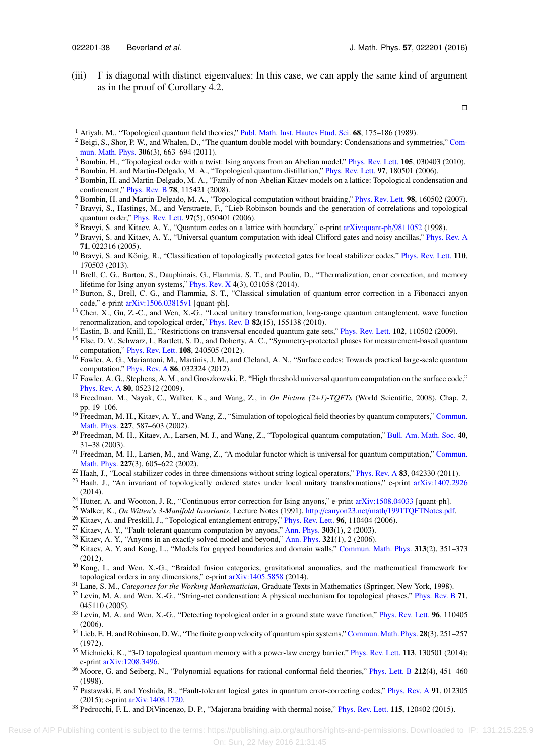(iii)  $\Gamma$  is diagonal with distinct eigenvalues: In this case, we can apply the same kind of argument as in the proof of Corollary 4.2.

 $\Box$ 

- <span id="page-37-29"></span><sup>1</sup> Atiyah, M., "Topological quantum field theories," [Publ. Math. Inst. Hautes Etud. Sci.](http://dx.doi.org/10.1007/BF02698547) 68, 175–186 (1989).
- <span id="page-37-20"></span><sup>2</sup> Beigi, S., Shor, P. W., and Whalen, D., "The quantum double model with boundary: Condensations and symmetries," [Com](http://dx.doi.org/10.1007/s00220-011-1294-x)[mun. Math. Phys.](http://dx.doi.org/10.1007/s00220-011-1294-x) 306(3), 663–694 (2011).
- <span id="page-37-3"></span><sup>3</sup> Bombin, H., "Topological order with a twist: Ising anyons from an Abelian model," [Phys. Rev. Lett.](http://dx.doi.org/10.1103/PhysRevLett.105.030403) **105**, 030403 (2010).
- <span id="page-37-2"></span><sup>4</sup> Bombin, H. and Martin-Delgado, M. A., "Topological quantum distillation," [Phys. Rev. Lett.](http://dx.doi.org/10.1103/physrevlett.97.180501) 97, 180501 (2006).
- <span id="page-37-25"></span><sup>5</sup> Bombin, H. and Martin-Delgado, M. A., "Family of non-Abelian Kitaev models on a lattice: Topological condensation and confinement," [Phys. Rev. B](http://dx.doi.org/10.1103/PhysRevB.78.115421) 78, 115421 (2008).
- <span id="page-37-6"></span><sup>6</sup> Bombin, H. and Martin-Delgado, M. A., "Topological computation without braiding," [Phys. Rev. Lett.](http://dx.doi.org/10.1103/PhysRevLett.98.160502) 98, 160502 (2007).
- <span id="page-37-27"></span><sup>7</sup> Bravyi, S., Hastings, M., and Verstraete, F., "Lieb-Robinson bounds and the generation of correlations and topological quantum order," [Phys. Rev. Lett.](http://dx.doi.org/10.1103/PhysRevLett.97.050401) 97(5), 050401 (2006).
- <span id="page-37-1"></span><sup>8</sup> Bravyi, S. and Kitaev, A. Y., "Quantum codes on a lattice with boundary," e-print [arXiv:quant-ph](http://arxiv.org/abs/quant-ph/9811052)[/](http://arxiv.org/abs/quant-ph/9811052)[9811052](http://arxiv.org/abs/quant-ph/9811052) (1998).
- <span id="page-37-9"></span><sup>9</sup> Bravyi, S. and Kitaev, A. Y., "Universal quantum computation with ideal Clifford gates and noisy ancillas," [Phys. Rev. A](http://dx.doi.org/10.1103/PhysRevA.71.022316) 71, 022316 (2005).
- <span id="page-37-16"></span><sup>10</sup> Bravyi, S. and König, R., "Classification of topologically protected gates for local stabilizer codes," [Phys. Rev. Lett.](http://dx.doi.org/10.1103/PhysRevLett.110.170503) 110, 170503 (2013).
- <span id="page-37-14"></span> $<sup>11</sup>$  Brell, C. G., Burton, S., Dauphinais, G., Flammia, S. T., and Poulin, D., "Thermalization, error correction, and memory</sup> lifetime for Ising anyon systems," [Phys. Rev. X](http://dx.doi.org/10.1103/PhysRevX.4.031058) 4(3), 031058 (2014).
- <span id="page-37-13"></span><sup>12</sup> Burton, S., Brell, C. G., and Flammia, S. T., "Classical simulation of quantum error correction in a Fibonacci anyon code," e-print [arXiv:1506.03815v1](http://arxiv.org/abs/1506.03815v1) [quant-ph].
- <span id="page-37-28"></span><sup>13</sup> Chen, X., Gu, Z.-C., and Wen, X.-G., "Local unitary transformation, long-range quantum entanglement, wave function renormalization, and topological order," [Phys. Rev. B](http://dx.doi.org/10.1103/PhysRevB.82.155138) 82(15), 155138 (2010).
- <span id="page-37-15"></span><sup>14</sup> Eastin, B. and Knill, E., "Restrictions on transversal encoded quantum gate sets," [Phys. Rev. Lett.](http://dx.doi.org/10.1103/PhysRevLett.102.110502) **102**, 110502 (2009).
- <span id="page-37-17"></span><sup>15</sup> Else, D. V., Schwarz, I., Bartlett, S. D., and Doherty, A. C., "Symmetry-protected phases for measurement-based quantum computation," [Phys. Rev. Lett.](http://dx.doi.org/10.1103/PhysRevLett.108.240505) 108, 240505 (2012).
- <span id="page-37-10"></span><sup>16</sup> Fowler, A. G., Mariantoni, M., Martinis, J. M., and Cleland, A. N., "Surface codes: Towards practical large-scale quantum computation," [Phys. Rev. A](http://dx.doi.org/10.1103/PhysRevA.86.032324) 86, 032324 (2012).
- <span id="page-37-4"></span><sup>17</sup> Fowler, A. G., Stephens, A. M., and Groszkowski, P., "High threshold universal quantum computation on the surface code," [Phys. Rev. A](http://dx.doi.org/10.1103/PhysRevA.80.052312) 80, 052312 (2009).
- <span id="page-37-34"></span><sup>18</sup> Freedman, M., Nayak, C., Walker, K., and Wang, Z., in *On Picture (2*+*1)-TQFTs* (World Scientific, 2008), Chap. 2, pp. 19–106.
- <span id="page-37-32"></span><sup>19</sup> Freedman, M. H., Kitaev, A. Y., and Wang, Z., "Simulation of topological field theories by quantum computers," [Commun.](http://dx.doi.org/10.1007/s002200200635) [Math. Phys.](http://dx.doi.org/10.1007/s002200200635) 227, 587–603 (2002).
- <span id="page-37-37"></span><sup>20</sup> Freedman, M. H., Kitaev, A., Larsen, M. J., and Wang, Z., "Topological quantum computation," [Bull. Am. Math. Soc.](http://dx.doi.org/10.1090/S0273-0979-02-00964-3) 40, 31–38 (2003).
- <span id="page-37-36"></span><sup>21</sup> Freedman, M. H., Larsen, M., and Wang, Z., "A modular functor which is universal for quantum computation," [Commun.](http://dx.doi.org/10.1007/s002200200645) [Math. Phys.](http://dx.doi.org/10.1007/s002200200645) 227(3), 605–622 (2002).
- <span id="page-37-7"></span> $^{22}$  Haah, J., "Local stabilizer codes in three dimensions without string logical operators," [Phys. Rev. A](http://dx.doi.org/10.1103/PhysRevA.83.042330) 83, 042330 (2011).
- <span id="page-37-24"></span><sup>23</sup> Haah, J., "An invariant of topologically ordered states under local unitary transformations," e-print [arXiv:1407.2926](http://arxiv.org/abs/1407.2926) (2014).
- <span id="page-37-12"></span><sup>24</sup> Hutter, A. and Wootton, J. R., "Continuous error correction for Ising anyons," e-print  $arXiv:1508.04033$  [quant-ph].
- <span id="page-37-31"></span><sup>25</sup> Walker, K., *On Witten's 3-Manifold Invariants*, Lecture Notes (1991), [http:](http://canyon23.net/math/1991TQFTNotes.pdf)[//](http://canyon23.net/math/1991TQFTNotes.pdf)[canyon23.net](http://canyon23.net/math/1991TQFTNotes.pdf)[/](http://canyon23.net/math/1991TQFTNotes.pdf)[math](http://canyon23.net/math/1991TQFTNotes.pdf)[/](http://canyon23.net/math/1991TQFTNotes.pdf)[1991TQFTNotes.pdf.](http://canyon23.net/math/1991TQFTNotes.pdf)
- <span id="page-37-22"></span><sup>26</sup> Kitaev, A. and Preskill, J., "Topological entanglement entropy," [Phys. Rev. Lett.](http://dx.doi.org/10.1103/PhysRevLett.96.110404) 96, 110404 (2006).
- <span id="page-37-0"></span> $27$  Kitaev, A. Y., "Fault-tolerant quantum computation by anyons," [Ann. Phys.](http://dx.doi.org/10.1016/S0003-4916(02)00018-0) 303(1), 2 (2003).
- <span id="page-37-33"></span><sup>28</sup> Kitaev, A. Y., "Anyons in an exactly solved model and beyond," [Ann. Phys.](http://dx.doi.org/10.1016/j.aop.2005.10.005) 321(1), 2 (2006).
- <span id="page-37-21"></span><sup>29</sup> Kitaev, A. Y. and Kong, L., "Models for gapped boundaries and domain walls," [Commun. Math. Phys.](http://dx.doi.org/10.1007/s00220-012-1500-5) 313(2), 351–373 (2012).
- <span id="page-37-18"></span> $30$  Kong, L. and Wen, X.-G., "Braided fusion categories, gravitational anomalies, and the mathematical framework for topological orders in any dimensions," e-print [arXiv:1405.5858](http://arxiv.org/abs/1405.5858) (2014).
- <span id="page-37-35"></span><sup>31</sup> Lane, S. M., *Categories for the Working Mathematician*, Graduate Texts in Mathematics (Springer, New York, 1998).
- <span id="page-37-5"></span> $32$  Levin, M. A. and Wen, X.-G., "String-net condensation: A physical mechanism for topological phases," [Phys. Rev. B](http://dx.doi.org/10.1103/PhysRevB.71.045110) 71, 045110 (2005).
- <span id="page-37-23"></span><sup>33</sup> Levin, M. A. and Wen, X.-G., "Detecting topological order in a ground state wave function," [Phys. Rev. Lett.](http://dx.doi.org/10.1103/PhysRevLett.96.110405) 96, 110405 (2006).
- <span id="page-37-26"></span><sup>34</sup> Lieb, E. H. and Robinson, D. W., "The finite group velocity of quantum spin systems," [Commun. Math. Phys.](http://dx.doi.org/10.1007/BF01645779) **28**(3), 251–257 (1972).
- <span id="page-37-8"></span><sup>35</sup> Michnicki, K., "3-D topological quantum memory with a power-law energy barrier," [Phys. Rev. Lett.](http://dx.doi.org/10.1103/PhysRevLett.113.130501) **113**, 130501 (2014); e-print [arXiv:1208.3496.](http://arxiv.org/abs/1208.3496)
- <span id="page-37-30"></span><sup>36</sup> Moore, G. and Seiberg, N., "Polynomial equations for rational conformal field theories," [Phys. Lett. B](http://dx.doi.org/10.1016/0370-2693(88)91796-0) 212(4), 451-460 (1998).
- <span id="page-37-19"></span> $37$  Pastawski, F. and Yoshida, B., "Fault-tolerant logical gates in quantum error-correcting codes," [Phys. Rev. A](http://dx.doi.org/10.1103/PhysRevA.91.012305) 91, 012305 (2015); e-print [arXiv:1408.1720.](http://arxiv.org/abs/1408.1720)
- <span id="page-37-11"></span><sup>38</sup> Pedrocchi, F. L. and DiVincenzo, D. P., "Majorana braiding with thermal noise," [Phys. Rev. Lett.](http://dx.doi.org/10.1103/PhysRevLett.115.120402) 115, 120402 (2015).